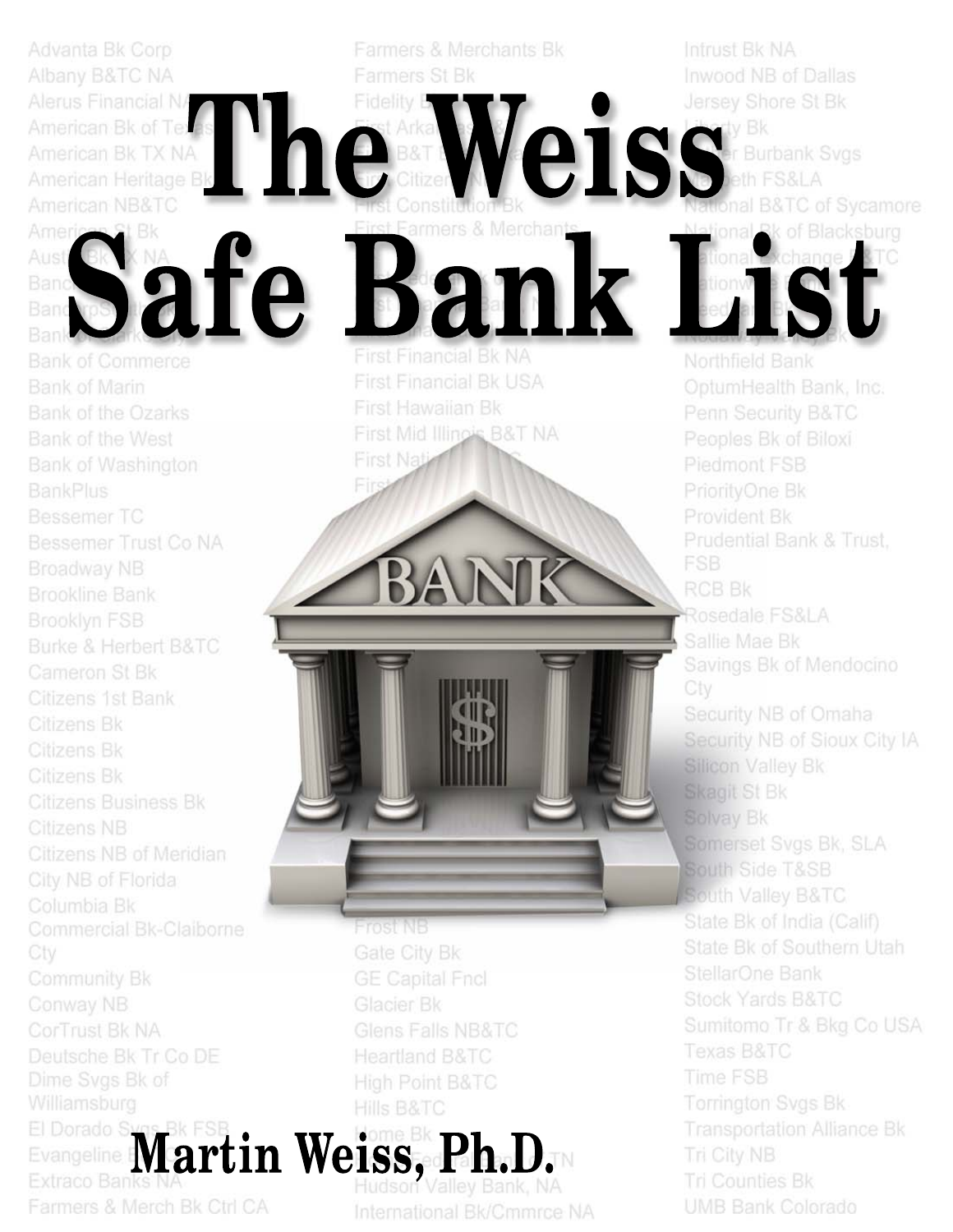Albany B&TC NA Alerus Financial N/ American Bk of Texrne American Bk TX NA<br>American Heritage Bk American NB&TC 1 Bk Ameri afe Aust **Bank of Commerce** Bank of Marin **Bank of the Ozarks** Bank of the West **Bank of Washington Bessemer TC** Bessemer Trust Co NA Broadway NB **Brookline Bank** Brooklyn FSB **Burke & Herbert B&TC** Cameron St Bk Citizens 1st Bank Citizens Bk Citizens Bk Citizens Bk Citizens Business Bk Citizens NB Citizens NB of Meridian City NB of Florida Columbia Bk Commercial Bk-Claiborne Cty

Advanta Bk Corp

Community Bk Conway NB CorTrust Bk NA Deutsche Bk Tr Co DE Dime Sygs Bk of Williamsburg

El Dorado SMartin Weiss, Pl El Dorado Sygs Bk FSE Extraco Banks

Farmers & Merch Bk Ctrl CA

armers & Merchan lk. an **First Financial Bk NA** 

Farmers & Merchants Bk

Farmers St Bk

Fidelity

Fir

**First Financial Bk USA** First Hawaiian Bk First Mid Illinois B&T NA **First Nati** 

Frostinis Gate City Bk **GE Capital Fncl** Glens Falls NB&TC Heartland B&TC High Point B&TC **Hills B&TC** 

International Bk/Cmmrce NA

Intrust Bk NA Inwood NB of Dallas Jersey Shore St Bk

**CISS** Eurbank **Burbank Svgs** tional B&TC of Sycamore of Blacksburg

**MIST** 

Northfield Bank OptumHealth Bank, Inc. Penn Security B&TC Peoples Bk of Biloxi Piedmont FSB PriorityOne Bk Provident Bk Prudential Bank & Trust. FSB. **RCB Bk** Rosedale FS&LA Sallie Mae Bk Savings Bk of Mendocino Cty Security NB of Omaha Security NB of Sioux City IA **Silicon Valley Bk** Skagit St Bk Solvay Bk Somerset Svgs Bk, SLA South Side T&SB South Valley B&TC State Bk of India (Calif) State Bk of Southern Utah StellarOne Bank Stock Yards B&TC Sumitomo Tr & Bkg Co USA Texas B&TC **Time FSB** Torrington Svgs Bk **Transportation Alliance Bk Tri City NB** Tri Counties Bk **UMB Bank Colorado**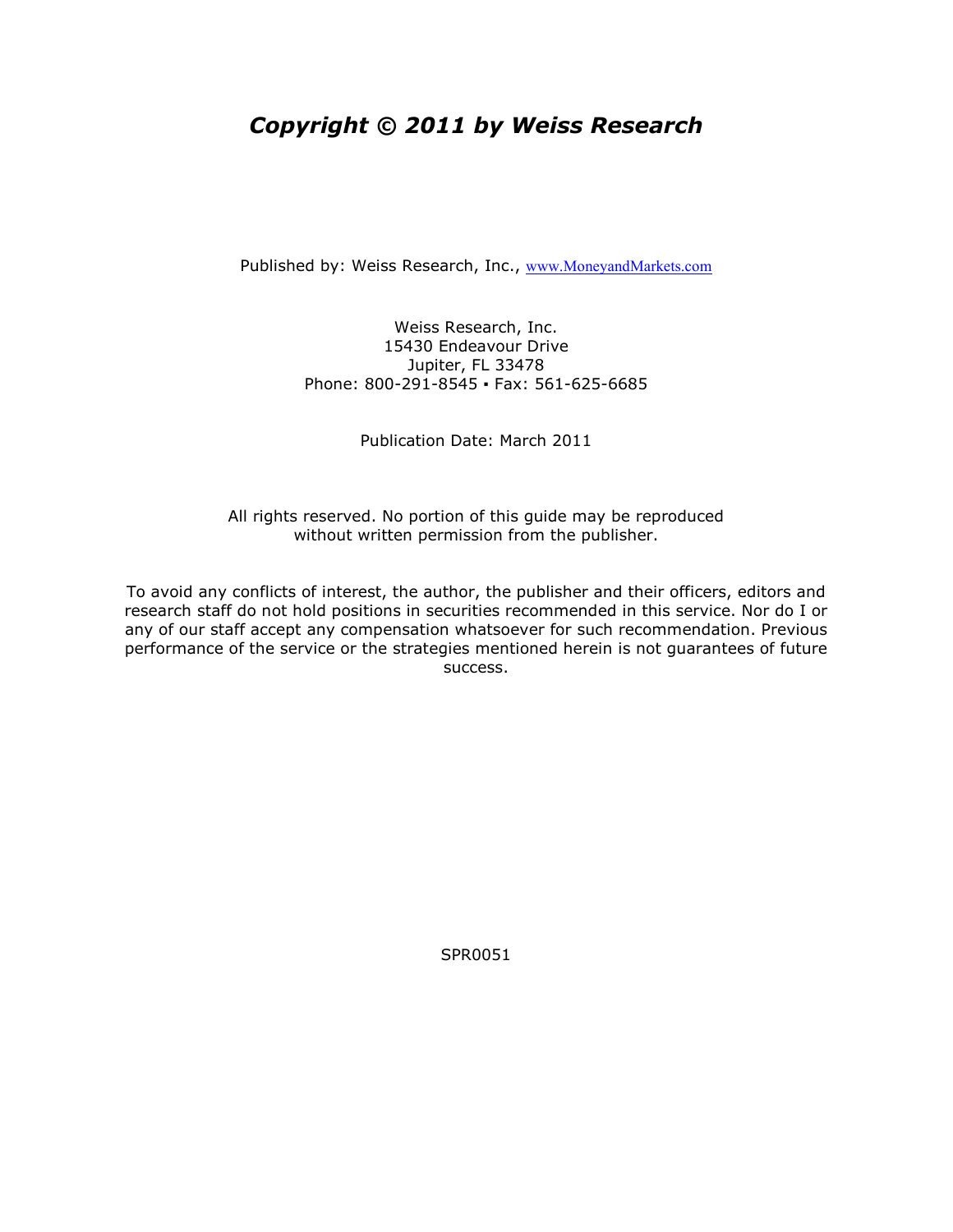## Copyright © 2011 by Weiss Research

Published by: Weiss Research, Inc., www.MoneyandMarkets.com

Weiss Research, Inc. 15430 Endeavour Drive Jupiter, FL 33478 Phone: 800-291-8545 ▪ Fax: 561-625-6685

Publication Date: March 2011

All rights reserved. No portion of this guide may be reproduced without written permission from the publisher.

To avoid any conflicts of interest, the author, the publisher and their officers, editors and research staff do not hold positions in securities recommended in this service. Nor do I or any of our staff accept any compensation whatsoever for such recommendation. Previous performance of the service or the strategies mentioned herein is not guarantees of future success.

SPR0051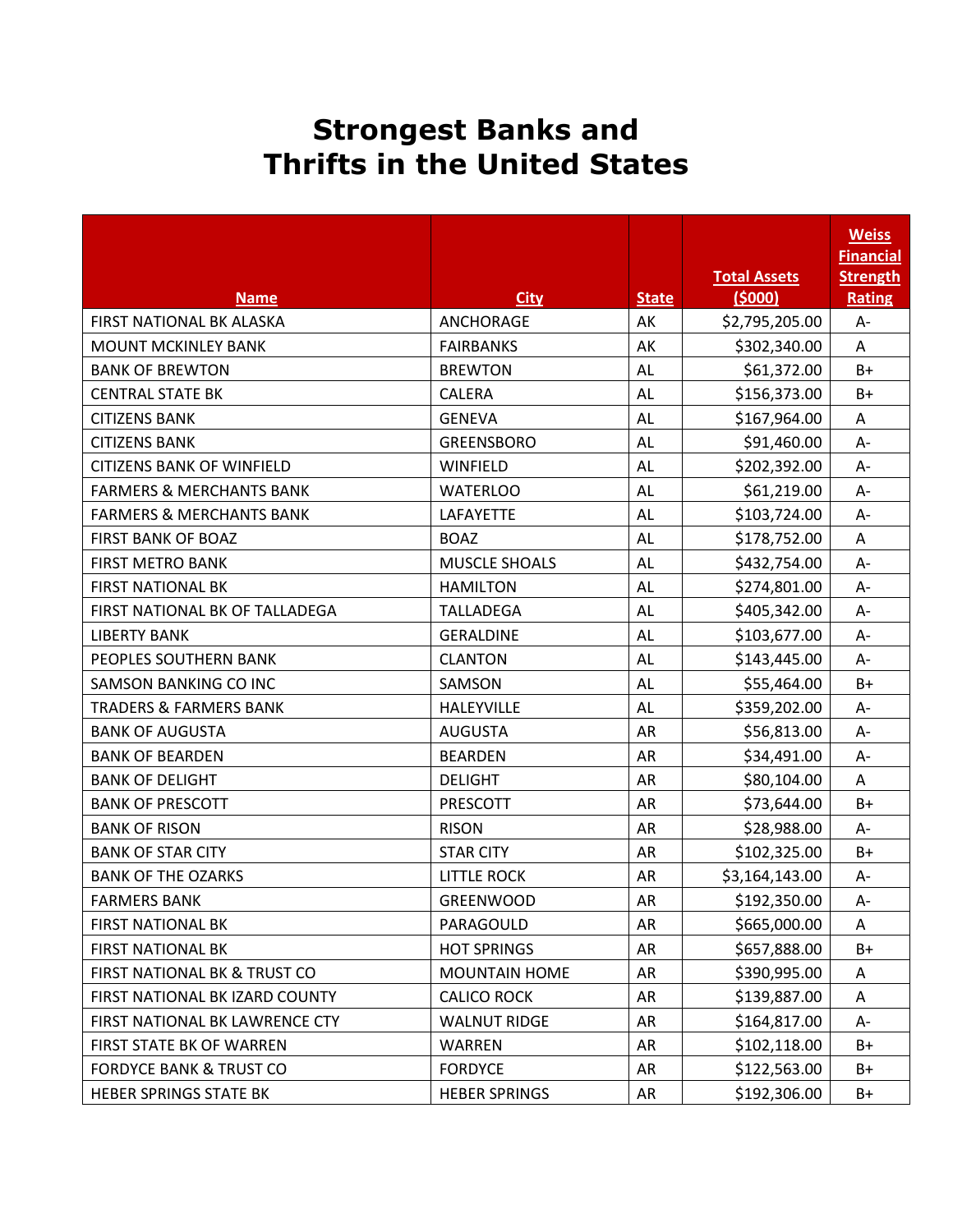## Strongest Banks and Thrifts in the United States

|                                     |                      |              |                               | <b>Weiss</b><br><b>Financial</b> |
|-------------------------------------|----------------------|--------------|-------------------------------|----------------------------------|
| <b>Name</b>                         | <b>City</b>          | <b>State</b> | <b>Total Assets</b><br>(5000) | <b>Strength</b>                  |
| FIRST NATIONAL BK ALASKA            | <b>ANCHORAGE</b>     | AK           | \$2,795,205.00                | Rating<br>$A -$                  |
| <b>MOUNT MCKINLEY BANK</b>          | <b>FAIRBANKS</b>     | AK           | \$302,340.00                  | A                                |
| <b>BANK OF BREWTON</b>              | <b>BREWTON</b>       | AL           | \$61,372.00                   | $B+$                             |
| <b>CENTRAL STATE BK</b>             | <b>CALERA</b>        | AL           | \$156,373.00                  | B+                               |
| <b>CITIZENS BANK</b>                | <b>GENEVA</b>        | <b>AL</b>    | \$167,964.00                  | A                                |
| <b>CITIZENS BANK</b>                | <b>GREENSBORO</b>    | <b>AL</b>    | \$91,460.00                   | A-                               |
| <b>CITIZENS BANK OF WINFIELD</b>    | WINFIELD             | AL           | \$202,392.00                  | $A -$                            |
| <b>FARMERS &amp; MERCHANTS BANK</b> | <b>WATERLOO</b>      | AL           | \$61,219.00                   | $A -$                            |
| <b>FARMERS &amp; MERCHANTS BANK</b> | LAFAYETTE            | AL           | \$103,724.00                  | $A -$                            |
| <b>FIRST BANK OF BOAZ</b>           | <b>BOAZ</b>          | <b>AL</b>    | \$178,752.00                  | A                                |
| <b>FIRST METRO BANK</b>             | <b>MUSCLE SHOALS</b> | <b>AL</b>    | \$432,754.00                  | $A -$                            |
| <b>FIRST NATIONAL BK</b>            | <b>HAMILTON</b>      | <b>AL</b>    | \$274,801.00                  | $A -$                            |
| FIRST NATIONAL BK OF TALLADEGA      | <b>TALLADEGA</b>     | AL           | \$405,342.00                  | A-                               |
| <b>LIBERTY BANK</b>                 | <b>GERALDINE</b>     | AL           | \$103,677.00                  | $A -$                            |
| PEOPLES SOUTHERN BANK               | <b>CLANTON</b>       | AL           | \$143,445.00                  | A-                               |
| SAMSON BANKING CO INC               | SAMSON               | AL           | \$55,464.00                   | B+                               |
| <b>TRADERS &amp; FARMERS BANK</b>   | <b>HALEYVILLE</b>    | <b>AL</b>    | \$359,202.00                  | A-                               |
| <b>BANK OF AUGUSTA</b>              | <b>AUGUSTA</b>       | <b>AR</b>    | \$56,813.00                   | $A -$                            |
| <b>BANK OF BEARDEN</b>              | <b>BEARDEN</b>       | <b>AR</b>    | \$34,491.00                   | A-                               |
| <b>BANK OF DELIGHT</b>              | <b>DELIGHT</b>       | AR           | \$80,104.00                   | A                                |
| <b>BANK OF PRESCOTT</b>             | PRESCOTT             | AR           | \$73,644.00                   | $B+$                             |
| <b>BANK OF RISON</b>                | <b>RISON</b>         | <b>AR</b>    | \$28,988.00                   | A-                               |
| <b>BANK OF STAR CITY</b>            | <b>STAR CITY</b>     | <b>AR</b>    | \$102,325.00                  | B+                               |
| <b>BANK OF THE OZARKS</b>           | <b>LITTLE ROCK</b>   | AR           | \$3,164,143.00                | A-                               |
| <b>FARMERS BANK</b>                 | <b>GREENWOOD</b>     | AR           | \$192,350.00                  | $A -$                            |
| <b>FIRST NATIONAL BK</b>            | PARAGOULD            | AR           | \$665,000.00                  | A                                |
| <b>FIRST NATIONAL BK</b>            | <b>HOT SPRINGS</b>   | AR           | \$657,888.00                  | B+                               |
| FIRST NATIONAL BK & TRUST CO        | <b>MOUNTAIN HOME</b> | AR           | \$390,995.00                  | A                                |
| FIRST NATIONAL BK IZARD COUNTY      | <b>CALICO ROCK</b>   | AR           | \$139,887.00                  | Α                                |
| FIRST NATIONAL BK LAWRENCE CTY      | <b>WALNUT RIDGE</b>  | AR           | \$164,817.00                  | A-                               |
| FIRST STATE BK OF WARREN            | WARREN               | AR           | \$102,118.00                  | B+                               |
| <b>FORDYCE BANK &amp; TRUST CO</b>  | <b>FORDYCE</b>       | AR           | \$122,563.00                  | $B+$                             |
| HEBER SPRINGS STATE BK              | <b>HEBER SPRINGS</b> | AR           | \$192,306.00                  | B+                               |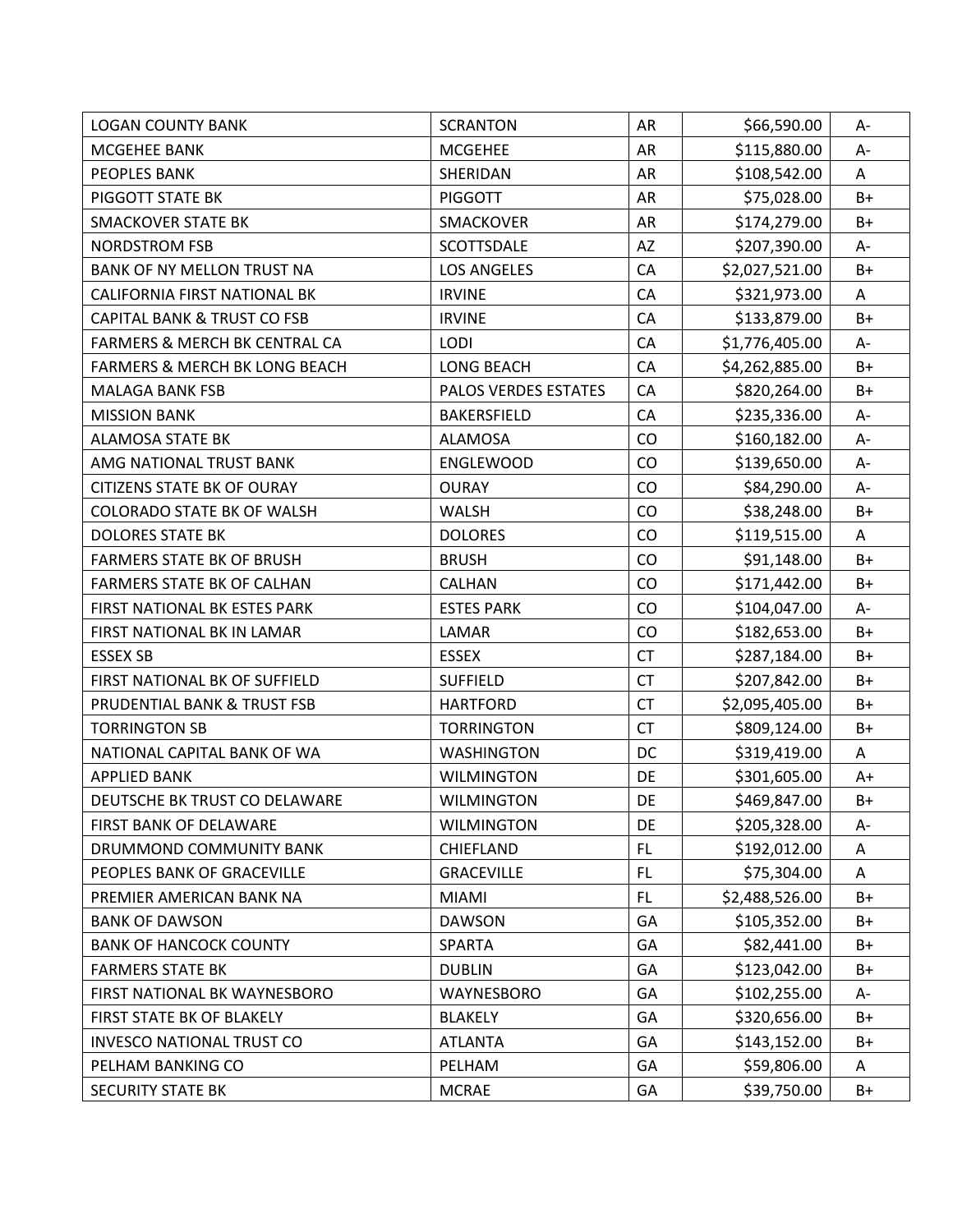| <b>LOGAN COUNTY BANK</b>                 | <b>SCRANTON</b>      | AR        | \$66,590.00    | A-   |
|------------------------------------------|----------------------|-----------|----------------|------|
| MCGEHEE BANK                             | <b>MCGEHEE</b>       | AR        | \$115,880.00   | A-   |
| PEOPLES BANK                             | SHERIDAN             | AR        | \$108,542.00   | A    |
| PIGGOTT STATE BK                         | <b>PIGGOTT</b>       | AR        | \$75,028.00    | $B+$ |
| <b>SMACKOVER STATE BK</b>                | <b>SMACKOVER</b>     | AR        | \$174,279.00   | $B+$ |
| <b>NORDSTROM FSB</b>                     | SCOTTSDALE           | AZ        | \$207,390.00   | А-   |
| BANK OF NY MELLON TRUST NA               | <b>LOS ANGELES</b>   | CA        | \$2,027,521.00 | $B+$ |
| CALIFORNIA FIRST NATIONAL BK             | <b>IRVINE</b>        | CA        | \$321,973.00   | A    |
| <b>CAPITAL BANK &amp; TRUST CO FSB</b>   | <b>IRVINE</b>        | CA        | \$133,879.00   | B+   |
| FARMERS & MERCH BK CENTRAL CA            | LODI                 | CA        | \$1,776,405.00 | A-   |
| <b>FARMERS &amp; MERCH BK LONG BEACH</b> | <b>LONG BEACH</b>    | CA        | \$4,262,885.00 | $B+$ |
| <b>MALAGA BANK FSB</b>                   | PALOS VERDES ESTATES | CA        | \$820,264.00   | $B+$ |
| <b>MISSION BANK</b>                      | BAKERSFIELD          | CA        | \$235,336.00   | A-   |
| <b>ALAMOSA STATE BK</b>                  | <b>ALAMOSA</b>       | CO        | \$160,182.00   | A-   |
| AMG NATIONAL TRUST BANK                  | ENGLEWOOD            | CO        | \$139,650.00   | A-   |
| <b>CITIZENS STATE BK OF OURAY</b>        | <b>OURAY</b>         | CO        | \$84,290.00    | А-   |
| <b>COLORADO STATE BK OF WALSH</b>        | <b>WALSH</b>         | CO        | \$38,248.00    | $B+$ |
| <b>DOLORES STATE BK</b>                  | <b>DOLORES</b>       | CO        | \$119,515.00   | A    |
| <b>FARMERS STATE BK OF BRUSH</b>         | <b>BRUSH</b>         | CO        | \$91,148.00    | $B+$ |
| <b>FARMERS STATE BK OF CALHAN</b>        | <b>CALHAN</b>        | CO        | \$171,442.00   | B+   |
| FIRST NATIONAL BK ESTES PARK             | <b>ESTES PARK</b>    | CO        | \$104,047.00   | A-   |
| FIRST NATIONAL BK IN LAMAR               | LAMAR                | CO        | \$182,653.00   | $B+$ |
| <b>ESSEX SB</b>                          | <b>ESSEX</b>         | CT        | \$287,184.00   | $B+$ |
| FIRST NATIONAL BK OF SUFFIELD            | <b>SUFFIELD</b>      | <b>CT</b> | \$207,842.00   | $B+$ |
| PRUDENTIAL BANK & TRUST FSB              | <b>HARTFORD</b>      | <b>CT</b> | \$2,095,405.00 | $B+$ |
| <b>TORRINGTON SB</b>                     | <b>TORRINGTON</b>    | <b>CT</b> | \$809,124.00   | $B+$ |
| NATIONAL CAPITAL BANK OF WA              | <b>WASHINGTON</b>    | DC        | \$319,419.00   | A    |
| <b>APPLIED BANK</b>                      | <b>WILMINGTON</b>    | DE        | \$301,605.00   | $A+$ |
| DEUTSCHE BK TRUST CO DELAWARE            | <b>WILMINGTON</b>    | DE        | \$469,847.00   | $B+$ |
| FIRST BANK OF DELAWARE                   | <b>WILMINGTON</b>    | DE        | \$205,328.00   | A-   |
| DRUMMOND COMMUNITY BANK                  | CHIEFLAND            | <b>FL</b> | \$192,012.00   | A    |
| PEOPLES BANK OF GRACEVILLE               | <b>GRACEVILLE</b>    | FL        | \$75,304.00    | A    |
| PREMIER AMERICAN BANK NA                 | <b>MIAMI</b>         | FL        | \$2,488,526.00 | $B+$ |
| <b>BANK OF DAWSON</b>                    | <b>DAWSON</b>        | GA        | \$105,352.00   | $B+$ |
| <b>BANK OF HANCOCK COUNTY</b>            | <b>SPARTA</b>        | GA        | \$82,441.00    | B+   |
| <b>FARMERS STATE BK</b>                  | <b>DUBLIN</b>        | GA        | \$123,042.00   | B+   |
| FIRST NATIONAL BK WAYNESBORO             | WAYNESBORO           | GA        | \$102,255.00   | A-   |
| FIRST STATE BK OF BLAKELY                | <b>BLAKELY</b>       | GA        | \$320,656.00   | B+   |
| <b>INVESCO NATIONAL TRUST CO</b>         | <b>ATLANTA</b>       | GA        | \$143,152.00   | B+   |
| PELHAM BANKING CO                        | PELHAM               | GA        | \$59,806.00    | Α    |
| SECURITY STATE BK                        | <b>MCRAE</b>         | GA        | \$39,750.00    | $B+$ |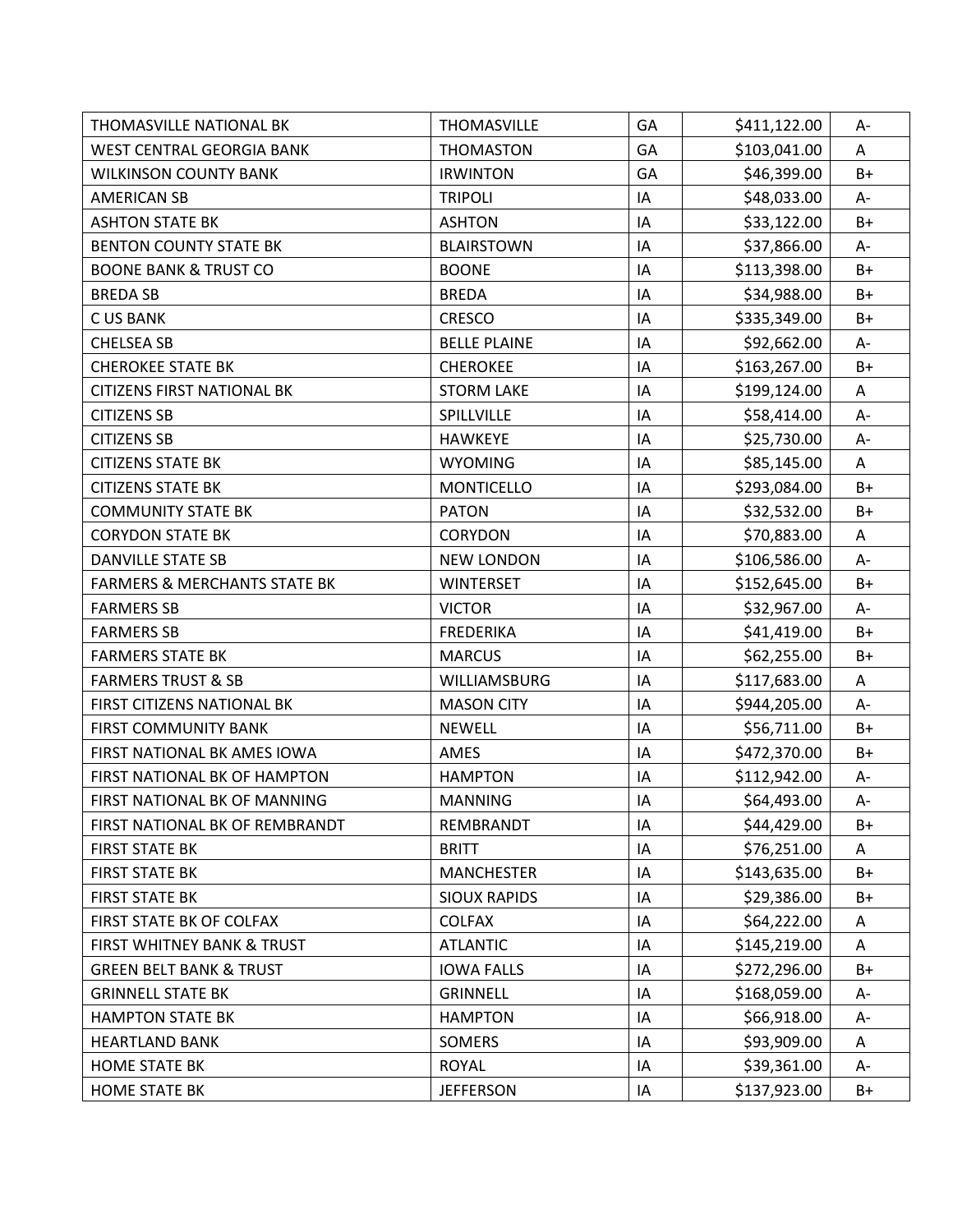| <b>THOMASVILLE NATIONAL BK</b>          | <b>THOMASVILLE</b>  | GA | \$411,122.00 | А-   |
|-----------------------------------------|---------------------|----|--------------|------|
| <b>WEST CENTRAL GEORGIA BANK</b>        | <b>THOMASTON</b>    | GA | \$103,041.00 | A    |
| <b>WILKINSON COUNTY BANK</b>            | <b>IRWINTON</b>     | GA | \$46,399.00  | B+   |
| <b>AMERICAN SB</b>                      | <b>TRIPOLI</b>      | IA | \$48,033.00  | A-   |
| <b>ASHTON STATE BK</b>                  | <b>ASHTON</b>       | IA | \$33,122.00  | $B+$ |
| <b>BENTON COUNTY STATE BK</b>           | <b>BLAIRSTOWN</b>   | IA | \$37,866.00  | A-   |
| <b>BOONE BANK &amp; TRUST CO</b>        | <b>BOONE</b>        | IA | \$113,398.00 | $B+$ |
| <b>BREDA SB</b>                         | <b>BREDA</b>        | IA | \$34,988.00  | B+   |
| <b>CUS BANK</b>                         | <b>CRESCO</b>       | IA | \$335,349.00 | B+   |
| <b>CHELSEA SB</b>                       | <b>BELLE PLAINE</b> | IA | \$92,662.00  | A-   |
| <b>CHEROKEE STATE BK</b>                | <b>CHEROKEE</b>     | IA | \$163,267.00 | $B+$ |
| <b>CITIZENS FIRST NATIONAL BK</b>       | <b>STORM LAKE</b>   | IA | \$199,124.00 | A    |
| <b>CITIZENS SB</b>                      | SPILLVILLE          | IA | \$58,414.00  | A-   |
| <b>CITIZENS SB</b>                      | <b>HAWKEYE</b>      | IA | \$25,730.00  | A-   |
| <b>CITIZENS STATE BK</b>                | <b>WYOMING</b>      | IA | \$85,145.00  | A    |
| <b>CITIZENS STATE BK</b>                | <b>MONTICELLO</b>   | IA | \$293,084.00 | $B+$ |
| <b>COMMUNITY STATE BK</b>               | <b>PATON</b>        | IA | \$32,532.00  | $B+$ |
| <b>CORYDON STATE BK</b>                 | <b>CORYDON</b>      | IA | \$70,883.00  | A    |
| <b>DANVILLE STATE SB</b>                | <b>NEW LONDON</b>   | IA | \$106,586.00 | A-   |
| <b>FARMERS &amp; MERCHANTS STATE BK</b> | <b>WINTERSET</b>    | IA | \$152,645.00 | B+   |
| <b>FARMERS SB</b>                       | <b>VICTOR</b>       | IA | \$32,967.00  | A-   |
| <b>FARMERS SB</b>                       | <b>FREDERIKA</b>    | IA | \$41,419.00  | $B+$ |
| <b>FARMERS STATE BK</b>                 | <b>MARCUS</b>       | IA | \$62,255.00  | $B+$ |
| <b>FARMERS TRUST &amp; SB</b>           | WILLIAMSBURG        | IA | \$117,683.00 | A    |
| FIRST CITIZENS NATIONAL BK              | <b>MASON CITY</b>   | IA | \$944,205.00 | A-   |
| <b>FIRST COMMUNITY BANK</b>             | <b>NEWELL</b>       | IA | \$56,711.00  | $B+$ |
| FIRST NATIONAL BK AMES IOWA             | <b>AMES</b>         | IA | \$472,370.00 | B+   |
| FIRST NATIONAL BK OF HAMPTON            | <b>HAMPTON</b>      | IA | \$112,942.00 | A-   |
| FIRST NATIONAL BK OF MANNING            | <b>MANNING</b>      | IA | \$64,493.00  | A-   |
| FIRST NATIONAL BK OF REMBRANDT          | REMBRANDT           | IA | \$44,429.00  | B+   |
| <b>FIRST STATE BK</b>                   | <b>BRITT</b>        | IA | \$76,251.00  | A    |
| <b>FIRST STATE BK</b>                   | <b>MANCHESTER</b>   | IA | \$143,635.00 | $B+$ |
| <b>FIRST STATE BK</b>                   | <b>SIOUX RAPIDS</b> | IA | \$29,386.00  | B+   |
| FIRST STATE BK OF COLFAX                | <b>COLFAX</b>       | IA | \$64,222.00  | Α    |
| FIRST WHITNEY BANK & TRUST              | <b>ATLANTIC</b>     | IA | \$145,219.00 | A    |
| <b>GREEN BELT BANK &amp; TRUST</b>      | <b>IOWA FALLS</b>   | IA | \$272,296.00 | $B+$ |
| <b>GRINNELL STATE BK</b>                | <b>GRINNELL</b>     | IA | \$168,059.00 | А-   |
| <b>HAMPTON STATE BK</b>                 | <b>HAMPTON</b>      | IA | \$66,918.00  | А-   |
| <b>HEARTLAND BANK</b>                   | <b>SOMERS</b>       | IA | \$93,909.00  | Α    |
| <b>HOME STATE BK</b>                    | <b>ROYAL</b>        | IA | \$39,361.00  | A-   |
| <b>HOME STATE BK</b>                    | <b>JEFFERSON</b>    | IA | \$137,923.00 | $B+$ |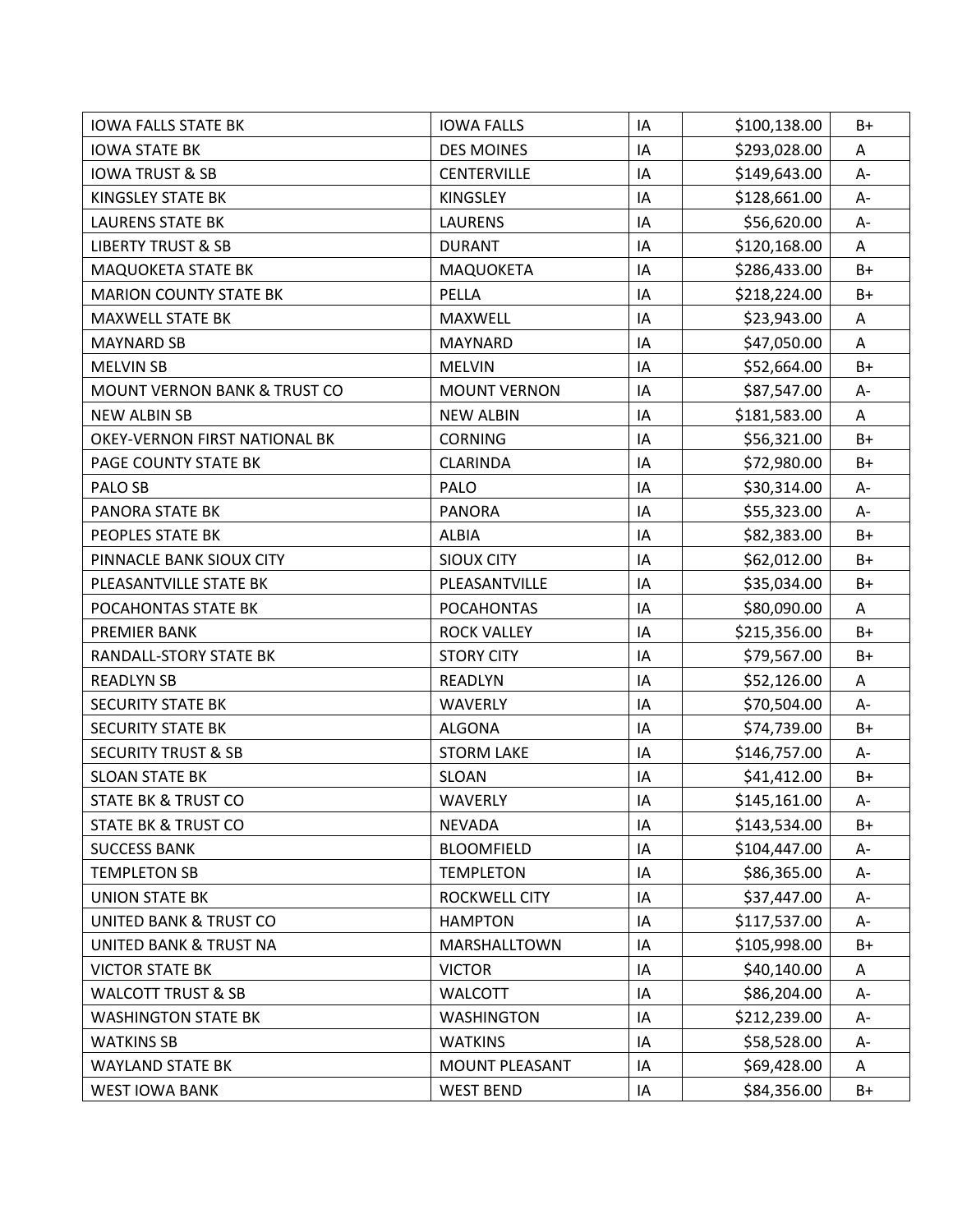| <b>IOWA FALLS STATE BK</b>              | <b>IOWA FALLS</b>   | IA | \$100,138.00 | B+   |
|-----------------------------------------|---------------------|----|--------------|------|
| <b>IOWA STATE BK</b>                    | <b>DES MOINES</b>   | IA | \$293,028.00 | Α    |
| <b>IOWA TRUST &amp; SB</b>              | <b>CENTERVILLE</b>  | IA | \$149,643.00 | A-   |
| KINGSLEY STATE BK                       | <b>KINGSLEY</b>     | IA | \$128,661.00 | $A-$ |
| <b>LAURENS STATE BK</b>                 | <b>LAURENS</b>      | IA | \$56,620.00  | $A-$ |
| <b>LIBERTY TRUST &amp; SB</b>           | <b>DURANT</b>       | IA | \$120,168.00 | A    |
| MAQUOKETA STATE BK                      | MAQUOKETA           | IA | \$286,433.00 | B+   |
| <b>MARION COUNTY STATE BK</b>           | PELLA               | IA | \$218,224.00 | $B+$ |
| <b>MAXWELL STATE BK</b>                 | <b>MAXWELL</b>      | IA | \$23,943.00  | A    |
| <b>MAYNARD SB</b>                       | MAYNARD             | IA | \$47,050.00  | A    |
| <b>MELVIN SB</b>                        | <b>MELVIN</b>       | IA | \$52,664.00  | $B+$ |
| <b>MOUNT VERNON BANK &amp; TRUST CO</b> | <b>MOUNT VERNON</b> | IA | \$87,547.00  | A-   |
| <b>NEW ALBIN SB</b>                     | <b>NEW ALBIN</b>    | IA | \$181,583.00 | A    |
| OKEY-VERNON FIRST NATIONAL BK           | <b>CORNING</b>      | IA | \$56,321.00  | $B+$ |
| PAGE COUNTY STATE BK                    | <b>CLARINDA</b>     | IA | \$72,980.00  | B+   |
| PALO SB                                 | PALO                | IA | \$30,314.00  | A-   |
| PANORA STATE BK                         | <b>PANORA</b>       | IA | \$55,323.00  | A-   |
| PEOPLES STATE BK                        | ALBIA               | IA | \$82,383.00  | B+   |
| PINNACLE BANK SIOUX CITY                | <b>SIOUX CITY</b>   | IA | \$62,012.00  | B+   |
| PLEASANTVILLE STATE BK                  | PLEASANTVILLE       | IA | \$35,034.00  | B+   |
| POCAHONTAS STATE BK                     | <b>POCAHONTAS</b>   | IA | \$80,090.00  | A    |
| PREMIER BANK                            | <b>ROCK VALLEY</b>  | IA | \$215,356.00 | $B+$ |
| RANDALL-STORY STATE BK                  | <b>STORY CITY</b>   | IA | \$79,567.00  | $B+$ |
| <b>READLYN SB</b>                       | <b>READLYN</b>      | IA | \$52,126.00  | A    |
| <b>SECURITY STATE BK</b>                | WAVERLY             | IA | \$70,504.00  | A-   |
| <b>SECURITY STATE BK</b>                | <b>ALGONA</b>       | IA | \$74,739.00  | $B+$ |
| <b>SECURITY TRUST &amp; SB</b>          | <b>STORM LAKE</b>   | IA | \$146,757.00 | A-   |
| <b>SLOAN STATE BK</b>                   | SLOAN               | IA | \$41,412.00  | $B+$ |
| <b>STATE BK &amp; TRUST CO</b>          | <b>WAVERLY</b>      | IA | \$145,161.00 | A-   |
| <b>STATE BK &amp; TRUST CO</b>          | <b>NEVADA</b>       | IA | \$143,534.00 | B+   |
| <b>SUCCESS BANK</b>                     | <b>BLOOMFIELD</b>   | IA | \$104,447.00 | А-   |
| <b>TEMPLETON SB</b>                     | <b>TEMPLETON</b>    | IA | \$86,365.00  | A-   |
| <b>UNION STATE BK</b>                   | ROCKWELL CITY       | IA | \$37,447.00  | А-   |
| <b>UNITED BANK &amp; TRUST CO</b>       | <b>HAMPTON</b>      | IA | \$117,537.00 | A-   |
| UNITED BANK & TRUST NA                  | MARSHALLTOWN        | IA | \$105,998.00 | B+   |
| <b>VICTOR STATE BK</b>                  | <b>VICTOR</b>       | IA | \$40,140.00  | A    |
| <b>WALCOTT TRUST &amp; SB</b>           | <b>WALCOTT</b>      | IA | \$86,204.00  | А-   |
| <b>WASHINGTON STATE BK</b>              | <b>WASHINGTON</b>   | IA | \$212,239.00 | А-   |
| <b>WATKINS SB</b>                       | <b>WATKINS</b>      | IA | \$58,528.00  | A-   |
| <b>WAYLAND STATE BK</b>                 | MOUNT PLEASANT      | IA | \$69,428.00  | A    |
| <b>WEST IOWA BANK</b>                   | <b>WEST BEND</b>    | IA | \$84,356.00  | $B+$ |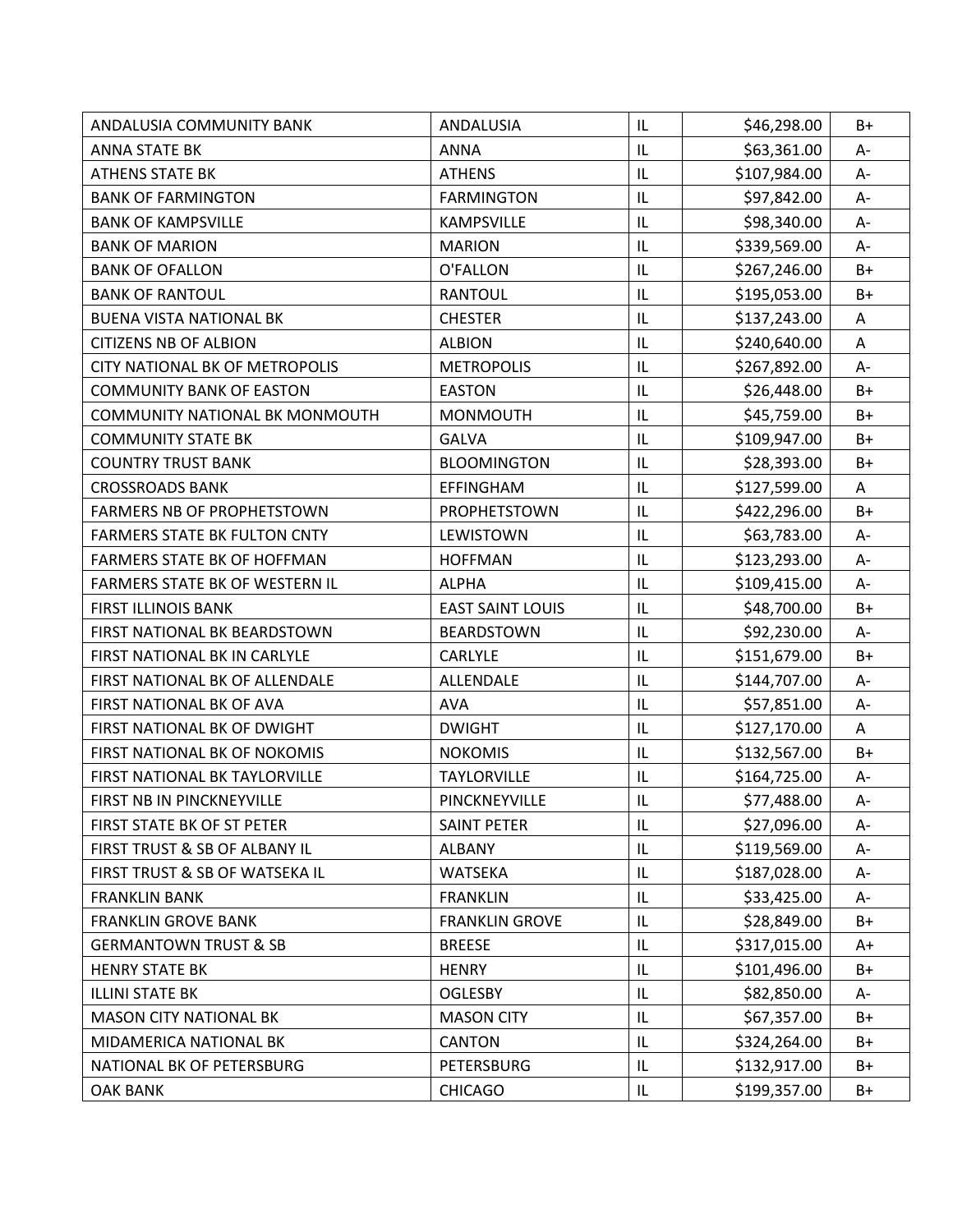| ANDALUSIA COMMUNITY BANK              | ANDALUSIA               | IL | \$46,298.00  | B+    |
|---------------------------------------|-------------------------|----|--------------|-------|
| <b>ANNA STATE BK</b>                  | <b>ANNA</b>             | IL | \$63,361.00  | A-    |
| <b>ATHENS STATE BK</b>                | <b>ATHENS</b>           | IL | \$107,984.00 | A-    |
| <b>BANK OF FARMINGTON</b>             | <b>FARMINGTON</b>       | IL | \$97,842.00  | $A-$  |
| <b>BANK OF KAMPSVILLE</b>             | <b>KAMPSVILLE</b>       | IL | \$98,340.00  | $A-$  |
| <b>BANK OF MARION</b>                 | <b>MARION</b>           | IL | \$339,569.00 | А-    |
| <b>BANK OF OFALLON</b>                | O'FALLON                | IL | \$267,246.00 | $B+$  |
| <b>BANK OF RANTOUL</b>                | <b>RANTOUL</b>          | IL | \$195,053.00 | $B+$  |
| <b>BUENA VISTA NATIONAL BK</b>        | <b>CHESTER</b>          | IL | \$137,243.00 | A     |
| <b>CITIZENS NB OF ALBION</b>          | <b>ALBION</b>           | IL | \$240,640.00 | A     |
| <b>CITY NATIONAL BK OF METROPOLIS</b> | <b>METROPOLIS</b>       | IL | \$267,892.00 | A-    |
| <b>COMMUNITY BANK OF EASTON</b>       | <b>EASTON</b>           | IL | \$26,448.00  | $B+$  |
| COMMUNITY NATIONAL BK MONMOUTH        | <b>MONMOUTH</b>         | IL | \$45,759.00  | B+    |
| <b>COMMUNITY STATE BK</b>             | <b>GALVA</b>            | IL | \$109,947.00 | $B+$  |
| <b>COUNTRY TRUST BANK</b>             | <b>BLOOMINGTON</b>      | IL | \$28,393.00  | B+    |
| <b>CROSSROADS BANK</b>                | EFFINGHAM               | IL | \$127,599.00 | A     |
| FARMERS NB OF PROPHETSTOWN            | PROPHETSTOWN            | IL | \$422,296.00 | $B+$  |
| <b>FARMERS STATE BK FULTON CNTY</b>   | LEWISTOWN               | IL | \$63,783.00  | А-    |
| <b>FARMERS STATE BK OF HOFFMAN</b>    | <b>HOFFMAN</b>          | IL | \$123,293.00 | A-    |
| FARMERS STATE BK OF WESTERN IL        | <b>ALPHA</b>            | IL | \$109,415.00 | А-    |
| <b>FIRST ILLINOIS BANK</b>            | <b>EAST SAINT LOUIS</b> | IL | \$48,700.00  | B+    |
| FIRST NATIONAL BK BEARDSTOWN          | <b>BEARDSTOWN</b>       | IL | \$92,230.00  | A-    |
| FIRST NATIONAL BK IN CARLYLE          | CARLYLE                 | IL | \$151,679.00 | $B+$  |
| FIRST NATIONAL BK OF ALLENDALE        | ALLENDALE               | IL | \$144,707.00 | $A -$ |
| FIRST NATIONAL BK OF AVA              | <b>AVA</b>              | IL | \$57,851.00  | A-    |
| FIRST NATIONAL BK OF DWIGHT           | <b>DWIGHT</b>           | IL | \$127,170.00 | A     |
| FIRST NATIONAL BK OF NOKOMIS          | <b>NOKOMIS</b>          | IL | \$132,567.00 | B+    |
| FIRST NATIONAL BK TAYLORVILLE         | <b>TAYLORVILLE</b>      | IL | \$164,725.00 | A-    |
| FIRST NB IN PINCKNEYVILLE             | PINCKNEYVILLE           | IL | \$77,488.00  | A-    |
| FIRST STATE BK OF ST PETER            | <b>SAINT PETER</b>      | IL | \$27,096.00  | A-    |
| FIRST TRUST & SB OF ALBANY IL         | <b>ALBANY</b>           | IL | \$119,569.00 | A-    |
| FIRST TRUST & SB OF WATSEKA IL        | <b>WATSEKA</b>          | IL | \$187,028.00 | A-    |
| <b>FRANKLIN BANK</b>                  | <b>FRANKLIN</b>         | IL | \$33,425.00  | A-    |
| <b>FRANKLIN GROVE BANK</b>            | <b>FRANKLIN GROVE</b>   | IL | \$28,849.00  | $B+$  |
| <b>GERMANTOWN TRUST &amp; SB</b>      | <b>BREESE</b>           | IL | \$317,015.00 | A+    |
| <b>HENRY STATE BK</b>                 | <b>HENRY</b>            | IL | \$101,496.00 | B+    |
| <b>ILLINI STATE BK</b>                | <b>OGLESBY</b>          | IL | \$82,850.00  | А-    |
| <b>MASON CITY NATIONAL BK</b>         | <b>MASON CITY</b>       | IL | \$67,357.00  | B+    |
| MIDAMERICA NATIONAL BK                | <b>CANTON</b>           | IL | \$324,264.00 | B+    |
| NATIONAL BK OF PETERSBURG             | PETERSBURG              | IL | \$132,917.00 | $B+$  |
| <b>OAK BANK</b>                       | <b>CHICAGO</b>          | IL | \$199,357.00 | $B+$  |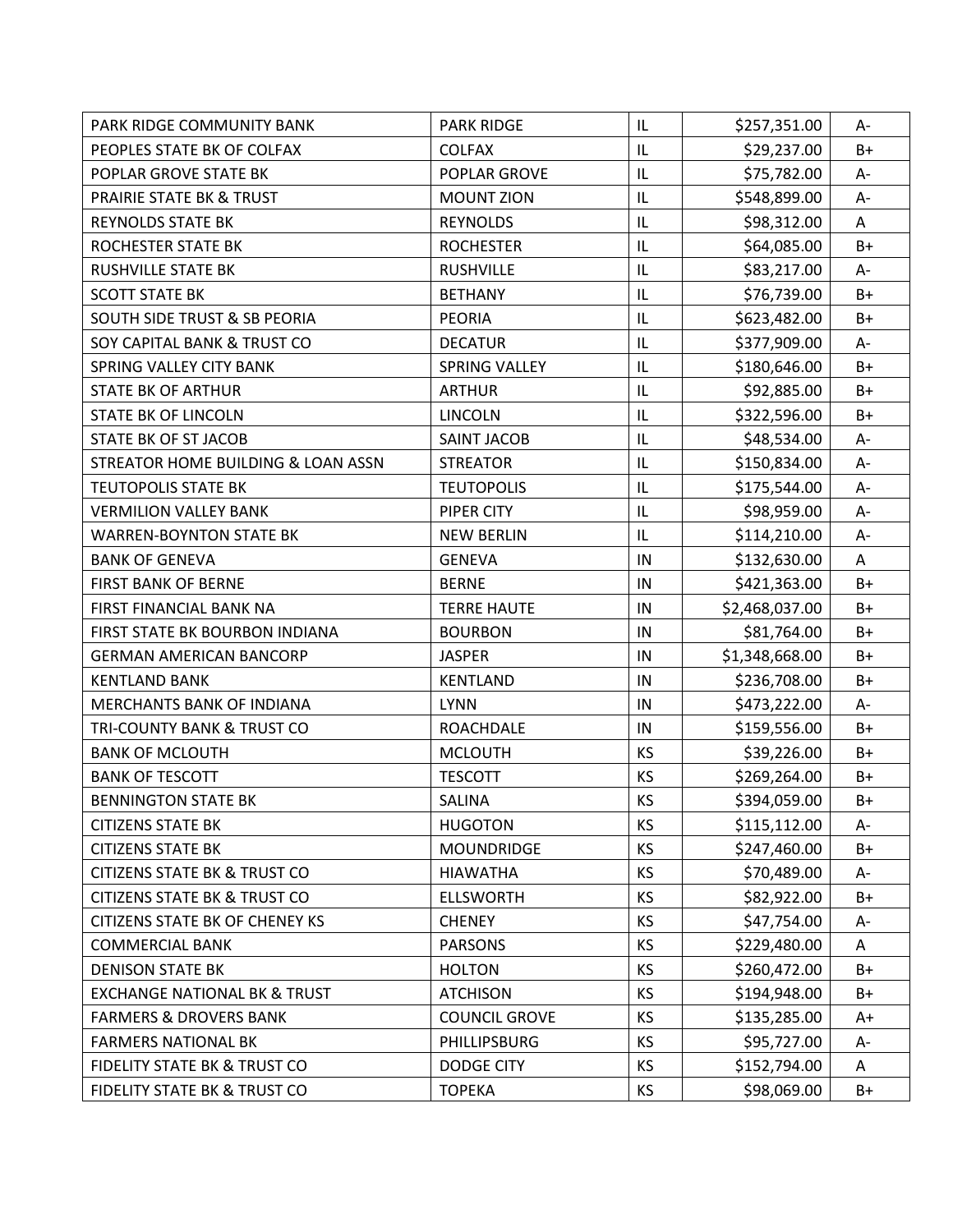| PARK RIDGE COMMUNITY BANK               | <b>PARK RIDGE</b>    | IL        | \$257,351.00   | A-   |
|-----------------------------------------|----------------------|-----------|----------------|------|
| PEOPLES STATE BK OF COLFAX              | <b>COLFAX</b>        | IL        | \$29,237.00    | $B+$ |
| POPLAR GROVE STATE BK                   | POPLAR GROVE         | IL        | \$75,782.00    | A-   |
| <b>PRAIRIE STATE BK &amp; TRUST</b>     | <b>MOUNT ZION</b>    | IL        | \$548,899.00   | $A-$ |
| <b>REYNOLDS STATE BK</b>                | <b>REYNOLDS</b>      | IL        | \$98,312.00    | A    |
| ROCHESTER STATE BK                      | <b>ROCHESTER</b>     | IL        | \$64,085.00    | $B+$ |
| <b>RUSHVILLE STATE BK</b>               | <b>RUSHVILLE</b>     | IL        | \$83,217.00    | A-   |
| <b>SCOTT STATE BK</b>                   | <b>BETHANY</b>       | IL        | \$76,739.00    | B+   |
| <b>SOUTH SIDE TRUST &amp; SB PEORIA</b> | <b>PEORIA</b>        | IL        | \$623,482.00   | B+   |
| SOY CAPITAL BANK & TRUST CO             | <b>DECATUR</b>       | IL        | \$377,909.00   | A-   |
| SPRING VALLEY CITY BANK                 | <b>SPRING VALLEY</b> | IL        | \$180,646.00   | $B+$ |
| <b>STATE BK OF ARTHUR</b>               | <b>ARTHUR</b>        | IL        | \$92,885.00    | $B+$ |
| <b>STATE BK OF LINCOLN</b>              | <b>LINCOLN</b>       | IL        | \$322,596.00   | B+   |
| STATE BK OF ST JACOB                    | <b>SAINT JACOB</b>   | IL        | \$48,534.00    | A-   |
| STREATOR HOME BUILDING & LOAN ASSN      | <b>STREATOR</b>      | IL        | \$150,834.00   | A-   |
| <b>TEUTOPOLIS STATE BK</b>              | <b>TEUTOPOLIS</b>    | IL        | \$175,544.00   | $A-$ |
| <b>VERMILION VALLEY BANK</b>            | PIPER CITY           | IL        | \$98,959.00    | A-   |
| <b>WARREN-BOYNTON STATE BK</b>          | <b>NEW BERLIN</b>    | IL        | \$114,210.00   | $A-$ |
| <b>BANK OF GENEVA</b>                   | <b>GENEVA</b>        | IN        | \$132,630.00   | A    |
| <b>FIRST BANK OF BERNE</b>              | <b>BERNE</b>         | IN        | \$421,363.00   | B+   |
| FIRST FINANCIAL BANK NA                 | <b>TERRE HAUTE</b>   | IN        | \$2,468,037.00 | B+   |
| FIRST STATE BK BOURBON INDIANA          | <b>BOURBON</b>       | $\sf IN$  | \$81,764.00    | $B+$ |
| <b>GERMAN AMERICAN BANCORP</b>          | <b>JASPER</b>        | IN        | \$1,348,668.00 | $B+$ |
| <b>KENTLAND BANK</b>                    | <b>KENTLAND</b>      | IN        | \$236,708.00   | $B+$ |
| MERCHANTS BANK OF INDIANA               | <b>LYNN</b>          | $\sf IN$  | \$473,222.00   | A-   |
| TRI-COUNTY BANK & TRUST CO              | <b>ROACHDALE</b>     | IN        | \$159,556.00   | $B+$ |
| <b>BANK OF MCLOUTH</b>                  | <b>MCLOUTH</b>       | KS        | \$39,226.00    | B+   |
| <b>BANK OF TESCOTT</b>                  | <b>TESCOTT</b>       | KS        | \$269,264.00   | B+   |
| <b>BENNINGTON STATE BK</b>              | SALINA               | KS        | \$394,059.00   | $B+$ |
| <b>CITIZENS STATE BK</b>                | <b>HUGOTON</b>       | <b>KS</b> | \$115,112.00   | A-   |
| <b>CITIZENS STATE BK</b>                | <b>MOUNDRIDGE</b>    | KS        | \$247,460.00   | B+   |
| <b>CITIZENS STATE BK &amp; TRUST CO</b> | <b>HIAWATHA</b>      | KS        | \$70,489.00    | A-   |
| <b>CITIZENS STATE BK &amp; TRUST CO</b> | <b>ELLSWORTH</b>     | KS        | \$82,922.00    | $B+$ |
| CITIZENS STATE BK OF CHENEY KS          | <b>CHENEY</b>        | KS        | \$47,754.00    | А-   |
| <b>COMMERCIAL BANK</b>                  | <b>PARSONS</b>       | KS        | \$229,480.00   | A    |
| <b>DENISON STATE BK</b>                 | <b>HOLTON</b>        | KS        | \$260,472.00   | B+   |
| <b>EXCHANGE NATIONAL BK &amp; TRUST</b> | <b>ATCHISON</b>      | KS        | \$194,948.00   | B+   |
| <b>FARMERS &amp; DROVERS BANK</b>       | <b>COUNCIL GROVE</b> | <b>KS</b> | \$135,285.00   | A+   |
| <b>FARMERS NATIONAL BK</b>              | PHILLIPSBURG         | KS        | \$95,727.00    | A-   |
| <b>FIDELITY STATE BK &amp; TRUST CO</b> | <b>DODGE CITY</b>    | KS        | \$152,794.00   | Α    |
| FIDELITY STATE BK & TRUST CO            | <b>TOPEKA</b>        | KS        | \$98,069.00    | $B+$ |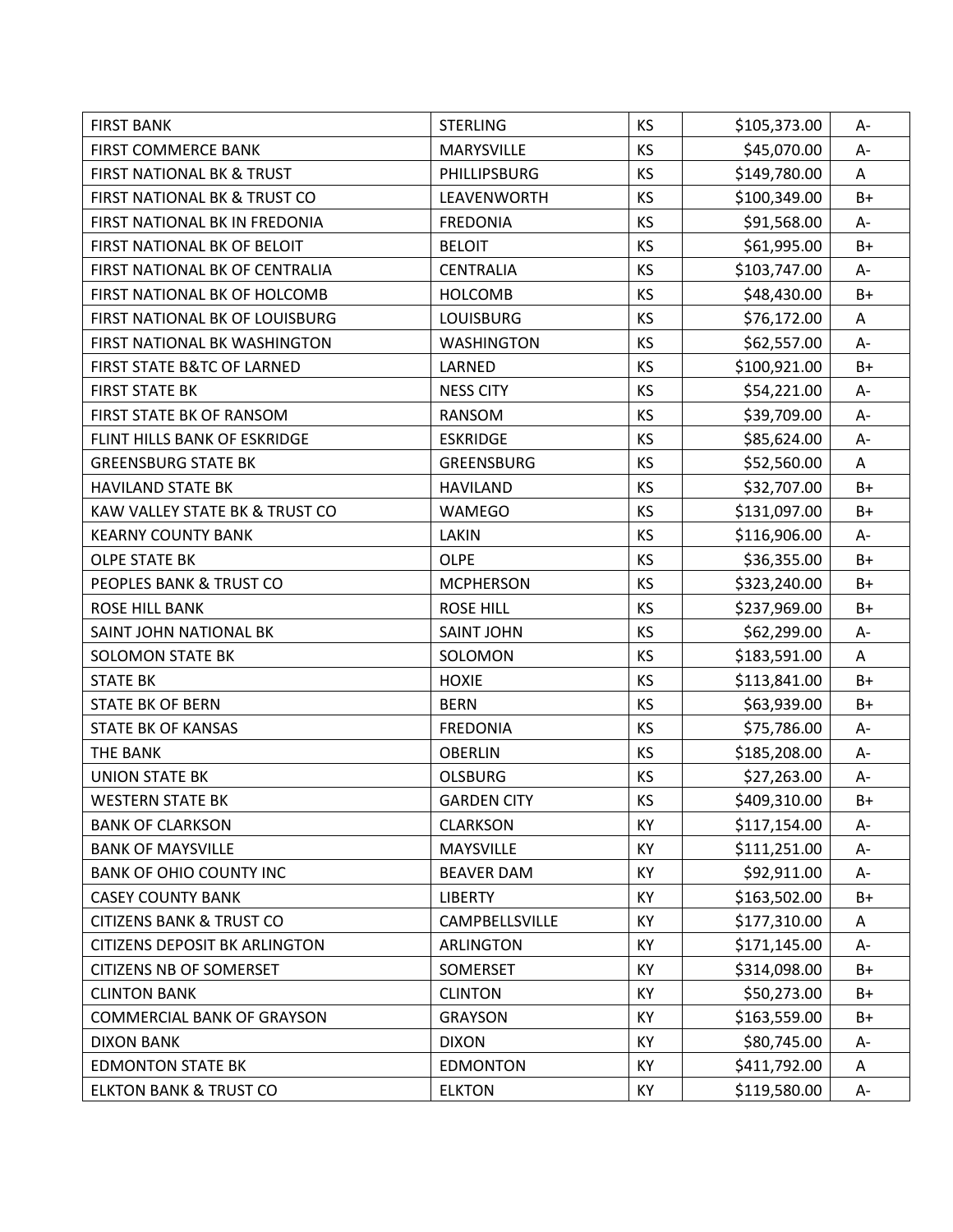| <b>FIRST BANK</b>                     | <b>STERLING</b>    | KS        | \$105,373.00 | А-    |
|---------------------------------------|--------------------|-----------|--------------|-------|
| <b>FIRST COMMERCE BANK</b>            | MARYSVILLE         | <b>KS</b> | \$45,070.00  | A-    |
| FIRST NATIONAL BK & TRUST             | PHILLIPSBURG       | KS        | \$149,780.00 | A     |
| FIRST NATIONAL BK & TRUST CO          | LEAVENWORTH        | KS        | \$100,349.00 | $B+$  |
| FIRST NATIONAL BK IN FREDONIA         | <b>FREDONIA</b>    | KS        | \$91,568.00  | A-    |
| FIRST NATIONAL BK OF BELOIT           | <b>BELOIT</b>      | KS        | \$61,995.00  | $B+$  |
| FIRST NATIONAL BK OF CENTRALIA        | <b>CENTRALIA</b>   | KS        | \$103,747.00 | A-    |
| FIRST NATIONAL BK OF HOLCOMB          | <b>HOLCOMB</b>     | KS        | \$48,430.00  | $B+$  |
| FIRST NATIONAL BK OF LOUISBURG        | <b>LOUISBURG</b>   | KS        | \$76,172.00  | A     |
| FIRST NATIONAL BK WASHINGTON          | <b>WASHINGTON</b>  | KS        | \$62,557.00  | $A -$ |
| <b>FIRST STATE B&amp;TC OF LARNED</b> | LARNED             | KS        | \$100,921.00 | $B+$  |
| <b>FIRST STATE BK</b>                 | <b>NESS CITY</b>   | KS        | \$54,221.00  | A-    |
| FIRST STATE BK OF RANSOM              | RANSOM             | KS        | \$39,709.00  | A-    |
| FLINT HILLS BANK OF ESKRIDGE          | <b>ESKRIDGE</b>    | <b>KS</b> | \$85,624.00  | A-    |
| <b>GREENSBURG STATE BK</b>            | <b>GREENSBURG</b>  | KS        | \$52,560.00  | A     |
| <b>HAVILAND STATE BK</b>              | <b>HAVILAND</b>    | KS        | \$32,707.00  | $B+$  |
| KAW VALLEY STATE BK & TRUST CO        | <b>WAMEGO</b>      | KS        | \$131,097.00 | $B+$  |
| <b>KEARNY COUNTY BANK</b>             | LAKIN              | KS        | \$116,906.00 | A-    |
| <b>OLPE STATE BK</b>                  | <b>OLPE</b>        | KS        | \$36,355.00  | $B+$  |
| PEOPLES BANK & TRUST CO               | <b>MCPHERSON</b>   | KS        | \$323,240.00 | B+    |
| <b>ROSE HILL BANK</b>                 | <b>ROSE HILL</b>   | KS        | \$237,969.00 | B+    |
| SAINT JOHN NATIONAL BK                | <b>SAINT JOHN</b>  | KS        | \$62,299.00  | $A-$  |
| <b>SOLOMON STATE BK</b>               | SOLOMON            | KS        | \$183,591.00 | A     |
| <b>STATE BK</b>                       | <b>HOXIE</b>       | KS        | \$113,841.00 | $B+$  |
| <b>STATE BK OF BERN</b>               | <b>BERN</b>        | KS        | \$63,939.00  | $B+$  |
| <b>STATE BK OF KANSAS</b>             | <b>FREDONIA</b>    | KS        | \$75,786.00  | A-    |
| THE BANK                              | <b>OBERLIN</b>     | KS        | \$185,208.00 | A-    |
| <b>UNION STATE BK</b>                 | <b>OLSBURG</b>     | KS        | \$27,263.00  | $A-$  |
| <b>WESTERN STATE BK</b>               | <b>GARDEN CITY</b> | KS        | \$409,310.00 | $B+$  |
| <b>BANK OF CLARKSON</b>               | <b>CLARKSON</b>    | KY        | \$117,154.00 | A-    |
| <b>BANK OF MAYSVILLE</b>              | <b>MAYSVILLE</b>   | KY        | \$111,251.00 | А-    |
| <b>BANK OF OHIO COUNTY INC</b>        | <b>BEAVER DAM</b>  | KY        | \$92,911.00  | A-    |
| <b>CASEY COUNTY BANK</b>              | <b>LIBERTY</b>     | KY        | \$163,502.00 | B+    |
| <b>CITIZENS BANK &amp; TRUST CO</b>   | CAMPBELLSVILLE     | KY        | \$177,310.00 | Α     |
| <b>CITIZENS DEPOSIT BK ARLINGTON</b>  | <b>ARLINGTON</b>   | KY        | \$171,145.00 | A-    |
| <b>CITIZENS NB OF SOMERSET</b>        | SOMERSET           | KY        | \$314,098.00 | B+    |
| <b>CLINTON BANK</b>                   | <b>CLINTON</b>     | KY        | \$50,273.00  | B+    |
| <b>COMMERCIAL BANK OF GRAYSON</b>     | <b>GRAYSON</b>     | KY        | \$163,559.00 | B+    |
| <b>DIXON BANK</b>                     | <b>DIXON</b>       | KY        | \$80,745.00  | A-    |
| <b>EDMONTON STATE BK</b>              | <b>EDMONTON</b>    | KY        | \$411,792.00 | Α     |
| <b>ELKTON BANK &amp; TRUST CO</b>     | <b>ELKTON</b>      | KY        | \$119,580.00 | A-    |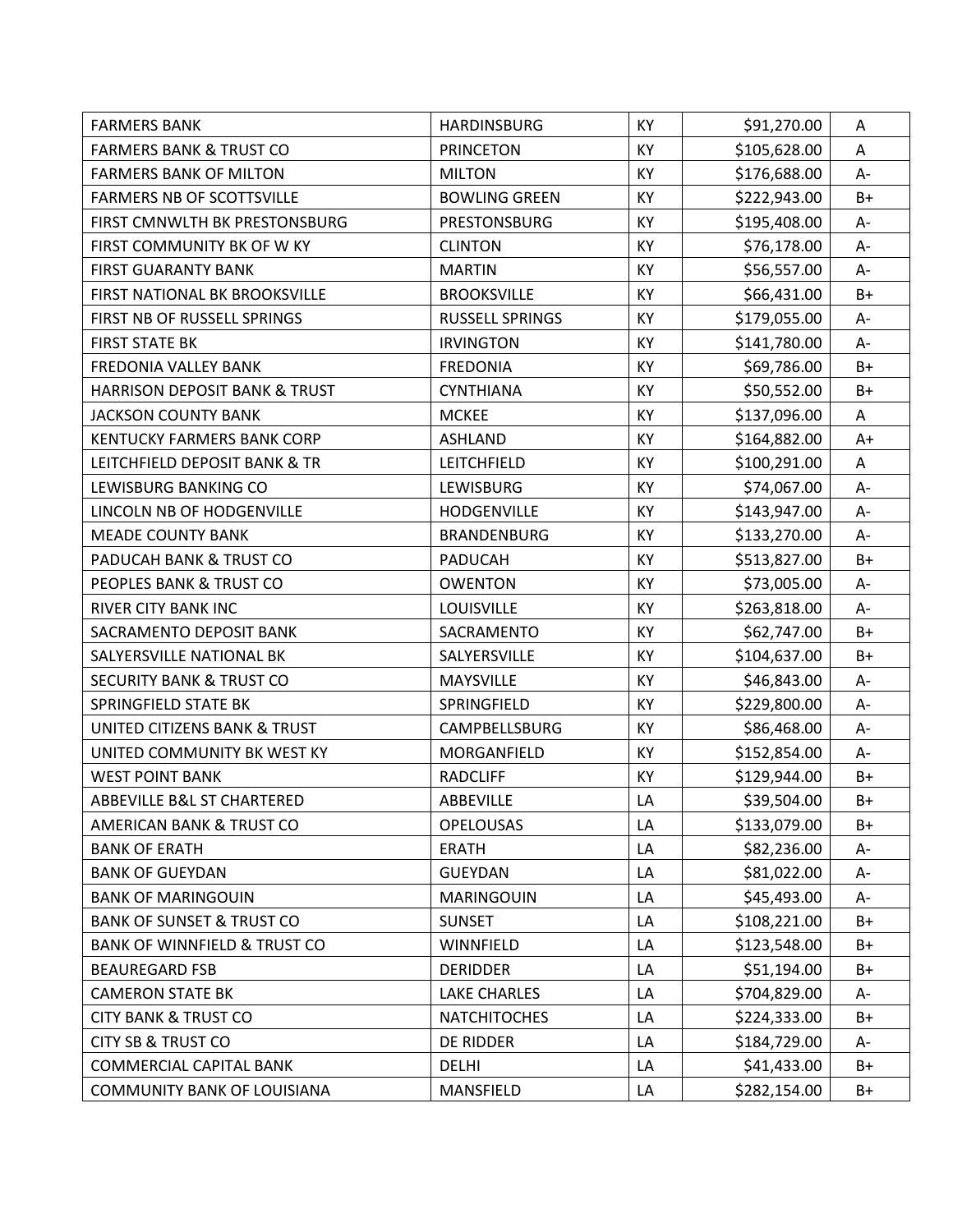| <b>FARMERS BANK</b>                      | <b>HARDINSBURG</b>     | KY | \$91,270.00  | Α     |
|------------------------------------------|------------------------|----|--------------|-------|
| <b>FARMERS BANK &amp; TRUST CO</b>       | <b>PRINCETON</b>       | KY | \$105,628.00 | Α     |
| <b>FARMERS BANK OF MILTON</b>            | <b>MILTON</b>          | KY | \$176,688.00 | A-    |
| <b>FARMERS NB OF SCOTTSVILLE</b>         | <b>BOWLING GREEN</b>   | KY | \$222,943.00 | $B+$  |
| FIRST CMNWLTH BK PRESTONSBURG            | <b>PRESTONSBURG</b>    | KY | \$195,408.00 | $A -$ |
| FIRST COMMUNITY BK OF W KY               | <b>CLINTON</b>         | KY | \$76,178.00  | A-    |
| <b>FIRST GUARANTY BANK</b>               | <b>MARTIN</b>          | KY | \$56,557.00  | A-    |
| FIRST NATIONAL BK BROOKSVILLE            | <b>BROOKSVILLE</b>     | KY | \$66,431.00  | $B+$  |
| FIRST NB OF RUSSELL SPRINGS              | <b>RUSSELL SPRINGS</b> | KY | \$179,055.00 | A-    |
| <b>FIRST STATE BK</b>                    | <b>IRVINGTON</b>       | KY | \$141,780.00 | A-    |
| FREDONIA VALLEY BANK                     | <b>FREDONIA</b>        | KY | \$69,786.00  | $B+$  |
| <b>HARRISON DEPOSIT BANK &amp; TRUST</b> | <b>CYNTHIANA</b>       | KY | \$50,552.00  | $B+$  |
| <b>JACKSON COUNTY BANK</b>               | <b>MCKEE</b>           | KY | \$137,096.00 | A     |
| <b>KENTUCKY FARMERS BANK CORP</b>        | <b>ASHLAND</b>         | KY | \$164,882.00 | $A+$  |
| LEITCHFIELD DEPOSIT BANK & TR            | LEITCHFIELD            | KY | \$100,291.00 | Α     |
| LEWISBURG BANKING CO                     | LEWISBURG              | KY | \$74,067.00  | А-    |
| LINCOLN NB OF HODGENVILLE                | HODGENVILLE            | KY | \$143,947.00 | $A -$ |
| <b>MEADE COUNTY BANK</b>                 | <b>BRANDENBURG</b>     | KY | \$133,270.00 | A-    |
| PADUCAH BANK & TRUST CO                  | PADUCAH                | KY | \$513,827.00 | $B+$  |
| PEOPLES BANK & TRUST CO                  | <b>OWENTON</b>         | KY | \$73,005.00  | A-    |
| RIVER CITY BANK INC                      | LOUISVILLE             | KY | \$263,818.00 | A-    |
| SACRAMENTO DEPOSIT BANK                  | SACRAMENTO             | KY | \$62,747.00  | $B+$  |
| SALYERSVILLE NATIONAL BK                 | SALYERSVILLE           | KY | \$104,637.00 | $B+$  |
| <b>SECURITY BANK &amp; TRUST CO</b>      | <b>MAYSVILLE</b>       | KY | \$46,843.00  | A-    |
| SPRINGFIELD STATE BK                     | SPRINGFIELD            | KY | \$229,800.00 | A-    |
| UNITED CITIZENS BANK & TRUST             | CAMPBELLSBURG          | KY | \$86,468.00  | A-    |
| UNITED COMMUNITY BK WEST KY              | MORGANFIELD            | KY | \$152,854.00 | $A-$  |
| <b>WEST POINT BANK</b>                   | <b>RADCLIFF</b>        | KY | \$129,944.00 | $B+$  |
| <b>ABBEVILLE B&amp;L ST CHARTERED</b>    | ABBEVILLE              | LA | \$39,504.00  | $B+$  |
| AMERICAN BANK & TRUST CO                 | <b>OPELOUSAS</b>       | LA | \$133,079.00 | B+    |
| <b>BANK OF ERATH</b>                     | <b>ERATH</b>           | LA | \$82,236.00  | А-    |
| <b>BANK OF GUEYDAN</b>                   | <b>GUEYDAN</b>         | LA | \$81,022.00  | А-    |
| <b>BANK OF MARINGOUIN</b>                | MARINGOUIN             | LA | \$45,493.00  | А-    |
| <b>BANK OF SUNSET &amp; TRUST CO</b>     | <b>SUNSET</b>          | LA | \$108,221.00 | $B+$  |
| <b>BANK OF WINNFIELD &amp; TRUST CO</b>  | WINNFIELD              | LA | \$123,548.00 | B+    |
| <b>BEAUREGARD FSB</b>                    | <b>DERIDDER</b>        | LA | \$51,194.00  | $B+$  |
| <b>CAMERON STATE BK</b>                  | <b>LAKE CHARLES</b>    | LA | \$704,829.00 | A-    |
| <b>CITY BANK &amp; TRUST CO</b>          | <b>NATCHITOCHES</b>    | LA | \$224,333.00 | B+    |
| <b>CITY SB &amp; TRUST CO</b>            | DE RIDDER              | LA | \$184,729.00 | А-    |
| <b>COMMERCIAL CAPITAL BANK</b>           | <b>DELHI</b>           | LA | \$41,433.00  | $B+$  |
| <b>COMMUNITY BANK OF LOUISIANA</b>       | MANSFIELD              | LA | \$282,154.00 | $B+$  |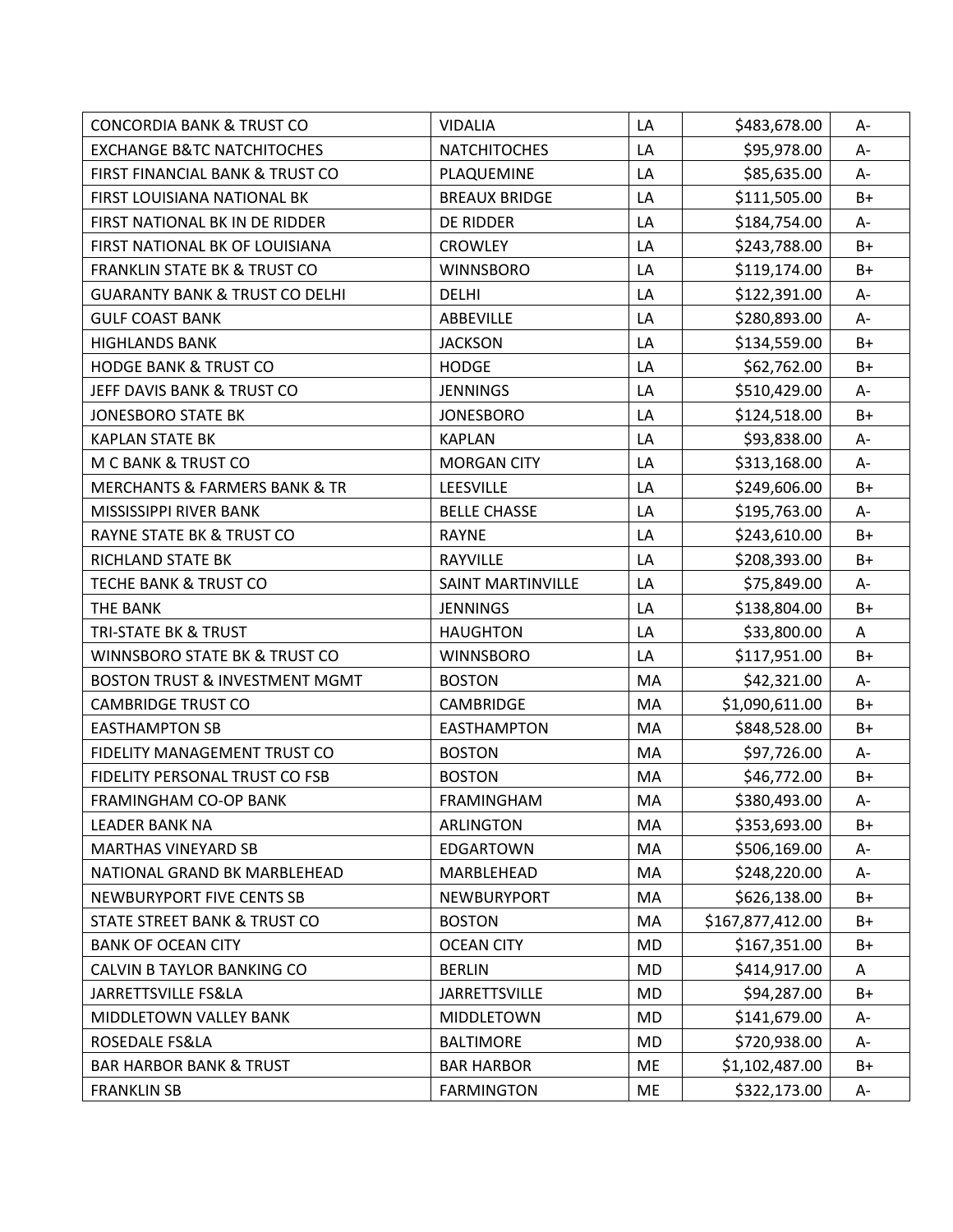| <b>CONCORDIA BANK &amp; TRUST CO</b>         | <b>VIDALIA</b>           | LA        | \$483,678.00     | А-   |
|----------------------------------------------|--------------------------|-----------|------------------|------|
| <b>EXCHANGE B&amp;TC NATCHITOCHES</b>        | <b>NATCHITOCHES</b>      | LA        | \$95,978.00      | A-   |
| FIRST FINANCIAL BANK & TRUST CO              | PLAQUEMINE               | LA        | \$85,635.00      | A-   |
| FIRST LOUISIANA NATIONAL BK                  | <b>BREAUX BRIDGE</b>     | LA        | \$111,505.00     | $B+$ |
| FIRST NATIONAL BK IN DE RIDDER               | DE RIDDER                | LA        | \$184,754.00     | A-   |
| FIRST NATIONAL BK OF LOUISIANA               | <b>CROWLEY</b>           | LA        | \$243,788.00     | $B+$ |
| <b>FRANKLIN STATE BK &amp; TRUST CO</b>      | <b>WINNSBORO</b>         | LA        | \$119,174.00     | $B+$ |
| <b>GUARANTY BANK &amp; TRUST CO DELHI</b>    | <b>DELHI</b>             | LA        | \$122,391.00     | A-   |
| <b>GULF COAST BANK</b>                       | ABBEVILLE                | LA        | \$280,893.00     | A-   |
| <b>HIGHLANDS BANK</b>                        | <b>JACKSON</b>           | LA        | \$134,559.00     | $B+$ |
| <b>HODGE BANK &amp; TRUST CO</b>             | <b>HODGE</b>             | LA        | \$62,762.00      | $B+$ |
| JEFF DAVIS BANK & TRUST CO                   | <b>JENNINGS</b>          | LA        | \$510,429.00     | A-   |
| <b>JONESBORO STATE BK</b>                    | <b>JONESBORO</b>         | LA        | \$124,518.00     | B+   |
| <b>KAPLAN STATE BK</b>                       | <b>KAPLAN</b>            | LA        | \$93,838.00      | A-   |
| M C BANK & TRUST CO                          | <b>MORGAN CITY</b>       | LA        | \$313,168.00     | A-   |
| <b>MERCHANTS &amp; FARMERS BANK &amp; TR</b> | LEESVILLE                | LA        | \$249,606.00     | $B+$ |
| MISSISSIPPI RIVER BANK                       | <b>BELLE CHASSE</b>      | LA        | \$195,763.00     | A-   |
| RAYNE STATE BK & TRUST CO                    | <b>RAYNE</b>             | LA        | \$243,610.00     | $B+$ |
| RICHLAND STATE BK                            | <b>RAYVILLE</b>          | LA        | \$208,393.00     | $B+$ |
| <b>TECHE BANK &amp; TRUST CO</b>             | <b>SAINT MARTINVILLE</b> | LA        | \$75,849.00      | A-   |
| THE BANK                                     | <b>JENNINGS</b>          | LA        | \$138,804.00     | B+   |
| TRI-STATE BK & TRUST                         | <b>HAUGHTON</b>          | LA        | \$33,800.00      | A    |
| WINNSBORO STATE BK & TRUST CO                | <b>WINNSBORO</b>         | LA        | \$117,951.00     | $B+$ |
| <b>BOSTON TRUST &amp; INVESTMENT MGMT</b>    | <b>BOSTON</b>            | MA        | \$42,321.00      | A-   |
| <b>CAMBRIDGE TRUST CO</b>                    | <b>CAMBRIDGE</b>         | MA        | \$1,090,611.00   | $B+$ |
| <b>EASTHAMPTON SB</b>                        | <b>EASTHAMPTON</b>       | MA        | \$848,528.00     | $B+$ |
| FIDELITY MANAGEMENT TRUST CO                 | <b>BOSTON</b>            | MA        | \$97,726.00      | A-   |
| FIDELITY PERSONAL TRUST CO FSB               | <b>BOSTON</b>            | MA        | \$46,772.00      | $B+$ |
| FRAMINGHAM CO-OP BANK                        | <b>FRAMINGHAM</b>        | MA        | \$380,493.00     | A-   |
| <b>LEADER BANK NA</b>                        | <b>ARLINGTON</b>         | MA        | \$353,693.00     | B+   |
| <b>MARTHAS VINEYARD SB</b>                   | <b>EDGARTOWN</b>         | MA        | \$506,169.00     | А-   |
| NATIONAL GRAND BK MARBLEHEAD                 | MARBLEHEAD               | MA        | \$248,220.00     | A-   |
| NEWBURYPORT FIVE CENTS SB                    | NEWBURYPORT              | MA        | \$626,138.00     | $B+$ |
| STATE STREET BANK & TRUST CO                 | <b>BOSTON</b>            | MA        | \$167,877,412.00 | $B+$ |
| <b>BANK OF OCEAN CITY</b>                    | <b>OCEAN CITY</b>        | <b>MD</b> | \$167,351.00     | $B+$ |
| CALVIN B TAYLOR BANKING CO                   | <b>BERLIN</b>            | <b>MD</b> | \$414,917.00     | Α    |
| JARRETTSVILLE FS&LA                          | <b>JARRETTSVILLE</b>     | MD        | \$94,287.00      | B+   |
| MIDDLETOWN VALLEY BANK                       | MIDDLETOWN               | <b>MD</b> | \$141,679.00     | A-   |
| ROSEDALE FS&LA                               | <b>BALTIMORE</b>         | MD        | \$720,938.00     | A-   |
| <b>BAR HARBOR BANK &amp; TRUST</b>           | <b>BAR HARBOR</b>        | ME        | \$1,102,487.00   | $B+$ |
| <b>FRANKLIN SB</b>                           | <b>FARMINGTON</b>        | ME        | \$322,173.00     | A-   |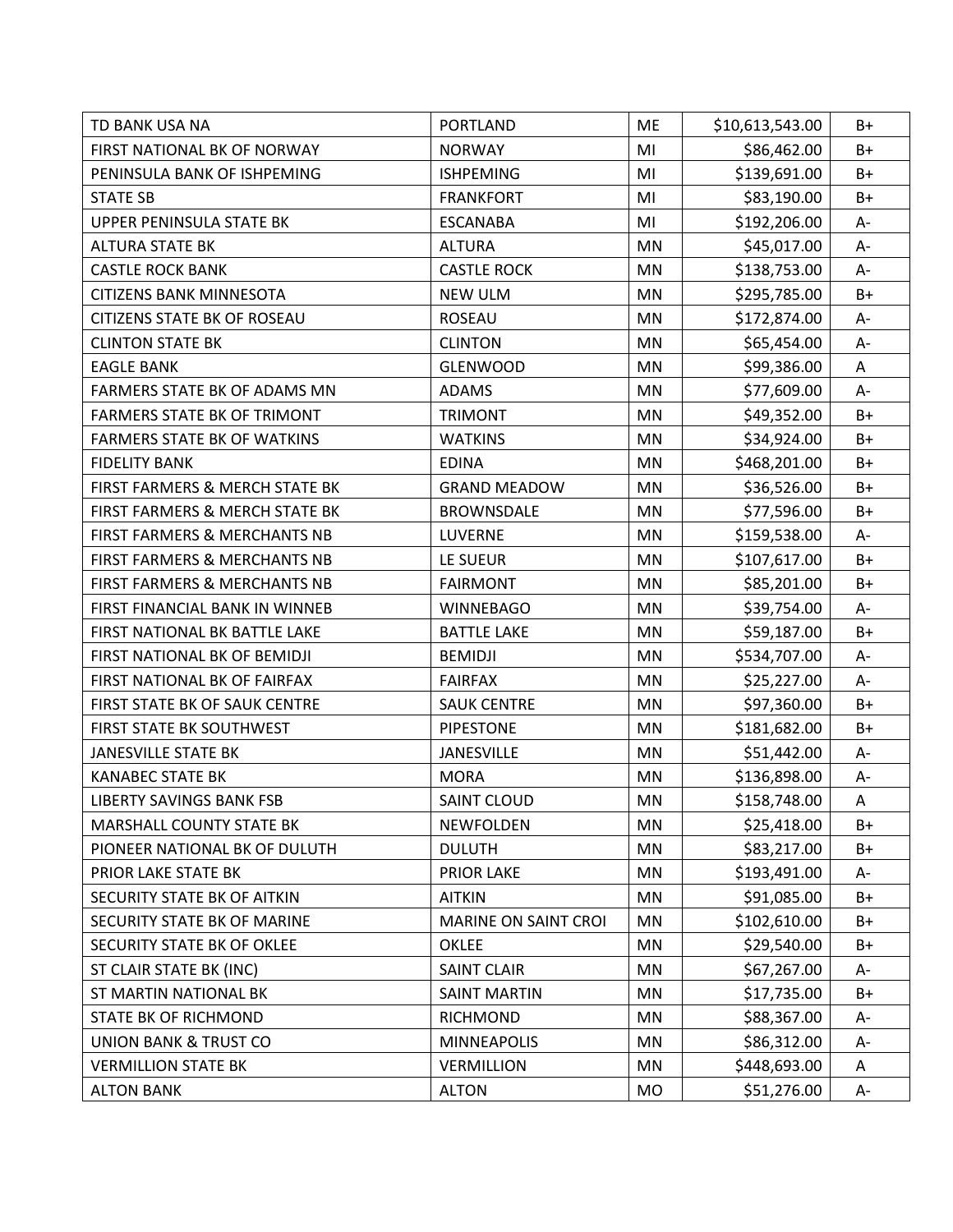| TD BANK USA NA                          | <b>PORTLAND</b>      | <b>ME</b> | \$10,613,543.00 | B+   |
|-----------------------------------------|----------------------|-----------|-----------------|------|
| FIRST NATIONAL BK OF NORWAY             | <b>NORWAY</b>        | MI        | \$86,462.00     | B+   |
| PENINSULA BANK OF ISHPEMING             | <b>ISHPEMING</b>     | MI        | \$139,691.00    | B+   |
| <b>STATE SB</b>                         | <b>FRANKFORT</b>     | MI        | \$83,190.00     | B+   |
| UPPER PENINSULA STATE BK                | <b>ESCANABA</b>      | MI        | \$192,206.00    | $A-$ |
| <b>ALTURA STATE BK</b>                  | <b>ALTURA</b>        | <b>MN</b> | \$45,017.00     | A-   |
| <b>CASTLE ROCK BANK</b>                 | <b>CASTLE ROCK</b>   | <b>MN</b> | \$138,753.00    | A-   |
| <b>CITIZENS BANK MINNESOTA</b>          | <b>NEW ULM</b>       | MN        | \$295,785.00    | $B+$ |
| <b>CITIZENS STATE BK OF ROSEAU</b>      | <b>ROSEAU</b>        | <b>MN</b> | \$172,874.00    | A-   |
| <b>CLINTON STATE BK</b>                 | <b>CLINTON</b>       | MN        | \$65,454.00     | A-   |
| <b>EAGLE BANK</b>                       | <b>GLENWOOD</b>      | MN        | \$99,386.00     | A    |
| FARMERS STATE BK OF ADAMS MN            | <b>ADAMS</b>         | <b>MN</b> | \$77,609.00     | $A-$ |
| <b>FARMERS STATE BK OF TRIMONT</b>      | <b>TRIMONT</b>       | MN        | \$49,352.00     | B+   |
| <b>FARMERS STATE BK OF WATKINS</b>      | <b>WATKINS</b>       | MN        | \$34,924.00     | B+   |
| <b>FIDELITY BANK</b>                    | <b>EDINA</b>         | MN        | \$468,201.00    | B+   |
| FIRST FARMERS & MERCH STATE BK          | <b>GRAND MEADOW</b>  | MN        | \$36,526.00     | B+   |
| FIRST FARMERS & MERCH STATE BK          | <b>BROWNSDALE</b>    | MN        | \$77,596.00     | $B+$ |
| <b>FIRST FARMERS &amp; MERCHANTS NB</b> | <b>LUVERNE</b>       | <b>MN</b> | \$159,538.00    | A-   |
| FIRST FARMERS & MERCHANTS NB            | LE SUEUR             | <b>MN</b> | \$107,617.00    | B+   |
| FIRST FARMERS & MERCHANTS NB            | <b>FAIRMONT</b>      | MN        | \$85,201.00     | $B+$ |
| FIRST FINANCIAL BANK IN WINNEB          | <b>WINNEBAGO</b>     | <b>MN</b> | \$39,754.00     | A-   |
| FIRST NATIONAL BK BATTLE LAKE           | <b>BATTLE LAKE</b>   | MN        | \$59,187.00     | $B+$ |
| FIRST NATIONAL BK OF BEMIDJI            | <b>BEMIDJI</b>       | MN        | \$534,707.00    | A-   |
| FIRST NATIONAL BK OF FAIRFAX            | <b>FAIRFAX</b>       | <b>MN</b> | \$25,227.00     | A-   |
| FIRST STATE BK OF SAUK CENTRE           | <b>SAUK CENTRE</b>   | <b>MN</b> | \$97,360.00     | B+   |
| FIRST STATE BK SOUTHWEST                | <b>PIPESTONE</b>     | MN        | \$181,682.00    | $B+$ |
| JANESVILLE STATE BK                     | <b>JANESVILLE</b>    | MN        | \$51,442.00     | A-   |
| <b>KANABEC STATE BK</b>                 | <b>MORA</b>          | MN        | \$136,898.00    | $A-$ |
| <b>LIBERTY SAVINGS BANK FSB</b>         | <b>SAINT CLOUD</b>   | MN        | \$158,748.00    | A    |
| <b>MARSHALL COUNTY STATE BK</b>         | <b>NEWFOLDEN</b>     | MN        | \$25,418.00     | B+   |
| PIONEER NATIONAL BK OF DULUTH           | <b>DULUTH</b>        | MN        | \$83,217.00     | B+   |
| PRIOR LAKE STATE BK                     | <b>PRIOR LAKE</b>    | MN        | \$193,491.00    | A-   |
| SECURITY STATE BK OF AITKIN             | <b>AITKIN</b>        | MN        | \$91,085.00     | B+   |
| SECURITY STATE BK OF MARINE             | MARINE ON SAINT CROI | MN        | \$102,610.00    | B+   |
| SECURITY STATE BK OF OKLEE              | <b>OKLEE</b>         | MN        | \$29,540.00     | $B+$ |
| ST CLAIR STATE BK (INC)                 | <b>SAINT CLAIR</b>   | <b>MN</b> | \$67,267.00     | A-   |
| ST MARTIN NATIONAL BK                   | <b>SAINT MARTIN</b>  | MN        | \$17,735.00     | B+   |
| STATE BK OF RICHMOND                    | RICHMOND             | MN        | \$88,367.00     | A-   |
| <b>UNION BANK &amp; TRUST CO</b>        | <b>MINNEAPOLIS</b>   | MN        | \$86,312.00     | A-   |
| <b>VERMILLION STATE BK</b>              | <b>VERMILLION</b>    | MN        | \$448,693.00    | Α    |
| <b>ALTON BANK</b>                       | <b>ALTON</b>         | MO        | \$51,276.00     | A-   |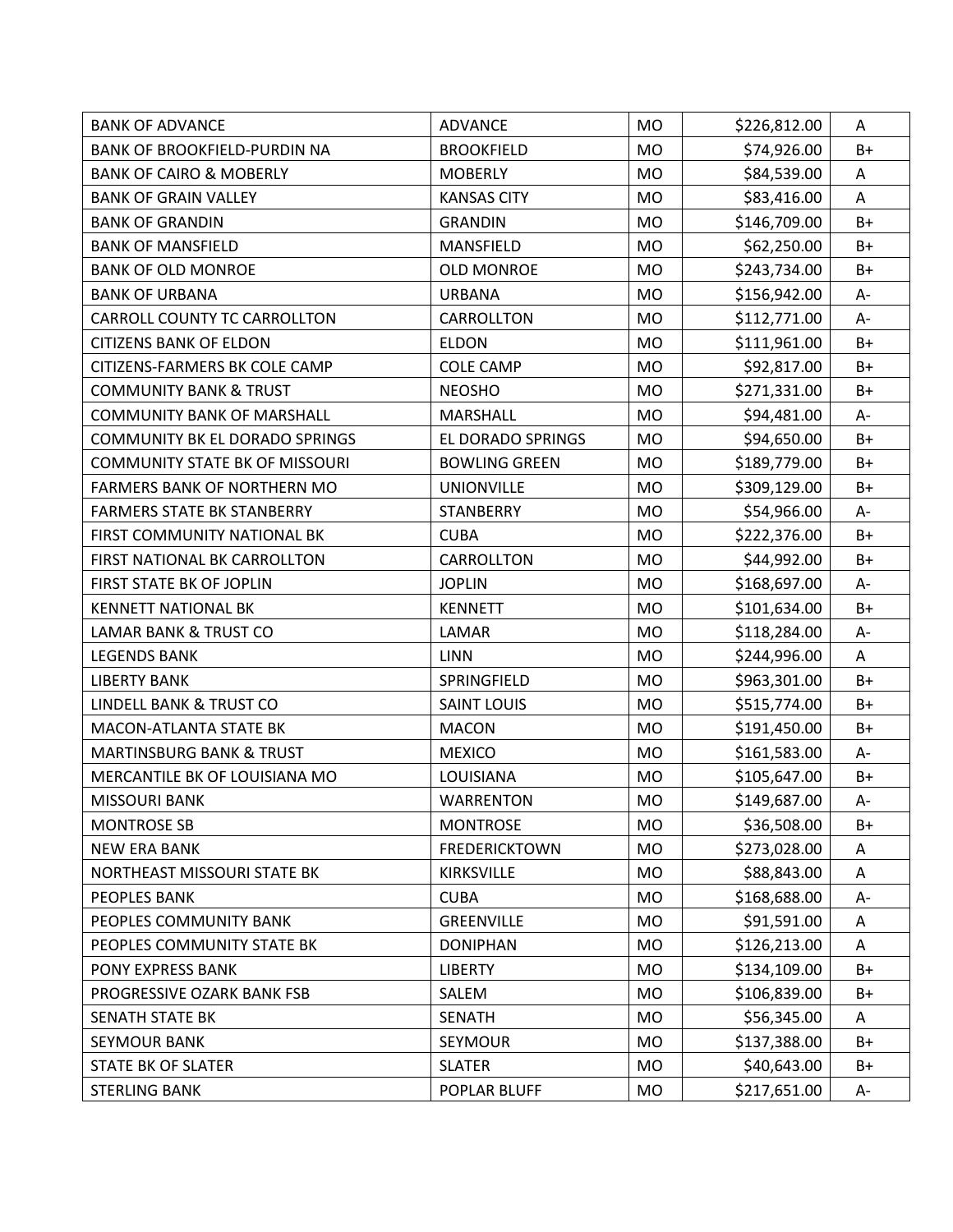| <b>BANK OF ADVANCE</b>                | <b>ADVANCE</b>       | <b>MO</b> | \$226,812.00 | A     |
|---------------------------------------|----------------------|-----------|--------------|-------|
| <b>BANK OF BROOKFIELD-PURDIN NA</b>   | <b>BROOKFIELD</b>    | <b>MO</b> | \$74,926.00  | $B+$  |
| <b>BANK OF CAIRO &amp; MOBERLY</b>    | <b>MOBERLY</b>       | <b>MO</b> | \$84,539.00  | A     |
| <b>BANK OF GRAIN VALLEY</b>           | <b>KANSAS CITY</b>   | <b>MO</b> | \$83,416.00  | A     |
| <b>BANK OF GRANDIN</b>                | <b>GRANDIN</b>       | <b>MO</b> | \$146,709.00 | $B+$  |
| <b>BANK OF MANSFIELD</b>              | MANSFIELD            | <b>MO</b> | \$62,250.00  | B+    |
| <b>BANK OF OLD MONROE</b>             | <b>OLD MONROE</b>    | <b>MO</b> | \$243,734.00 | $B+$  |
| <b>BANK OF URBANA</b>                 | <b>URBANA</b>        | <b>MO</b> | \$156,942.00 | A-    |
| CARROLL COUNTY TC CARROLLTON          | CARROLLTON           | <b>MO</b> | \$112,771.00 | A-    |
| <b>CITIZENS BANK OF ELDON</b>         | <b>ELDON</b>         | <b>MO</b> | \$111,961.00 | $B+$  |
| CITIZENS-FARMERS BK COLE CAMP         | <b>COLE CAMP</b>     | <b>MO</b> | \$92,817.00  | $B+$  |
| <b>COMMUNITY BANK &amp; TRUST</b>     | <b>NEOSHO</b>        | <b>MO</b> | \$271,331.00 | $B+$  |
| <b>COMMUNITY BANK OF MARSHALL</b>     | <b>MARSHALL</b>      | <b>MO</b> | \$94,481.00  | A-    |
| <b>COMMUNITY BK EL DORADO SPRINGS</b> | EL DORADO SPRINGS    | <b>MO</b> | \$94,650.00  | B+    |
| <b>COMMUNITY STATE BK OF MISSOURI</b> | <b>BOWLING GREEN</b> | <b>MO</b> | \$189,779.00 | $B+$  |
| <b>FARMERS BANK OF NORTHERN MO</b>    | <b>UNIONVILLE</b>    | <b>MO</b> | \$309,129.00 | $B+$  |
| <b>FARMERS STATE BK STANBERRY</b>     | <b>STANBERRY</b>     | <b>MO</b> | \$54,966.00  | A-    |
| FIRST COMMUNITY NATIONAL BK           | <b>CUBA</b>          | <b>MO</b> | \$222,376.00 | $B+$  |
| FIRST NATIONAL BK CARROLLTON          | CARROLLTON           | <b>MO</b> | \$44,992.00  | $B+$  |
| FIRST STATE BK OF JOPLIN              | <b>JOPLIN</b>        | <b>MO</b> | \$168,697.00 | А-    |
| <b>KENNETT NATIONAL BK</b>            | <b>KENNETT</b>       | <b>MO</b> | \$101,634.00 | B+    |
| <b>LAMAR BANK &amp; TRUST CO</b>      | LAMAR                | <b>MO</b> | \$118,284.00 | $A-$  |
| <b>LEGENDS BANK</b>                   | <b>LINN</b>          | <b>MO</b> | \$244,996.00 | A     |
| <b>LIBERTY BANK</b>                   | SPRINGFIELD          | <b>MO</b> | \$963,301.00 | $B+$  |
| LINDELL BANK & TRUST CO               | <b>SAINT LOUIS</b>   | <b>MO</b> | \$515,774.00 | B+    |
| <b>MACON-ATLANTA STATE BK</b>         | <b>MACON</b>         | <b>MO</b> | \$191,450.00 | B+    |
| <b>MARTINSBURG BANK &amp; TRUST</b>   | <b>MEXICO</b>        | <b>MO</b> | \$161,583.00 | A-    |
| MERCANTILE BK OF LOUISIANA MO         | LOUISIANA            | <b>MO</b> | \$105,647.00 | $B+$  |
| <b>MISSOURI BANK</b>                  | <b>WARRENTON</b>     | <b>MO</b> | \$149,687.00 | $A -$ |
| <b>MONTROSE SB</b>                    | <b>MONTROSE</b>      | <b>MO</b> | \$36,508.00  | B+    |
| <b>NEW ERA BANK</b>                   | <b>FREDERICKTOWN</b> | <b>MO</b> | \$273,028.00 | A     |
| NORTHEAST MISSOURI STATE BK           | <b>KIRKSVILLE</b>    | MO        | \$88,843.00  | A     |
| PEOPLES BANK                          | <b>CUBA</b>          | <b>MO</b> | \$168,688.00 | A-    |
| PEOPLES COMMUNITY BANK                | <b>GREENVILLE</b>    | <b>MO</b> | \$91,591.00  | Α     |
| PEOPLES COMMUNITY STATE BK            | <b>DONIPHAN</b>      | <b>MO</b> | \$126,213.00 | A     |
| PONY EXPRESS BANK                     | <b>LIBERTY</b>       | <b>MO</b> | \$134,109.00 | $B+$  |
| PROGRESSIVE OZARK BANK FSB            | SALEM                | MO        | \$106,839.00 | B+    |
| SENATH STATE BK                       | <b>SENATH</b>        | MO        | \$56,345.00  | A     |
| <b>SEYMOUR BANK</b>                   | SEYMOUR              | <b>MO</b> | \$137,388.00 | $B+$  |
| STATE BK OF SLATER                    | <b>SLATER</b>        | <b>MO</b> | \$40,643.00  | $B+$  |
| <b>STERLING BANK</b>                  | POPLAR BLUFF         | MO        | \$217,651.00 | A-    |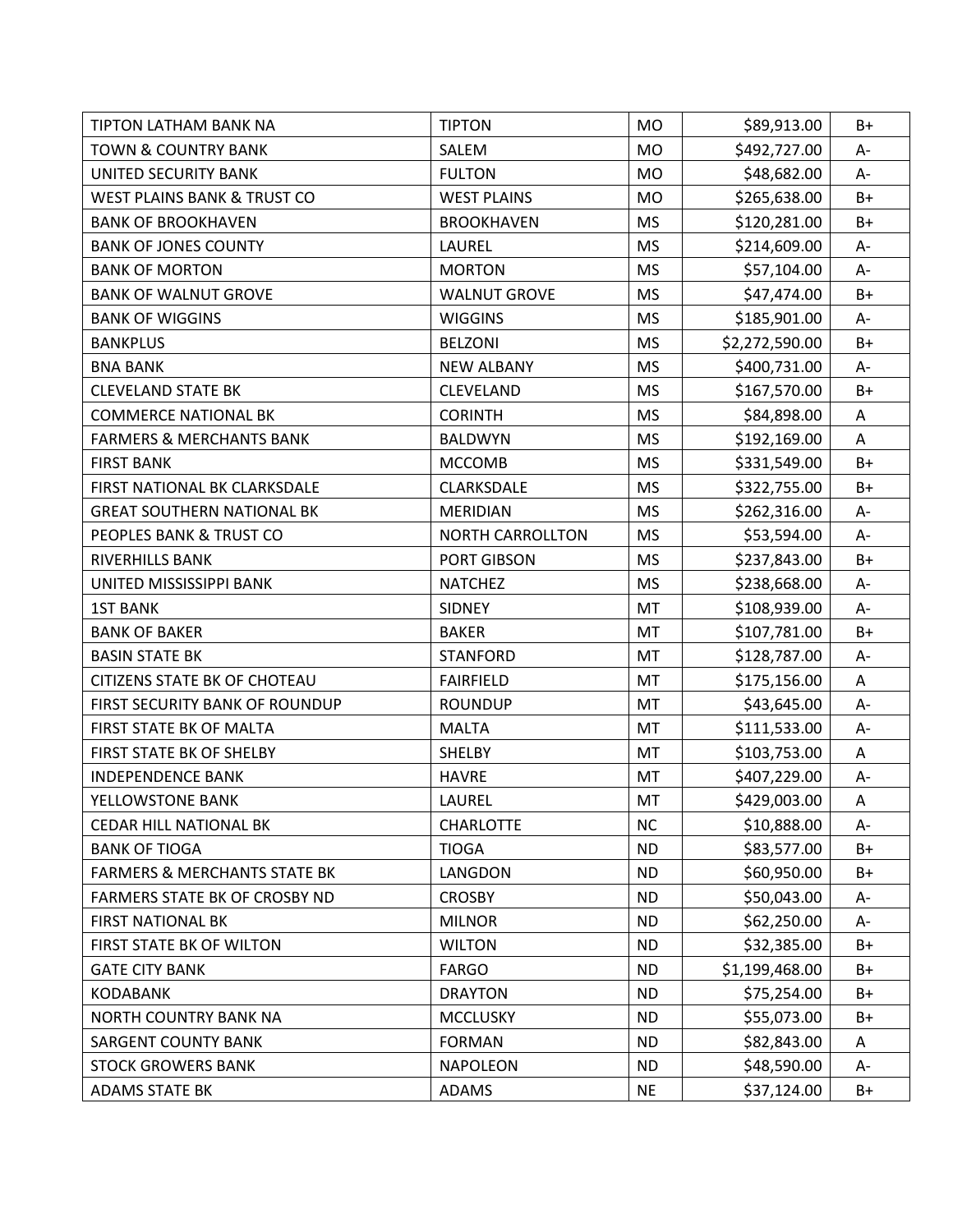| TIPTON LATHAM BANK NA                   | <b>TIPTON</b>           | <b>MO</b> | \$89,913.00    | B+                        |
|-----------------------------------------|-------------------------|-----------|----------------|---------------------------|
| <b>TOWN &amp; COUNTRY BANK</b>          | SALEM                   | <b>MO</b> | \$492,727.00   | A-                        |
| <b>UNITED SECURITY BANK</b>             | <b>FULTON</b>           | <b>MO</b> | \$48,682.00    | A-                        |
| WEST PLAINS BANK & TRUST CO             | <b>WEST PLAINS</b>      | <b>MO</b> | \$265,638.00   | $B+$                      |
| <b>BANK OF BROOKHAVEN</b>               | <b>BROOKHAVEN</b>       | <b>MS</b> | \$120,281.00   | $B+$                      |
| <b>BANK OF JONES COUNTY</b>             | LAUREL                  | <b>MS</b> | \$214,609.00   | A-                        |
| <b>BANK OF MORTON</b>                   | <b>MORTON</b>           | <b>MS</b> | \$57,104.00    | A-                        |
| <b>BANK OF WALNUT GROVE</b>             | <b>WALNUT GROVE</b>     | <b>MS</b> | \$47,474.00    | B+                        |
| <b>BANK OF WIGGINS</b>                  | <b>WIGGINS</b>          | <b>MS</b> | \$185,901.00   | A-                        |
| <b>BANKPLUS</b>                         | <b>BELZONI</b>          | <b>MS</b> | \$2,272,590.00 | $B+$                      |
| <b>BNA BANK</b>                         | <b>NEW ALBANY</b>       | <b>MS</b> | \$400,731.00   | A-                        |
| <b>CLEVELAND STATE BK</b>               | <b>CLEVELAND</b>        | <b>MS</b> | \$167,570.00   | $B+$                      |
| <b>COMMERCE NATIONAL BK</b>             | <b>CORINTH</b>          | <b>MS</b> | \$84,898.00    | A                         |
| <b>FARMERS &amp; MERCHANTS BANK</b>     | <b>BALDWYN</b>          | <b>MS</b> | \$192,169.00   | A                         |
| <b>FIRST BANK</b>                       | <b>MCCOMB</b>           | <b>MS</b> | \$331,549.00   | $B+$                      |
| FIRST NATIONAL BK CLARKSDALE            | <b>CLARKSDALE</b>       | <b>MS</b> | \$322,755.00   | $B+$                      |
| <b>GREAT SOUTHERN NATIONAL BK</b>       | <b>MERIDIAN</b>         | <b>MS</b> | \$262,316.00   | A-                        |
| PEOPLES BANK & TRUST CO                 | <b>NORTH CARROLLTON</b> | <b>MS</b> | \$53,594.00    | A-                        |
| <b>RIVERHILLS BANK</b>                  | PORT GIBSON             | <b>MS</b> | \$237,843.00   | $B+$                      |
| UNITED MISSISSIPPI BANK                 | <b>NATCHEZ</b>          | <b>MS</b> | \$238,668.00   | А-                        |
| <b>1ST BANK</b>                         | <b>SIDNEY</b>           | MT        | \$108,939.00   | A-                        |
| <b>BANK OF BAKER</b>                    | <b>BAKER</b>            | <b>MT</b> | \$107,781.00   | $B+$                      |
| <b>BASIN STATE BK</b>                   | <b>STANFORD</b>         | MT        | \$128,787.00   | A-                        |
| <b>CITIZENS STATE BK OF CHOTEAU</b>     | <b>FAIRFIELD</b>        | MT        | \$175,156.00   | A                         |
| FIRST SECURITY BANK OF ROUNDUP          | <b>ROUNDUP</b>          | MT        | \$43,645.00    | A-                        |
| FIRST STATE BK OF MALTA                 | <b>MALTA</b>            | MT        | \$111,533.00   | A-                        |
| FIRST STATE BK OF SHELBY                | SHELBY                  | MT        | \$103,753.00   | Α                         |
| <b>INDEPENDENCE BANK</b>                | <b>HAVRE</b>            | MT        | \$407,229.00   | A-                        |
| YELLOWSTONE BANK                        | LAUREL                  | MT        | \$429,003.00   | $\boldsymbol{\mathsf{A}}$ |
| <b>CEDAR HILL NATIONAL BK</b>           | <b>CHARLOTTE</b>        | <b>NC</b> | \$10,888.00    | A-                        |
| <b>BANK OF TIOGA</b>                    | <b>TIOGA</b>            | <b>ND</b> | \$83,577.00    | $B+$                      |
| <b>FARMERS &amp; MERCHANTS STATE BK</b> | LANGDON                 | <b>ND</b> | \$60,950.00    | $B+$                      |
| FARMERS STATE BK OF CROSBY ND           | <b>CROSBY</b>           | <b>ND</b> | \$50,043.00    | А-                        |
| <b>FIRST NATIONAL BK</b>                | <b>MILNOR</b>           | <b>ND</b> | \$62,250.00    | A-                        |
| FIRST STATE BK OF WILTON                | <b>WILTON</b>           | <b>ND</b> | \$32,385.00    | B+                        |
| <b>GATE CITY BANK</b>                   | <b>FARGO</b>            | <b>ND</b> | \$1,199,468.00 | $B+$                      |
| <b>KODABANK</b>                         | <b>DRAYTON</b>          | <b>ND</b> | \$75,254.00    | B+                        |
| NORTH COUNTRY BANK NA                   | <b>MCCLUSKY</b>         | <b>ND</b> | \$55,073.00    | $B+$                      |
| <b>SARGENT COUNTY BANK</b>              | <b>FORMAN</b>           | <b>ND</b> | \$82,843.00    | Α                         |
| <b>STOCK GROWERS BANK</b>               | <b>NAPOLEON</b>         | <b>ND</b> | \$48,590.00    | A-                        |
| <b>ADAMS STATE BK</b>                   | ADAMS                   | <b>NE</b> | \$37,124.00    | $B+$                      |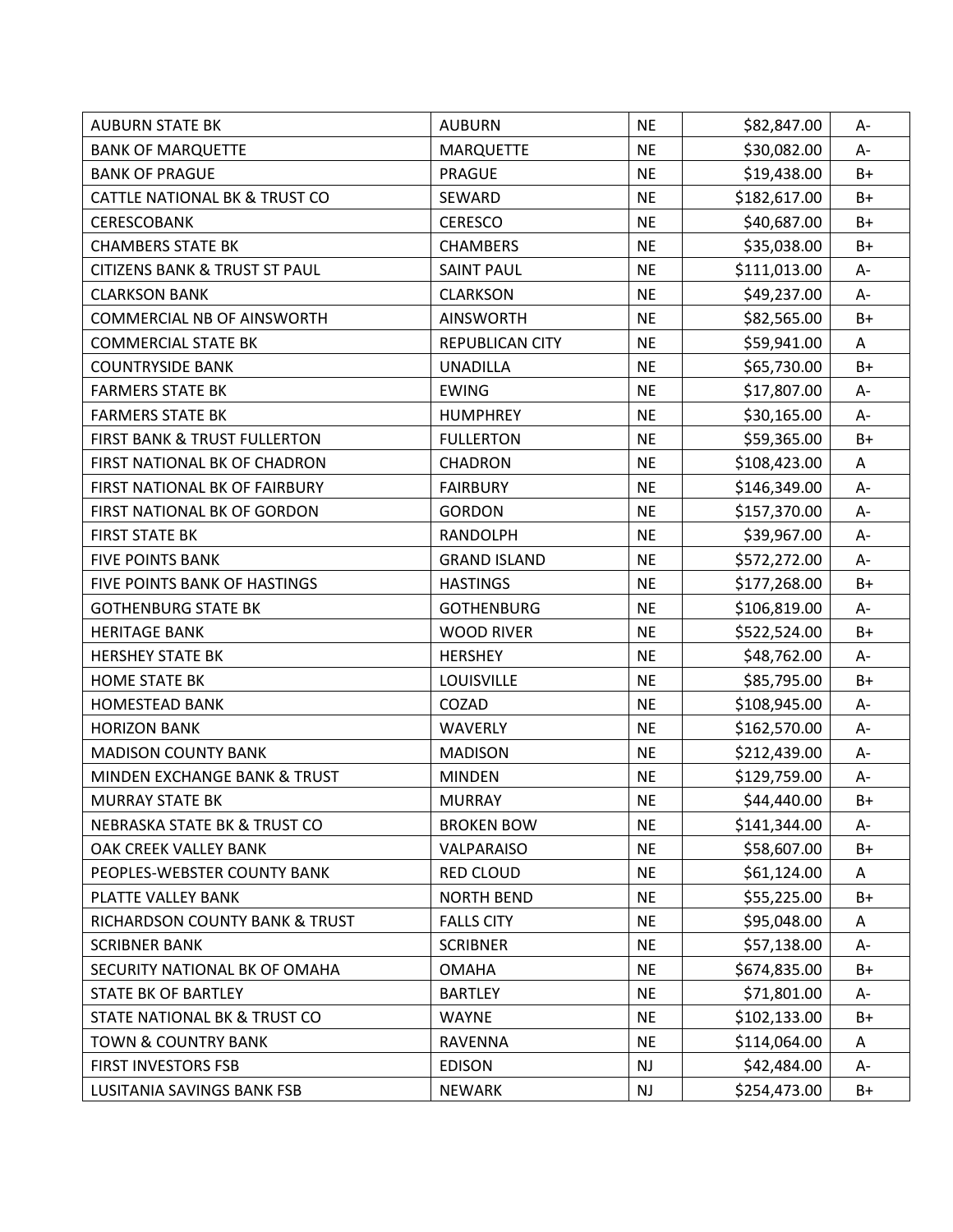| <b>AUBURN STATE BK</b>                   | <b>AUBURN</b>       | <b>NE</b> | \$82,847.00  | А-    |
|------------------------------------------|---------------------|-----------|--------------|-------|
| <b>BANK OF MARQUETTE</b>                 | <b>MARQUETTE</b>    | <b>NE</b> | \$30,082.00  | A-    |
| <b>BANK OF PRAGUE</b>                    | PRAGUE              | <b>NE</b> | \$19,438.00  | B+    |
| CATTLE NATIONAL BK & TRUST CO            | SEWARD              | <b>NE</b> | \$182,617.00 | B+    |
| <b>CERESCOBANK</b>                       | <b>CERESCO</b>      | <b>NE</b> | \$40,687.00  | $B+$  |
| <b>CHAMBERS STATE BK</b>                 | <b>CHAMBERS</b>     | <b>NE</b> | \$35,038.00  | B+    |
| <b>CITIZENS BANK &amp; TRUST ST PAUL</b> | <b>SAINT PAUL</b>   | <b>NE</b> | \$111,013.00 | A-    |
| <b>CLARKSON BANK</b>                     | <b>CLARKSON</b>     | <b>NE</b> | \$49,237.00  | А-    |
| <b>COMMERCIAL NB OF AINSWORTH</b>        | <b>AINSWORTH</b>    | <b>NE</b> | \$82,565.00  | B+    |
| <b>COMMERCIAL STATE BK</b>               | REPUBLICAN CITY     | <b>NE</b> | \$59,941.00  | A     |
| <b>COUNTRYSIDE BANK</b>                  | <b>UNADILLA</b>     | <b>NE</b> | \$65,730.00  | $B+$  |
| <b>FARMERS STATE BK</b>                  | <b>EWING</b>        | <b>NE</b> | \$17,807.00  | A-    |
| <b>FARMERS STATE BK</b>                  | <b>HUMPHREY</b>     | <b>NE</b> | \$30,165.00  | A-    |
| <b>FIRST BANK &amp; TRUST FULLERTON</b>  | <b>FULLERTON</b>    | <b>NE</b> | \$59,365.00  | $B+$  |
| FIRST NATIONAL BK OF CHADRON             | <b>CHADRON</b>      | <b>NE</b> | \$108,423.00 | A     |
| FIRST NATIONAL BK OF FAIRBURY            | <b>FAIRBURY</b>     | <b>NE</b> | \$146,349.00 | $A -$ |
| FIRST NATIONAL BK OF GORDON              | <b>GORDON</b>       | <b>NE</b> | \$157,370.00 | A-    |
| <b>FIRST STATE BK</b>                    | <b>RANDOLPH</b>     | <b>NE</b> | \$39,967.00  | А-    |
| <b>FIVE POINTS BANK</b>                  | <b>GRAND ISLAND</b> | <b>NE</b> | \$572,272.00 | A-    |
| FIVE POINTS BANK OF HASTINGS             | <b>HASTINGS</b>     | <b>NE</b> | \$177,268.00 | B+    |
| <b>GOTHENBURG STATE BK</b>               | <b>GOTHENBURG</b>   | <b>NE</b> | \$106,819.00 | A-    |
| <b>HERITAGE BANK</b>                     | <b>WOOD RIVER</b>   | <b>NE</b> | \$522,524.00 | $B+$  |
| <b>HERSHEY STATE BK</b>                  | <b>HERSHEY</b>      | <b>NE</b> | \$48,762.00  | A-    |
| <b>HOME STATE BK</b>                     | LOUISVILLE          | <b>NE</b> | \$85,795.00  | $B+$  |
| <b>HOMESTEAD BANK</b>                    | COZAD               | <b>NE</b> | \$108,945.00 | A-    |
| <b>HORIZON BANK</b>                      | <b>WAVERLY</b>      | <b>NE</b> | \$162,570.00 | A-    |
| <b>MADISON COUNTY BANK</b>               | <b>MADISON</b>      | <b>NE</b> | \$212,439.00 | A-    |
| <b>MINDEN EXCHANGE BANK &amp; TRUST</b>  | <b>MINDEN</b>       | <b>NE</b> | \$129,759.00 | $A-$  |
| <b>MURRAY STATE BK</b>                   | <b>MURRAY</b>       | <b>NE</b> | \$44,440.00  | $B+$  |
| <b>NEBRASKA STATE BK &amp; TRUST CO</b>  | <b>BROKEN BOW</b>   | <b>NE</b> | \$141,344.00 | A-    |
| OAK CREEK VALLEY BANK                    | VALPARAISO          | <b>NE</b> | \$58,607.00  | $B+$  |
| PEOPLES-WEBSTER COUNTY BANK              | RED CLOUD           | <b>NE</b> | \$61,124.00  | A     |
| PLATTE VALLEY BANK                       | <b>NORTH BEND</b>   | <b>NE</b> | \$55,225.00  | B+    |
| RICHARDSON COUNTY BANK & TRUST           | <b>FALLS CITY</b>   | <b>NE</b> | \$95,048.00  | Α     |
| <b>SCRIBNER BANK</b>                     | <b>SCRIBNER</b>     | <b>NE</b> | \$57,138.00  | A-    |
| SECURITY NATIONAL BK OF OMAHA            | <b>OMAHA</b>        | <b>NE</b> | \$674,835.00 | B+    |
| STATE BK OF BARTLEY                      | <b>BARTLEY</b>      | <b>NE</b> | \$71,801.00  | A-    |
| STATE NATIONAL BK & TRUST CO             | <b>WAYNE</b>        | <b>NE</b> | \$102,133.00 | B+    |
| <b>TOWN &amp; COUNTRY BANK</b>           | RAVENNA             | <b>NE</b> | \$114,064.00 | Α     |
| FIRST INVESTORS FSB                      | <b>EDISON</b>       | <b>NJ</b> | \$42,484.00  | A-    |
| LUSITANIA SAVINGS BANK FSB               | <b>NEWARK</b>       | <b>NJ</b> | \$254,473.00 | $B+$  |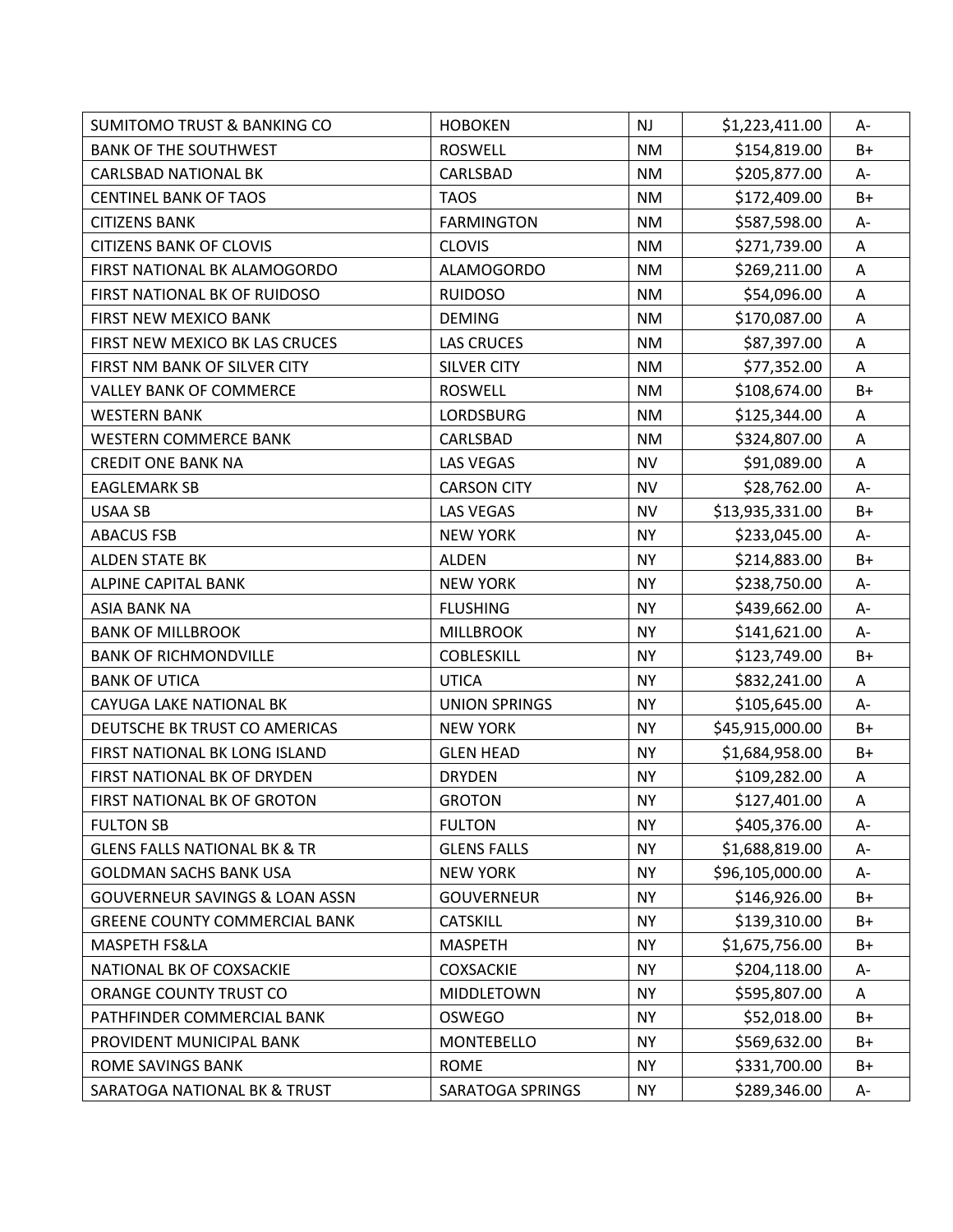| <b>SUMITOMO TRUST &amp; BANKING CO</b>    | <b>HOBOKEN</b>       | NJ        | \$1,223,411.00  | A-    |
|-------------------------------------------|----------------------|-----------|-----------------|-------|
| <b>BANK OF THE SOUTHWEST</b>              | <b>ROSWELL</b>       | <b>NM</b> | \$154,819.00    | $B+$  |
| <b>CARLSBAD NATIONAL BK</b>               | CARLSBAD             | <b>NM</b> | \$205,877.00    | A-    |
| <b>CENTINEL BANK OF TAOS</b>              | <b>TAOS</b>          | <b>NM</b> | \$172,409.00    | $B+$  |
| <b>CITIZENS BANK</b>                      | <b>FARMINGTON</b>    | <b>NM</b> | \$587,598.00    | A-    |
| <b>CITIZENS BANK OF CLOVIS</b>            | <b>CLOVIS</b>        | <b>NM</b> | \$271,739.00    | Α     |
| FIRST NATIONAL BK ALAMOGORDO              | <b>ALAMOGORDO</b>    | <b>NM</b> | \$269,211.00    | Α     |
| FIRST NATIONAL BK OF RUIDOSO              | <b>RUIDOSO</b>       | <b>NM</b> | \$54,096.00     | A     |
| FIRST NEW MEXICO BANK                     | <b>DEMING</b>        | <b>NM</b> | \$170,087.00    | Α     |
| FIRST NEW MEXICO BK LAS CRUCES            | <b>LAS CRUCES</b>    | <b>NM</b> | \$87,397.00     | A     |
| FIRST NM BANK OF SILVER CITY              | <b>SILVER CITY</b>   | <b>NM</b> | \$77,352.00     | A     |
| <b>VALLEY BANK OF COMMERCE</b>            | <b>ROSWELL</b>       | <b>NM</b> | \$108,674.00    | $B+$  |
| <b>WESTERN BANK</b>                       | <b>LORDSBURG</b>     | <b>NM</b> | \$125,344.00    | A     |
| <b>WESTERN COMMERCE BANK</b>              | CARLSBAD             | <b>NM</b> | \$324,807.00    | Α     |
| <b>CREDIT ONE BANK NA</b>                 | <b>LAS VEGAS</b>     | <b>NV</b> | \$91,089.00     | A     |
| <b>EAGLEMARK SB</b>                       | <b>CARSON CITY</b>   | <b>NV</b> | \$28,762.00     | $A -$ |
| <b>USAA SB</b>                            | <b>LAS VEGAS</b>     | <b>NV</b> | \$13,935,331.00 | B+    |
| <b>ABACUS FSB</b>                         | <b>NEW YORK</b>      | <b>NY</b> | \$233,045.00    | А-    |
| <b>ALDEN STATE BK</b>                     | <b>ALDEN</b>         | <b>NY</b> | \$214,883.00    | B+    |
| <b>ALPINE CAPITAL BANK</b>                | <b>NEW YORK</b>      | <b>NY</b> | \$238,750.00    | A-    |
| <b>ASIA BANK NA</b>                       | <b>FLUSHING</b>      | <b>NY</b> | \$439,662.00    | A-    |
| <b>BANK OF MILLBROOK</b>                  | <b>MILLBROOK</b>     | <b>NY</b> | \$141,621.00    | A-    |
| <b>BANK OF RICHMONDVILLE</b>              | <b>COBLESKILL</b>    | <b>NY</b> | \$123,749.00    | $B+$  |
| <b>BANK OF UTICA</b>                      | <b>UTICA</b>         | <b>NY</b> | \$832,241.00    | Α     |
| CAYUGA LAKE NATIONAL BK                   | <b>UNION SPRINGS</b> | <b>NY</b> | \$105,645.00    | A-    |
| DEUTSCHE BK TRUST CO AMERICAS             | <b>NEW YORK</b>      | <b>NY</b> | \$45,915,000.00 | $B+$  |
| FIRST NATIONAL BK LONG ISLAND             | <b>GLEN HEAD</b>     | <b>NY</b> | \$1,684,958.00  | $B+$  |
| FIRST NATIONAL BK OF DRYDEN               | <b>DRYDEN</b>        | <b>NY</b> | \$109,282.00    | Α     |
| FIRST NATIONAL BK OF GROTON               | <b>GROTON</b>        | <b>NY</b> | \$127,401.00    | A     |
| <b>FULTON SB</b>                          | <b>FULTON</b>        | <b>NY</b> | \$405,376.00    | A-    |
| <b>GLENS FALLS NATIONAL BK &amp; TR</b>   | <b>GLENS FALLS</b>   | <b>NY</b> | \$1,688,819.00  | A-    |
| <b>GOLDMAN SACHS BANK USA</b>             | <b>NEW YORK</b>      | <b>NY</b> | \$96,105,000.00 | A-    |
| <b>GOUVERNEUR SAVINGS &amp; LOAN ASSN</b> | <b>GOUVERNEUR</b>    | <b>NY</b> | \$146,926.00    | $B+$  |
| <b>GREENE COUNTY COMMERCIAL BANK</b>      | <b>CATSKILL</b>      | <b>NY</b> | \$139,310.00    | $B+$  |
| MASPETH FS&LA                             | <b>MASPETH</b>       | <b>NY</b> | \$1,675,756.00  | $B+$  |
| NATIONAL BK OF COXSACKIE                  | <b>COXSACKIE</b>     | <b>NY</b> | \$204,118.00    | А-    |
| ORANGE COUNTY TRUST CO                    | MIDDLETOWN           | <b>NY</b> | \$595,807.00    | A     |
| PATHFINDER COMMERCIAL BANK                | <b>OSWEGO</b>        | <b>NY</b> | \$52,018.00     | B+    |
| PROVIDENT MUNICIPAL BANK                  | <b>MONTEBELLO</b>    | <b>NY</b> | \$569,632.00    | $B+$  |
| ROME SAVINGS BANK                         | <b>ROME</b>          | <b>NY</b> | \$331,700.00    | $B+$  |
| SARATOGA NATIONAL BK & TRUST              | SARATOGA SPRINGS     | <b>NY</b> | \$289,346.00    | A-    |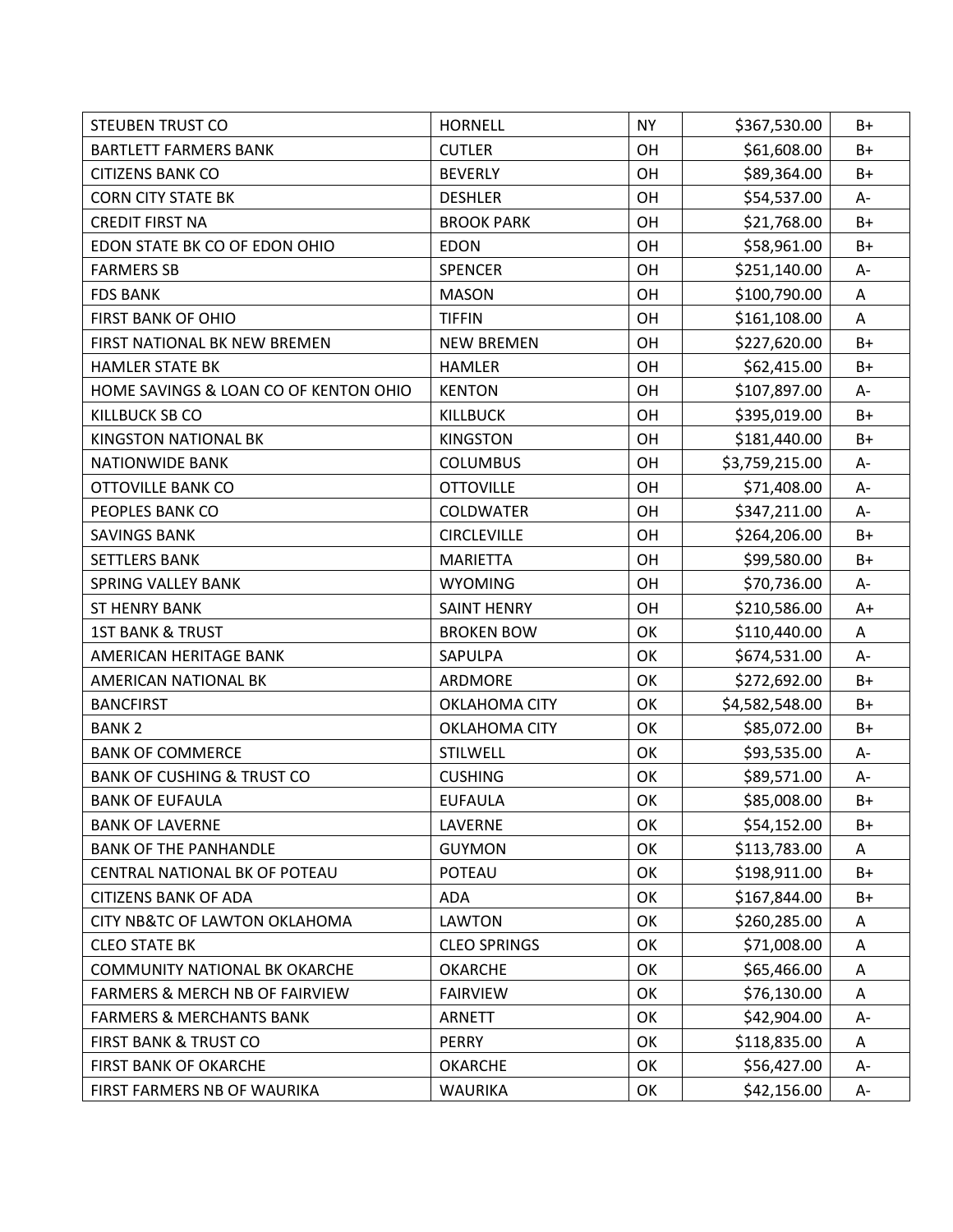| <b>STEUBEN TRUST CO</b>                   | <b>HORNELL</b>       | <b>NY</b> | \$367,530.00   | B+    |
|-------------------------------------------|----------------------|-----------|----------------|-------|
| <b>BARTLETT FARMERS BANK</b>              | <b>CUTLER</b>        | OH        | \$61,608.00    | $B+$  |
| <b>CITIZENS BANK CO</b>                   | <b>BEVERLY</b>       | OH        | \$89,364.00    | B+    |
| <b>CORN CITY STATE BK</b>                 | <b>DESHLER</b>       | OH        | \$54,537.00    | A-    |
| <b>CREDIT FIRST NA</b>                    | <b>BROOK PARK</b>    | OH        | \$21,768.00    | $B+$  |
| EDON STATE BK CO OF EDON OHIO             | <b>EDON</b>          | OH        | \$58,961.00    | B+    |
| <b>FARMERS SB</b>                         | <b>SPENCER</b>       | OH        | \$251,140.00   | A-    |
| <b>FDS BANK</b>                           | <b>MASON</b>         | OH        | \$100,790.00   | A     |
| <b>FIRST BANK OF OHIO</b>                 | <b>TIFFIN</b>        | OH        | \$161,108.00   | Α     |
| FIRST NATIONAL BK NEW BREMEN              | <b>NEW BREMEN</b>    | OH        | \$227,620.00   | $B+$  |
| <b>HAMLER STATE BK</b>                    | <b>HAMLER</b>        | OH        | \$62,415.00    | $B+$  |
| HOME SAVINGS & LOAN CO OF KENTON OHIO     | <b>KENTON</b>        | OH        | \$107,897.00   | A-    |
| <b>KILLBUCK SB CO</b>                     | <b>KILLBUCK</b>      | OH        | \$395,019.00   | B+    |
| <b>KINGSTON NATIONAL BK</b>               | <b>KINGSTON</b>      | OH        | \$181,440.00   | $B+$  |
| <b>NATIONWIDE BANK</b>                    | <b>COLUMBUS</b>      | OH        | \$3,759,215.00 | A-    |
| <b>OTTOVILLE BANK CO</b>                  | <b>OTTOVILLE</b>     | OH        | \$71,408.00    | $A -$ |
| PEOPLES BANK CO                           | <b>COLDWATER</b>     | OH        | \$347,211.00   | A-    |
| <b>SAVINGS BANK</b>                       | <b>CIRCLEVILLE</b>   | OH        | \$264,206.00   | $B+$  |
| <b>SETTLERS BANK</b>                      | <b>MARIETTA</b>      | OH        | \$99,580.00    | $B+$  |
| <b>SPRING VALLEY BANK</b>                 | <b>WYOMING</b>       | OH        | \$70,736.00    | A-    |
| <b>ST HENRY BANK</b>                      | <b>SAINT HENRY</b>   | OH        | \$210,586.00   | $A+$  |
| <b>1ST BANK &amp; TRUST</b>               | <b>BROKEN BOW</b>    | OK        | \$110,440.00   | Α     |
| AMERICAN HERITAGE BANK                    | SAPULPA              | OK        | \$674,531.00   | A-    |
| AMERICAN NATIONAL BK                      | ARDMORE              | OK        | \$272,692.00   | $B+$  |
| <b>BANCFIRST</b>                          | OKLAHOMA CITY        | OK        | \$4,582,548.00 | $B+$  |
| <b>BANK2</b>                              | <b>OKLAHOMA CITY</b> | OK        | \$85,072.00    | $B+$  |
| <b>BANK OF COMMERCE</b>                   | STILWELL             | OK        | \$93,535.00    | A-    |
| <b>BANK OF CUSHING &amp; TRUST CO</b>     | <b>CUSHING</b>       | OK        | \$89,571.00    | A-    |
| <b>BANK OF EUFAULA</b>                    | <b>EUFAULA</b>       | OK        | \$85,008.00    | $B+$  |
| <b>BANK OF LAVERNE</b>                    | LAVERNE              | OK        | \$54,152.00    | B+    |
| <b>BANK OF THE PANHANDLE</b>              | <b>GUYMON</b>        | OK        | \$113,783.00   | A     |
| CENTRAL NATIONAL BK OF POTEAU             | POTEAU               | OK        | \$198,911.00   | B+    |
| <b>CITIZENS BANK OF ADA</b>               | <b>ADA</b>           | OK        | \$167,844.00   | B+    |
| CITY NB&TC OF LAWTON OKLAHOMA             | <b>LAWTON</b>        | OK        | \$260,285.00   | Α     |
| <b>CLEO STATE BK</b>                      | <b>CLEO SPRINGS</b>  | OK        | \$71,008.00    | Α     |
| <b>COMMUNITY NATIONAL BK OKARCHE</b>      | <b>OKARCHE</b>       | OK        | \$65,466.00    | Α     |
| <b>FARMERS &amp; MERCH NB OF FAIRVIEW</b> | <b>FAIRVIEW</b>      | OK        | \$76,130.00    | A     |
| <b>FARMERS &amp; MERCHANTS BANK</b>       | <b>ARNETT</b>        | OK        | \$42,904.00    | A-    |
| FIRST BANK & TRUST CO                     | <b>PERRY</b>         | OK        | \$118,835.00   | Α     |
| FIRST BANK OF OKARCHE                     | <b>OKARCHE</b>       | OK        | \$56,427.00    | A-    |
| FIRST FARMERS NB OF WAURIKA               | <b>WAURIKA</b>       | OK        | \$42,156.00    | A-    |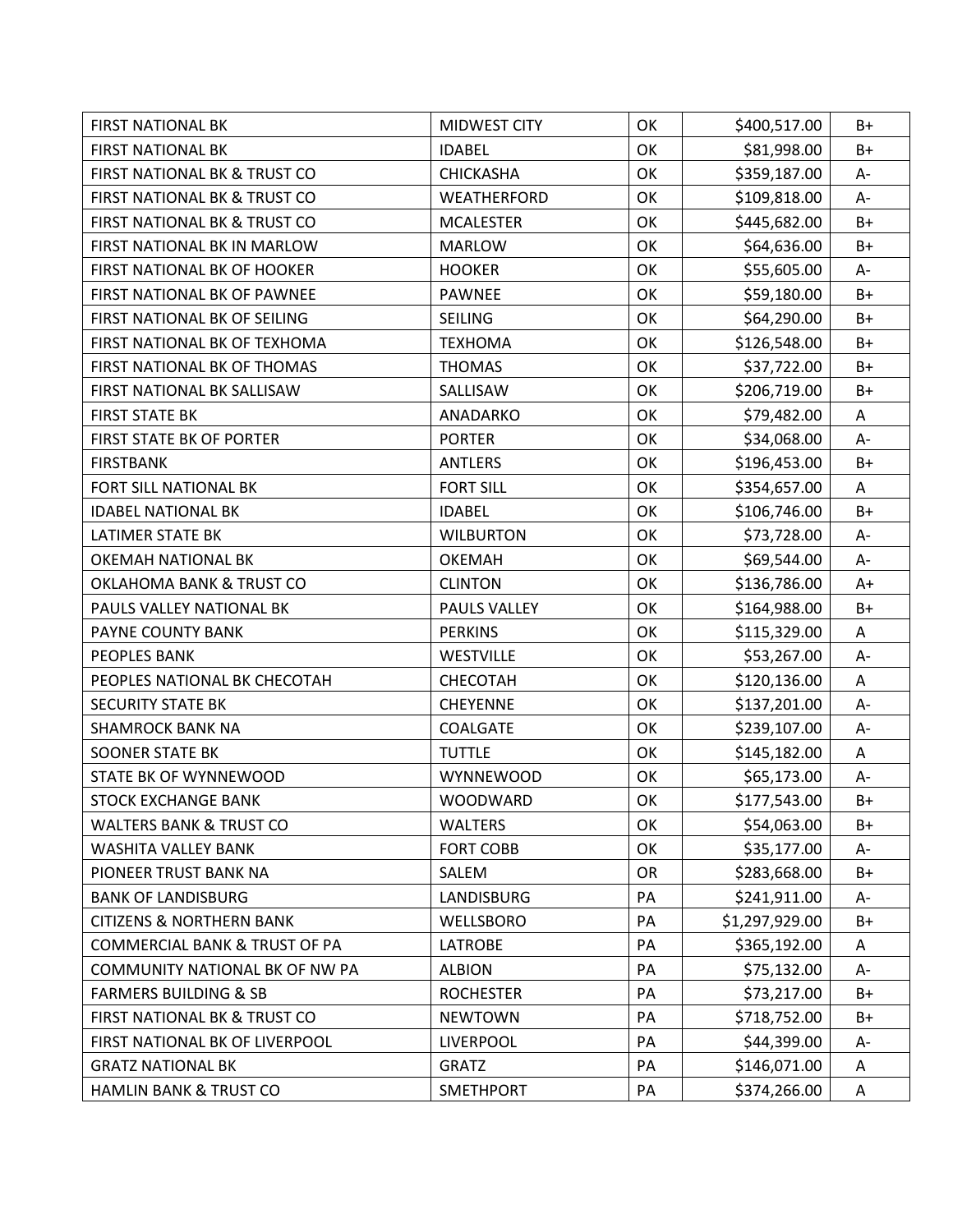| <b>FIRST NATIONAL BK</b>                 | MIDWEST CITY     | OK        | \$400,517.00   | B+    |
|------------------------------------------|------------------|-----------|----------------|-------|
| <b>FIRST NATIONAL BK</b>                 | <b>IDABEL</b>    | OK        | \$81,998.00    | $B+$  |
| FIRST NATIONAL BK & TRUST CO             | CHICKASHA        | OK        | \$359,187.00   | A-    |
| FIRST NATIONAL BK & TRUST CO             | WEATHERFORD      | OK        | \$109,818.00   | $A -$ |
| FIRST NATIONAL BK & TRUST CO             | <b>MCALESTER</b> | OK        | \$445,682.00   | $B+$  |
| FIRST NATIONAL BK IN MARLOW              | <b>MARLOW</b>    | OK        | \$64,636.00    | B+    |
| FIRST NATIONAL BK OF HOOKER              | <b>HOOKER</b>    | OK        | \$55,605.00    | A-    |
| FIRST NATIONAL BK OF PAWNEE              | <b>PAWNEE</b>    | OK        | \$59,180.00    | B+    |
| FIRST NATIONAL BK OF SEILING             | <b>SEILING</b>   | OK        | \$64,290.00    | B+    |
| FIRST NATIONAL BK OF TEXHOMA             | <b>TEXHOMA</b>   | OK        | \$126,548.00   | $B+$  |
| FIRST NATIONAL BK OF THOMAS              | <b>THOMAS</b>    | OK        | \$37,722.00    | $B+$  |
| FIRST NATIONAL BK SALLISAW               | SALLISAW         | OK        | \$206,719.00   | $B+$  |
| <b>FIRST STATE BK</b>                    | ANADARKO         | OK        | \$79,482.00    | A     |
| <b>FIRST STATE BK OF PORTER</b>          | <b>PORTER</b>    | OK        | \$34,068.00    | A-    |
| <b>FIRSTBANK</b>                         | <b>ANTLERS</b>   | OK        | \$196,453.00   | $B+$  |
| FORT SILL NATIONAL BK                    | <b>FORT SILL</b> | OK        | \$354,657.00   | A     |
| <b>IDABEL NATIONAL BK</b>                | <b>IDABEL</b>    | OK        | \$106,746.00   | $B+$  |
| <b>LATIMER STATE BK</b>                  | <b>WILBURTON</b> | OK        | \$73,728.00    | А-    |
| OKEMAH NATIONAL BK                       | <b>OKEMAH</b>    | OK        | \$69,544.00    | A-    |
| <b>OKLAHOMA BANK &amp; TRUST CO</b>      | <b>CLINTON</b>   | OK        | \$136,786.00   | $A+$  |
| PAULS VALLEY NATIONAL BK                 | PAULS VALLEY     | OK        | \$164,988.00   | B+    |
| PAYNE COUNTY BANK                        | <b>PERKINS</b>   | OK        | \$115,329.00   | Α     |
| PEOPLES BANK                             | <b>WESTVILLE</b> | OK        | \$53,267.00    | A-    |
| PEOPLES NATIONAL BK CHECOTAH             | CHECOTAH         | OK        | \$120,136.00   | A     |
| <b>SECURITY STATE BK</b>                 | <b>CHEYENNE</b>  | OK        | \$137,201.00   | A-    |
| <b>SHAMROCK BANK NA</b>                  | COALGATE         | OK        | \$239,107.00   | A-    |
| <b>SOONER STATE BK</b>                   | <b>TUTTLE</b>    | OK        | \$145,182.00   | A     |
| STATE BK OF WYNNEWOOD                    | WYNNEWOOD        | OK        | \$65,173.00    | $A-$  |
| <b>STOCK EXCHANGE BANK</b>               | <b>WOODWARD</b>  | OK        | \$177,543.00   | $B+$  |
| <b>WALTERS BANK &amp; TRUST CO</b>       | <b>WALTERS</b>   | OK        | \$54,063.00    | B+    |
| <b>WASHITA VALLEY BANK</b>               | <b>FORT COBB</b> | OK        | \$35,177.00    | А-    |
| PIONEER TRUST BANK NA                    | SALEM            | <b>OR</b> | \$283,668.00   | $B+$  |
| <b>BANK OF LANDISBURG</b>                | LANDISBURG       | PA        | \$241,911.00   | А-    |
| <b>CITIZENS &amp; NORTHERN BANK</b>      | WELLSBORO        | PA        | \$1,297,929.00 | $B+$  |
| <b>COMMERCIAL BANK &amp; TRUST OF PA</b> | <b>LATROBE</b>   | PA        | \$365,192.00   | A     |
| COMMUNITY NATIONAL BK OF NW PA           | <b>ALBION</b>    | PA        | \$75,132.00    | А-    |
| <b>FARMERS BUILDING &amp; SB</b>         | <b>ROCHESTER</b> | PA        | \$73,217.00    | B+    |
| FIRST NATIONAL BK & TRUST CO             | <b>NEWTOWN</b>   | PA        | \$718,752.00   | $B+$  |
| FIRST NATIONAL BK OF LIVERPOOL           | <b>LIVERPOOL</b> | PA        | \$44,399.00    | А-    |
| <b>GRATZ NATIONAL BK</b>                 | <b>GRATZ</b>     | PA        | \$146,071.00   | A     |
| HAMLIN BANK & TRUST CO                   | SMETHPORT        | PA        | \$374,266.00   | Α     |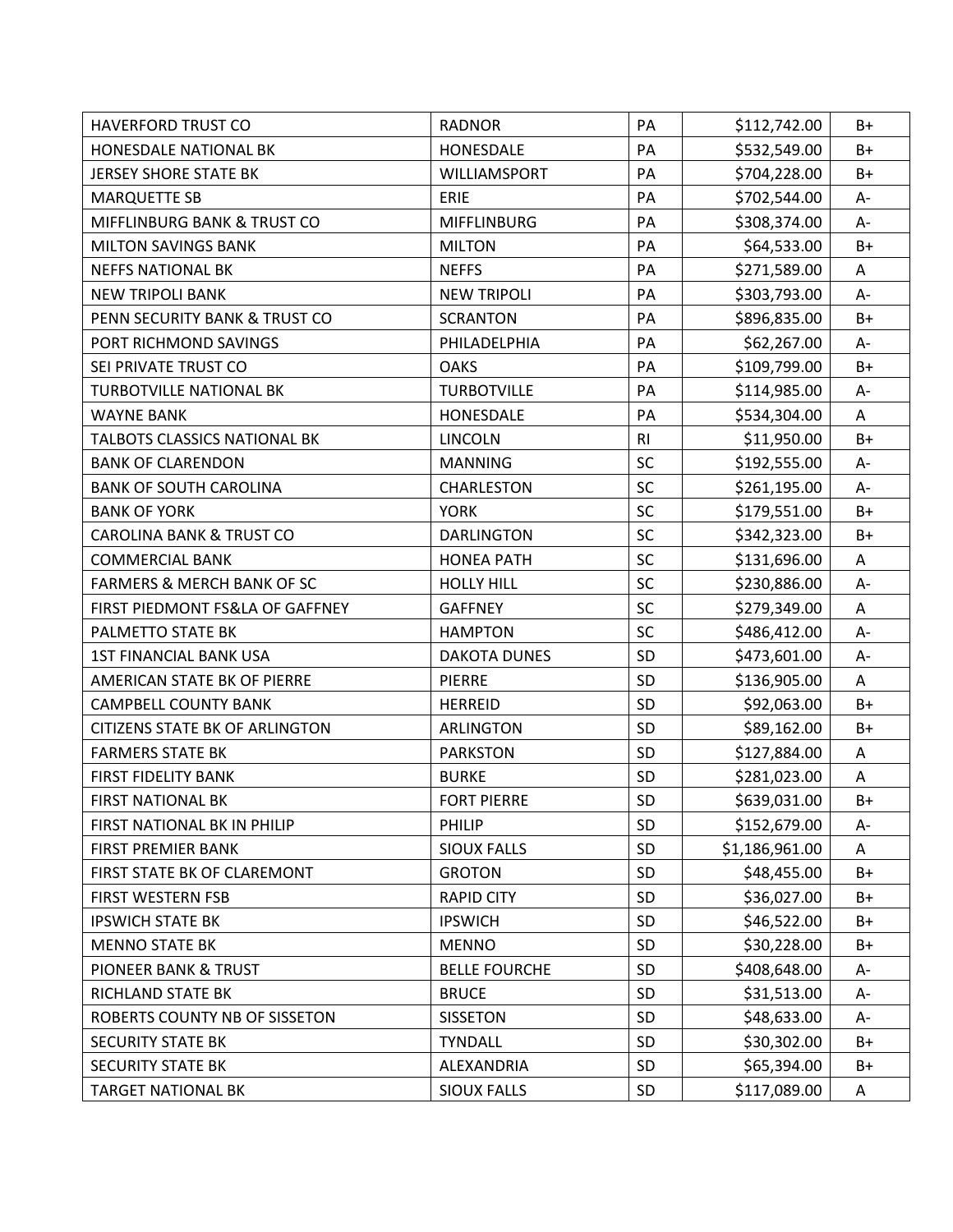| <b>HAVERFORD TRUST CO</b>             | <b>RADNOR</b>        | PA             | \$112,742.00   | B+   |
|---------------------------------------|----------------------|----------------|----------------|------|
| HONESDALE NATIONAL BK                 | HONESDALE            | PA             | \$532,549.00   | B+   |
| <b>JERSEY SHORE STATE BK</b>          | WILLIAMSPORT         | PA             | \$704,228.00   | B+   |
| <b>MARQUETTE SB</b>                   | ERIE                 | PA             | \$702,544.00   | А-   |
| MIFFLINBURG BANK & TRUST CO           | <b>MIFFLINBURG</b>   | PA             | \$308,374.00   | A-   |
| <b>MILTON SAVINGS BANK</b>            | <b>MILTON</b>        | PA             | \$64,533.00    | $B+$ |
| <b>NEFFS NATIONAL BK</b>              | <b>NEFFS</b>         | PA             | \$271,589.00   | A    |
| <b>NEW TRIPOLI BANK</b>               | <b>NEW TRIPOLI</b>   | PA             | \$303,793.00   | A-   |
| PENN SECURITY BANK & TRUST CO         | <b>SCRANTON</b>      | PA             | \$896,835.00   | B+   |
| PORT RICHMOND SAVINGS                 | PHILADELPHIA         | PA             | \$62,267.00    | A-   |
| SEI PRIVATE TRUST CO                  | <b>OAKS</b>          | PA             | \$109,799.00   | $B+$ |
| <b>TURBOTVILLE NATIONAL BK</b>        | <b>TURBOTVILLE</b>   | PA             | \$114,985.00   | A-   |
| <b>WAYNE BANK</b>                     | HONESDALE            | PA             | \$534,304.00   | A    |
| TALBOTS CLASSICS NATIONAL BK          | <b>LINCOLN</b>       | R <sub>l</sub> | \$11,950.00    | B+   |
| <b>BANK OF CLARENDON</b>              | <b>MANNING</b>       | SC             | \$192,555.00   | $A-$ |
| <b>BANK OF SOUTH CAROLINA</b>         | CHARLESTON           | SC             | \$261,195.00   | A-   |
| <b>BANK OF YORK</b>                   | <b>YORK</b>          | SC             | \$179,551.00   | $B+$ |
| <b>CAROLINA BANK &amp; TRUST CO</b>   | <b>DARLINGTON</b>    | SC             | \$342,323.00   | $B+$ |
| <b>COMMERCIAL BANK</b>                | <b>HONEA PATH</b>    | SC             | \$131,696.00   | A    |
| <b>FARMERS &amp; MERCH BANK OF SC</b> | <b>HOLLY HILL</b>    | SC             | \$230,886.00   | А-   |
| FIRST PIEDMONT FS&LA OF GAFFNEY       | <b>GAFFNEY</b>       | SC             | \$279,349.00   | A    |
| PALMETTO STATE BK                     | <b>HAMPTON</b>       | SC             | \$486,412.00   | A-   |
| <b>1ST FINANCIAL BANK USA</b>         | <b>DAKOTA DUNES</b>  | SD             | \$473,601.00   | A-   |
| AMERICAN STATE BK OF PIERRE           | <b>PIERRE</b>        | SD             | \$136,905.00   | A    |
| <b>CAMPBELL COUNTY BANK</b>           | <b>HERREID</b>       | SD             | \$92,063.00    | B+   |
| <b>CITIZENS STATE BK OF ARLINGTON</b> | <b>ARLINGTON</b>     | SD             | \$89,162.00    | B+   |
| <b>FARMERS STATE BK</b>               | <b>PARKSTON</b>      | SD             | \$127,884.00   | Α    |
| <b>FIRST FIDELITY BANK</b>            | <b>BURKE</b>         | SD             | \$281,023.00   | A    |
| <b>FIRST NATIONAL BK</b>              | <b>FORT PIERRE</b>   | SD             | \$639,031.00   | $B+$ |
| FIRST NATIONAL BK IN PHILIP           | PHILIP               | SD             | \$152,679.00   | A-   |
| <b>FIRST PREMIER BANK</b>             | <b>SIOUX FALLS</b>   | SD             | \$1,186,961.00 | A    |
| FIRST STATE BK OF CLAREMONT           | <b>GROTON</b>        | SD             | \$48,455.00    | $B+$ |
| <b>FIRST WESTERN FSB</b>              | <b>RAPID CITY</b>    | SD             | \$36,027.00    | $B+$ |
| <b>IPSWICH STATE BK</b>               | <b>IPSWICH</b>       | SD             | \$46,522.00    | $B+$ |
| <b>MENNO STATE BK</b>                 | <b>MENNO</b>         | SD             | \$30,228.00    | B+   |
| <b>PIONEER BANK &amp; TRUST</b>       | <b>BELLE FOURCHE</b> | <b>SD</b>      | \$408,648.00   | А-   |
| RICHLAND STATE BK                     | <b>BRUCE</b>         | SD             | \$31,513.00    | А-   |
| ROBERTS COUNTY NB OF SISSETON         | <b>SISSETON</b>      | SD             | \$48,633.00    | A-   |
| <b>SECURITY STATE BK</b>              | <b>TYNDALL</b>       | SD             | \$30,302.00    | $B+$ |
| <b>SECURITY STATE BK</b>              | ALEXANDRIA           | SD             | \$65,394.00    | B+   |
| <b>TARGET NATIONAL BK</b>             | <b>SIOUX FALLS</b>   | SD             | \$117,089.00   | A    |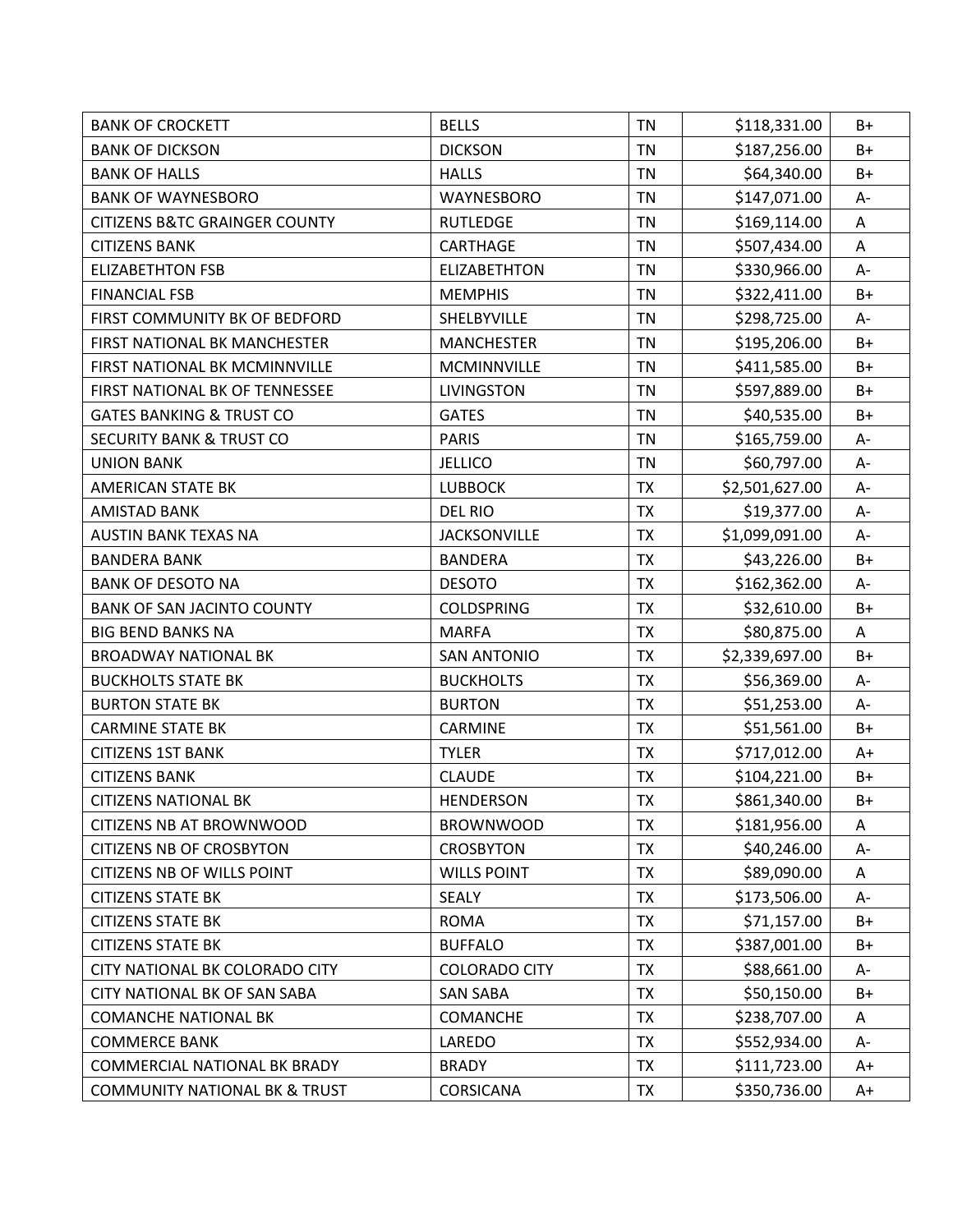| <b>BANK OF CROCKETT</b>                  | <b>BELLS</b>         | <b>TN</b> | \$118,331.00   | B+   |
|------------------------------------------|----------------------|-----------|----------------|------|
| <b>BANK OF DICKSON</b>                   | <b>DICKSON</b>       | <b>TN</b> | \$187,256.00   | $B+$ |
| <b>BANK OF HALLS</b>                     | <b>HALLS</b>         | <b>TN</b> | \$64,340.00    | B+   |
| <b>BANK OF WAYNESBORO</b>                | WAYNESBORO           | <b>TN</b> | \$147,071.00   | A-   |
| <b>CITIZENS B&amp;TC GRAINGER COUNTY</b> | <b>RUTLEDGE</b>      | <b>TN</b> | \$169,114.00   | A    |
| <b>CITIZENS BANK</b>                     | <b>CARTHAGE</b>      | <b>TN</b> | \$507,434.00   | Α    |
| <b>ELIZABETHTON FSB</b>                  | <b>ELIZABETHTON</b>  | TN        | \$330,966.00   | A-   |
| <b>FINANCIAL FSB</b>                     | <b>MEMPHIS</b>       | TN        | \$322,411.00   | $B+$ |
| FIRST COMMUNITY BK OF BEDFORD            | SHELBYVILLE          | <b>TN</b> | \$298,725.00   | A-   |
| FIRST NATIONAL BK MANCHESTER             | <b>MANCHESTER</b>    | TN        | \$195,206.00   | $B+$ |
| FIRST NATIONAL BK MCMINNVILLE            | MCMINNVILLE          | <b>TN</b> | \$411,585.00   | $B+$ |
| FIRST NATIONAL BK OF TENNESSEE           | <b>LIVINGSTON</b>    | <b>TN</b> | \$597,889.00   | $B+$ |
| <b>GATES BANKING &amp; TRUST CO</b>      | <b>GATES</b>         | TN        | \$40,535.00    | B+   |
| <b>SECURITY BANK &amp; TRUST CO</b>      | <b>PARIS</b>         | <b>TN</b> | \$165,759.00   | A-   |
| <b>UNION BANK</b>                        | <b>JELLICO</b>       | TN        | \$60,797.00    | A-   |
| AMERICAN STATE BK                        | <b>LUBBOCK</b>       | <b>TX</b> | \$2,501,627.00 | A-   |
| <b>AMISTAD BANK</b>                      | <b>DEL RIO</b>       | <b>TX</b> | \$19,377.00    | A-   |
| <b>AUSTIN BANK TEXAS NA</b>              | <b>JACKSONVILLE</b>  | <b>TX</b> | \$1,099,091.00 | A-   |
| <b>BANDERA BANK</b>                      | <b>BANDERA</b>       | <b>TX</b> | \$43,226.00    | $B+$ |
| <b>BANK OF DESOTO NA</b>                 | <b>DESOTO</b>        | <b>TX</b> | \$162,362.00   | A-   |
| <b>BANK OF SAN JACINTO COUNTY</b>        | <b>COLDSPRING</b>    | <b>TX</b> | \$32,610.00    | B+   |
| <b>BIG BEND BANKS NA</b>                 | <b>MARFA</b>         | <b>TX</b> | \$80,875.00    | A    |
| <b>BROADWAY NATIONAL BK</b>              | <b>SAN ANTONIO</b>   | <b>TX</b> | \$2,339,697.00 | $B+$ |
| <b>BUCKHOLTS STATE BK</b>                | <b>BUCKHOLTS</b>     | <b>TX</b> | \$56,369.00    | A-   |
| <b>BURTON STATE BK</b>                   | <b>BURTON</b>        | <b>TX</b> | \$51,253.00    | A-   |
| <b>CARMINE STATE BK</b>                  | CARMINE              | <b>TX</b> | \$51,561.00    | $B+$ |
| <b>CITIZENS 1ST BANK</b>                 | <b>TYLER</b>         | <b>TX</b> | \$717,012.00   | $A+$ |
| <b>CITIZENS BANK</b>                     | <b>CLAUDE</b>        | TX        | \$104,221.00   | $B+$ |
| <b>CITIZENS NATIONAL BK</b>              | <b>HENDERSON</b>     | <b>TX</b> | \$861,340.00   | $B+$ |
| <b>CITIZENS NB AT BROWNWOOD</b>          | <b>BROWNWOOD</b>     | <b>TX</b> | \$181,956.00   | Α    |
| <b>CITIZENS NB OF CROSBYTON</b>          | <b>CROSBYTON</b>     | <b>TX</b> | \$40,246.00    | A-   |
| <b>CITIZENS NB OF WILLS POINT</b>        | <b>WILLS POINT</b>   | <b>TX</b> | \$89,090.00    | A    |
| <b>CITIZENS STATE BK</b>                 | <b>SEALY</b>         | <b>TX</b> | \$173,506.00   | А-   |
| <b>CITIZENS STATE BK</b>                 | <b>ROMA</b>          | <b>TX</b> | \$71,157.00    | $B+$ |
| <b>CITIZENS STATE BK</b>                 | <b>BUFFALO</b>       | <b>TX</b> | \$387,001.00   | $B+$ |
| CITY NATIONAL BK COLORADO CITY           | <b>COLORADO CITY</b> | <b>TX</b> | \$88,661.00    | А-   |
| <b>CITY NATIONAL BK OF SAN SABA</b>      | <b>SAN SABA</b>      | TX        | \$50,150.00    | B+   |
| <b>COMANCHE NATIONAL BK</b>              | <b>COMANCHE</b>      | <b>TX</b> | \$238,707.00   | A    |
| <b>COMMERCE BANK</b>                     | LAREDO               | <b>TX</b> | \$552,934.00   | A-   |
| <b>COMMERCIAL NATIONAL BK BRADY</b>      | <b>BRADY</b>         | <b>TX</b> | \$111,723.00   | $A+$ |
| <b>COMMUNITY NATIONAL BK &amp; TRUST</b> | <b>CORSICANA</b>     | <b>TX</b> | \$350,736.00   | A+   |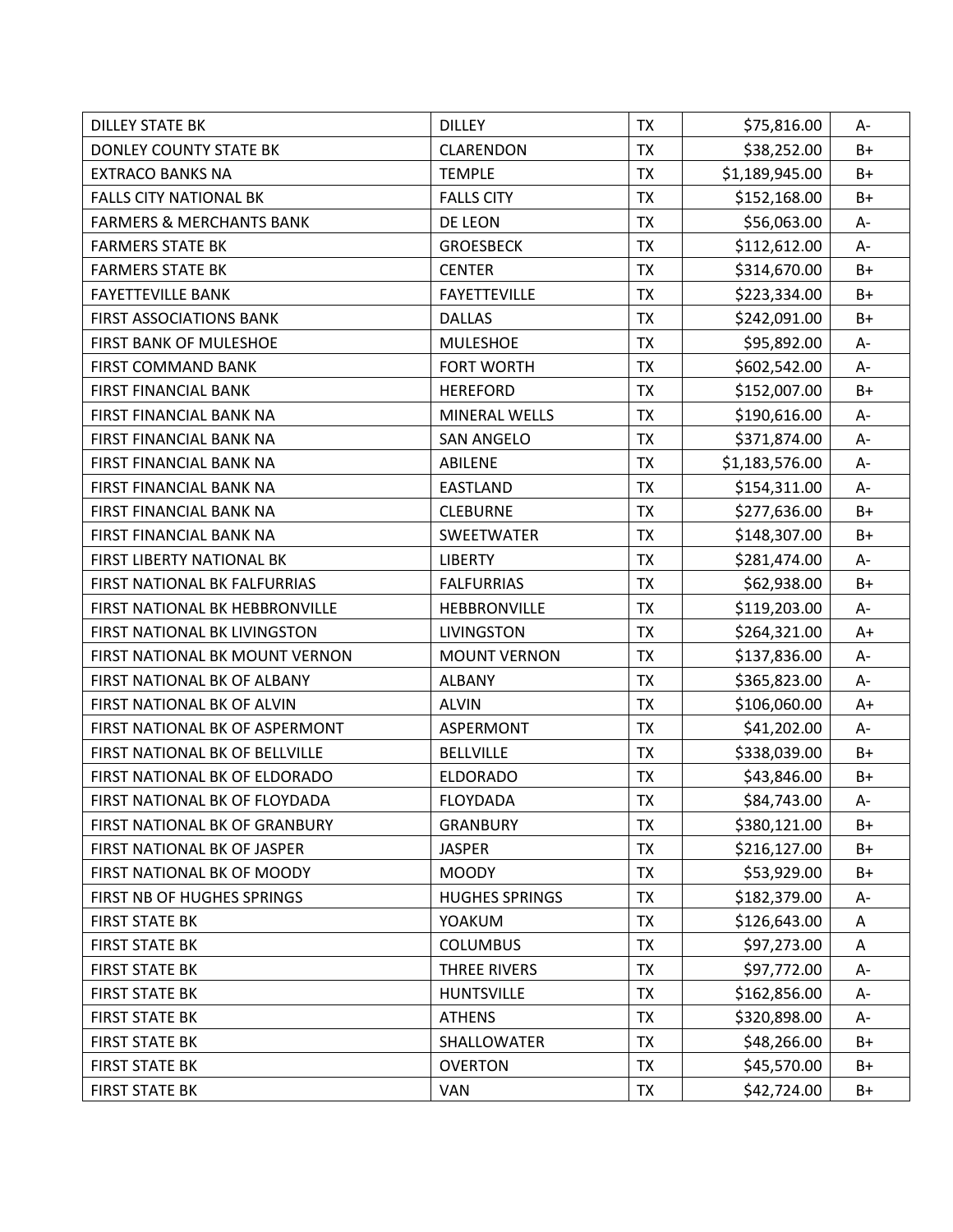| <b>DILLEY STATE BK</b>              | <b>DILLEY</b>         | <b>TX</b> | \$75,816.00    | A-    |
|-------------------------------------|-----------------------|-----------|----------------|-------|
| DONLEY COUNTY STATE BK              | <b>CLARENDON</b>      | <b>TX</b> | \$38,252.00    | $B+$  |
| <b>EXTRACO BANKS NA</b>             | <b>TEMPLE</b>         | <b>TX</b> | \$1,189,945.00 | B+    |
| <b>FALLS CITY NATIONAL BK</b>       | <b>FALLS CITY</b>     | <b>TX</b> | \$152,168.00   | $B+$  |
| <b>FARMERS &amp; MERCHANTS BANK</b> | DE LEON               | <b>TX</b> | \$56,063.00    | $A -$ |
| <b>FARMERS STATE BK</b>             | <b>GROESBECK</b>      | <b>TX</b> | \$112,612.00   | А-    |
| <b>FARMERS STATE BK</b>             | <b>CENTER</b>         | <b>TX</b> | \$314,670.00   | $B+$  |
| <b>FAYETTEVILLE BANK</b>            | <b>FAYETTEVILLE</b>   | <b>TX</b> | \$223,334.00   | B+    |
| <b>FIRST ASSOCIATIONS BANK</b>      | <b>DALLAS</b>         | <b>TX</b> | \$242,091.00   | B+    |
| FIRST BANK OF MULESHOE              | <b>MULESHOE</b>       | <b>TX</b> | \$95,892.00    | A-    |
| <b>FIRST COMMAND BANK</b>           | <b>FORT WORTH</b>     | <b>TX</b> | \$602,542.00   | A-    |
| <b>FIRST FINANCIAL BANK</b>         | <b>HEREFORD</b>       | <b>TX</b> | \$152,007.00   | $B+$  |
| FIRST FINANCIAL BANK NA             | MINERAL WELLS         | <b>TX</b> | \$190,616.00   | А-    |
| FIRST FINANCIAL BANK NA             | <b>SAN ANGELO</b>     | <b>TX</b> | \$371,874.00   | A-    |
| FIRST FINANCIAL BANK NA             | ABILENE               | <b>TX</b> | \$1,183,576.00 | A-    |
| FIRST FINANCIAL BANK NA             | EASTLAND              | <b>TX</b> | \$154,311.00   | $A -$ |
| FIRST FINANCIAL BANK NA             | <b>CLEBURNE</b>       | <b>TX</b> | \$277,636.00   | $B+$  |
| FIRST FINANCIAL BANK NA             | SWEETWATER            | <b>TX</b> | \$148,307.00   | $B+$  |
| FIRST LIBERTY NATIONAL BK           | <b>LIBERTY</b>        | <b>TX</b> | \$281,474.00   | A-    |
| FIRST NATIONAL BK FALFURRIAS        | <b>FALFURRIAS</b>     | <b>TX</b> | \$62,938.00    | B+    |
| FIRST NATIONAL BK HEBBRONVILLE      | HEBBRONVILLE          | <b>TX</b> | \$119,203.00   | A-    |
| FIRST NATIONAL BK LIVINGSTON        | <b>LIVINGSTON</b>     | <b>TX</b> | \$264,321.00   | $A+$  |
| FIRST NATIONAL BK MOUNT VERNON      | <b>MOUNT VERNON</b>   | <b>TX</b> | \$137,836.00   | A-    |
| FIRST NATIONAL BK OF ALBANY         | <b>ALBANY</b>         | <b>TX</b> | \$365,823.00   | A-    |
| FIRST NATIONAL BK OF ALVIN          | <b>ALVIN</b>          | <b>TX</b> | \$106,060.00   | $A+$  |
| FIRST NATIONAL BK OF ASPERMONT      | <b>ASPERMONT</b>      | <b>TX</b> | \$41,202.00    | A-    |
| FIRST NATIONAL BK OF BELLVILLE      | <b>BELLVILLE</b>      | <b>TX</b> | \$338,039.00   | B+    |
| FIRST NATIONAL BK OF ELDORADO       | <b>ELDORADO</b>       | <b>TX</b> | \$43,846.00    | $B+$  |
| FIRST NATIONAL BK OF FLOYDADA       | <b>FLOYDADA</b>       | <b>TX</b> | \$84,743.00    | A-    |
| FIRST NATIONAL BK OF GRANBURY       | <b>GRANBURY</b>       | <b>TX</b> | \$380,121.00   | B+    |
| FIRST NATIONAL BK OF JASPER         | <b>JASPER</b>         | <b>TX</b> | \$216,127.00   | B+    |
| FIRST NATIONAL BK OF MOODY          | <b>MOODY</b>          | <b>TX</b> | \$53,929.00    | B+    |
| FIRST NB OF HUGHES SPRINGS          | <b>HUGHES SPRINGS</b> | <b>TX</b> | \$182,379.00   | А-    |
| <b>FIRST STATE BK</b>               | YOAKUM                | <b>TX</b> | \$126,643.00   | Α     |
| <b>FIRST STATE BK</b>               | <b>COLUMBUS</b>       | <b>TX</b> | \$97,273.00    | A     |
| <b>FIRST STATE BK</b>               | <b>THREE RIVERS</b>   | <b>TX</b> | \$97,772.00    | А-    |
| <b>FIRST STATE BK</b>               | <b>HUNTSVILLE</b>     | <b>TX</b> | \$162,856.00   | А-    |
| <b>FIRST STATE BK</b>               | <b>ATHENS</b>         | <b>TX</b> | \$320,898.00   | А-    |
| <b>FIRST STATE BK</b>               | SHALLOWATER           | <b>TX</b> | \$48,266.00    | B+    |
| <b>FIRST STATE BK</b>               | <b>OVERTON</b>        | <b>TX</b> | \$45,570.00    | $B+$  |
| <b>FIRST STATE BK</b>               | VAN                   | TX        | \$42,724.00    | $B+$  |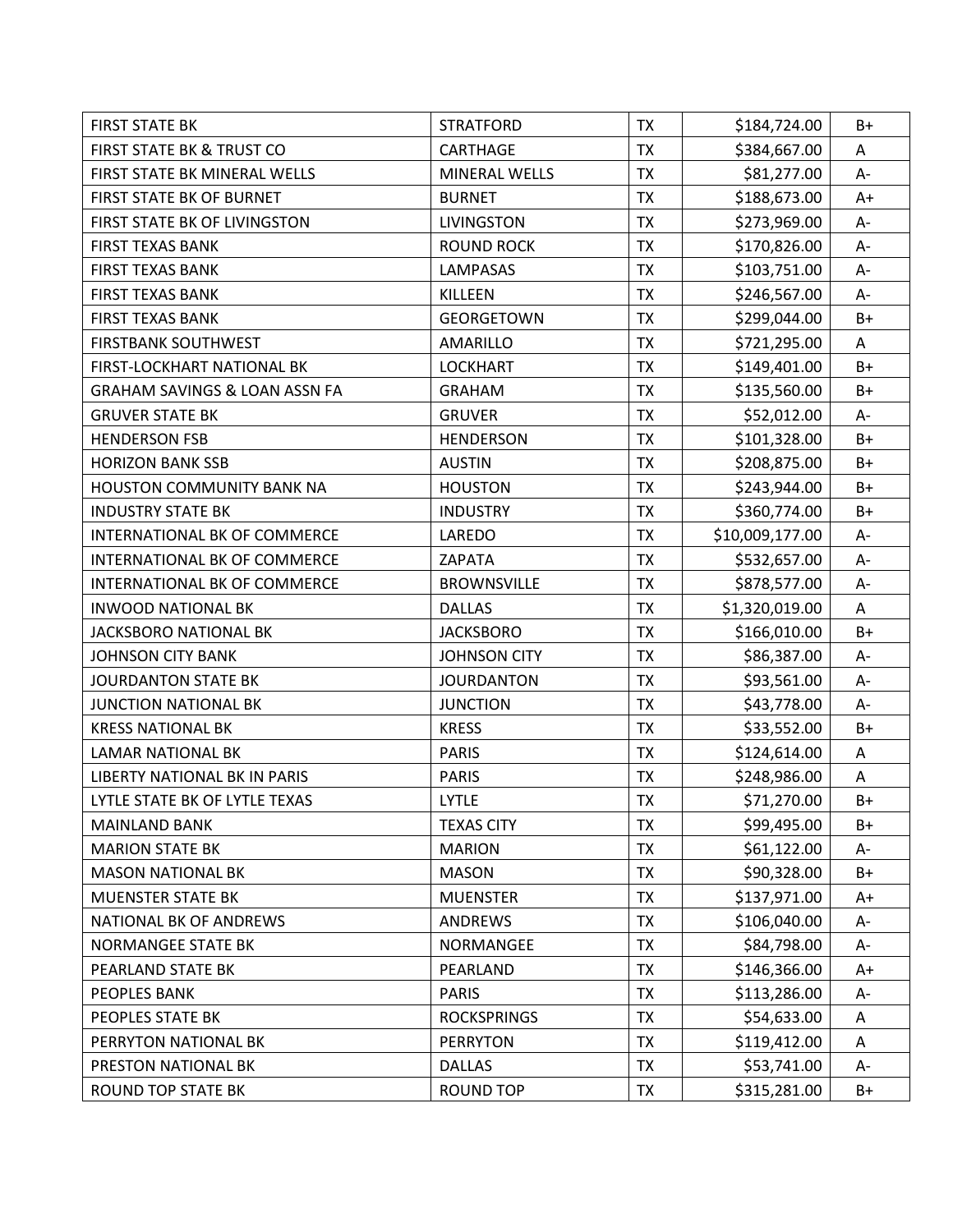| <b>FIRST STATE BK</b>                    | <b>STRATFORD</b>    | <b>TX</b> | \$184,724.00    | B+    |
|------------------------------------------|---------------------|-----------|-----------------|-------|
| <b>FIRST STATE BK &amp; TRUST CO</b>     | CARTHAGE            | <b>TX</b> | \$384,667.00    | A     |
| FIRST STATE BK MINERAL WELLS             | MINERAL WELLS       | <b>TX</b> | \$81,277.00     | A-    |
| FIRST STATE BK OF BURNET                 | <b>BURNET</b>       | <b>TX</b> | \$188,673.00    | $A+$  |
| FIRST STATE BK OF LIVINGSTON             | <b>LIVINGSTON</b>   | <b>TX</b> | \$273,969.00    | А-    |
| <b>FIRST TEXAS BANK</b>                  | <b>ROUND ROCK</b>   | <b>TX</b> | \$170,826.00    | А-    |
| <b>FIRST TEXAS BANK</b>                  | <b>LAMPASAS</b>     | <b>TX</b> | \$103,751.00    | A-    |
| <b>FIRST TEXAS BANK</b>                  | KILLEEN             | <b>TX</b> | \$246,567.00    | A-    |
| <b>FIRST TEXAS BANK</b>                  | <b>GEORGETOWN</b>   | <b>TX</b> | \$299,044.00    | B+    |
| <b>FIRSTBANK SOUTHWEST</b>               | <b>AMARILLO</b>     | <b>TX</b> | \$721,295.00    | A     |
| FIRST-LOCKHART NATIONAL BK               | <b>LOCKHART</b>     | <b>TX</b> | \$149,401.00    | $B+$  |
| <b>GRAHAM SAVINGS &amp; LOAN ASSN FA</b> | <b>GRAHAM</b>       | <b>TX</b> | \$135,560.00    | $B+$  |
| <b>GRUVER STATE BK</b>                   | <b>GRUVER</b>       | <b>TX</b> | \$52,012.00     | A-    |
| <b>HENDERSON FSB</b>                     | <b>HENDERSON</b>    | <b>TX</b> | \$101,328.00    | $B+$  |
| <b>HORIZON BANK SSB</b>                  | <b>AUSTIN</b>       | <b>TX</b> | \$208,875.00    | B+    |
| <b>HOUSTON COMMUNITY BANK NA</b>         | <b>HOUSTON</b>      | <b>TX</b> | \$243,944.00    | $B+$  |
| <b>INDUSTRY STATE BK</b>                 | <b>INDUSTRY</b>     | <b>TX</b> | \$360,774.00    | $B+$  |
| INTERNATIONAL BK OF COMMERCE             | LAREDO              | <b>TX</b> | \$10,009,177.00 | А-    |
| INTERNATIONAL BK OF COMMERCE             | ZAPATA              | <b>TX</b> | \$532,657.00    | A-    |
| INTERNATIONAL BK OF COMMERCE             | <b>BROWNSVILLE</b>  | <b>TX</b> | \$878,577.00    | А-    |
| <b>INWOOD NATIONAL BK</b>                | <b>DALLAS</b>       | <b>TX</b> | \$1,320,019.00  | A     |
| JACKSBORO NATIONAL BK                    | <b>JACKSBORO</b>    | <b>TX</b> | \$166,010.00    | $B+$  |
| <b>JOHNSON CITY BANK</b>                 | <b>JOHNSON CITY</b> | <b>TX</b> | \$86,387.00     | A-    |
| <b>JOURDANTON STATE BK</b>               | <b>JOURDANTON</b>   | <b>TX</b> | \$93,561.00     | $A -$ |
| <b>JUNCTION NATIONAL BK</b>              | <b>JUNCTION</b>     | <b>TX</b> | \$43,778.00     | A-    |
| <b>KRESS NATIONAL BK</b>                 | <b>KRESS</b>        | <b>TX</b> | \$33,552.00     | $B+$  |
| <b>LAMAR NATIONAL BK</b>                 | <b>PARIS</b>        | <b>TX</b> | \$124,614.00    | A     |
| LIBERTY NATIONAL BK IN PARIS             | <b>PARIS</b>        | TX        | \$248,986.00    | A     |
| LYTLE STATE BK OF LYTLE TEXAS            | <b>LYTLE</b>        | <b>TX</b> | \$71,270.00     | $B+$  |
| <b>MAINLAND BANK</b>                     | <b>TEXAS CITY</b>   | <b>TX</b> | \$99,495.00     | B+    |
| <b>MARION STATE BK</b>                   | <b>MARION</b>       | <b>TX</b> | \$61,122.00     | А-    |
| <b>MASON NATIONAL BK</b>                 | <b>MASON</b>        | <b>TX</b> | \$90,328.00     | B+    |
| <b>MUENSTER STATE BK</b>                 | <b>MUENSTER</b>     | <b>TX</b> | \$137,971.00    | A+    |
| NATIONAL BK OF ANDREWS                   | ANDREWS             | <b>TX</b> | \$106,040.00    | А-    |
| <b>NORMANGEE STATE BK</b>                | NORMANGEE           | <b>TX</b> | \$84,798.00     | A-    |
| PEARLAND STATE BK                        | PEARLAND            | <b>TX</b> | \$146,366.00    | $A+$  |
| PEOPLES BANK                             | <b>PARIS</b>        | TX        | \$113,286.00    | A-    |
| PEOPLES STATE BK                         | <b>ROCKSPRINGS</b>  | <b>TX</b> | \$54,633.00     | A     |
| PERRYTON NATIONAL BK                     | <b>PERRYTON</b>     | <b>TX</b> | \$119,412.00    | Α     |
| PRESTON NATIONAL BK                      | <b>DALLAS</b>       | <b>TX</b> | \$53,741.00     | А-    |
| <b>ROUND TOP STATE BK</b>                | ROUND TOP           | <b>TX</b> | \$315,281.00    | $B+$  |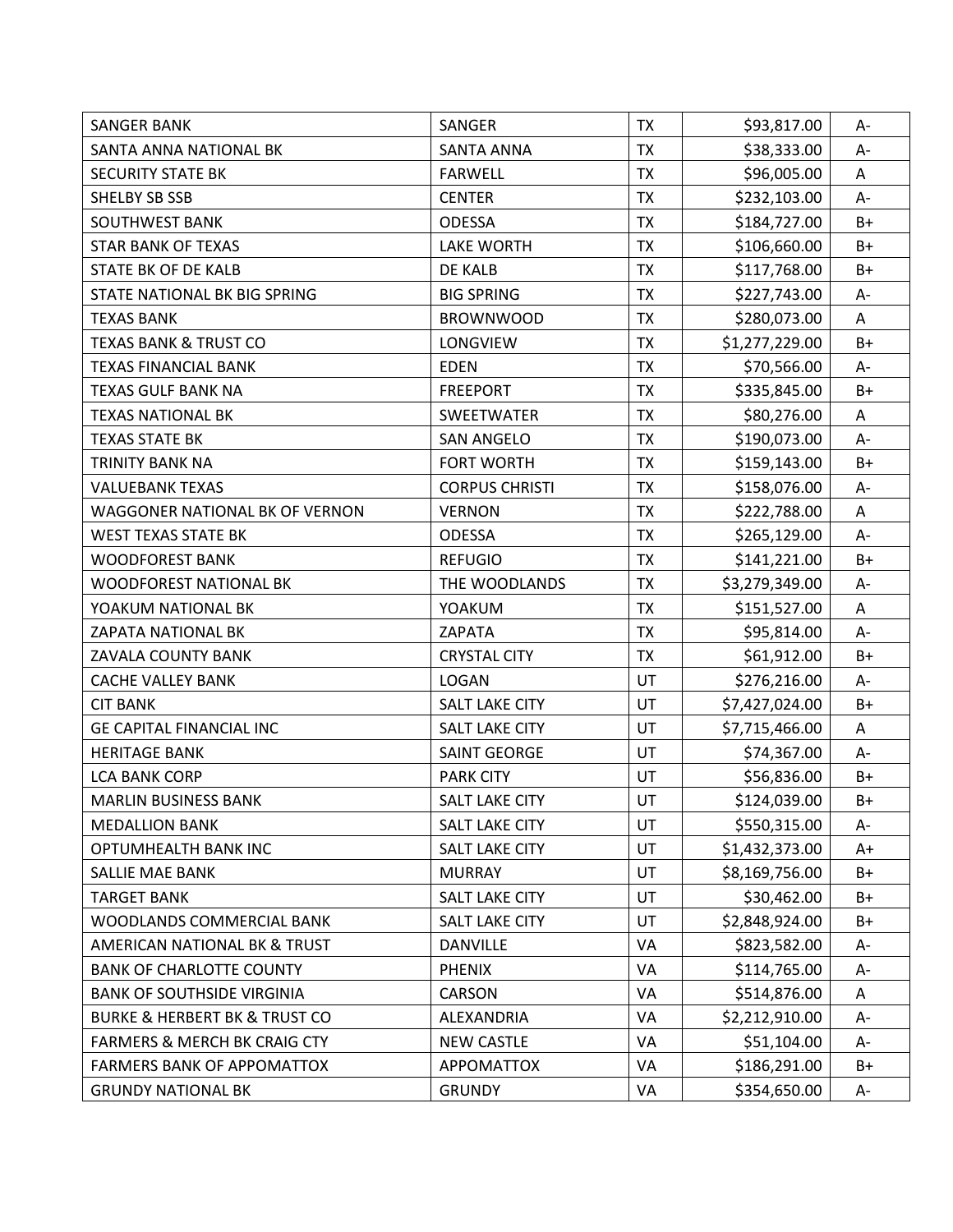| <b>SANGER BANK</b>                           | SANGER                | <b>TX</b> | \$93,817.00    | A-    |
|----------------------------------------------|-----------------------|-----------|----------------|-------|
| SANTA ANNA NATIONAL BK                       | <b>SANTA ANNA</b>     | <b>TX</b> | \$38,333.00    | A-    |
| <b>SECURITY STATE BK</b>                     | <b>FARWELL</b>        | <b>TX</b> | \$96,005.00    | A     |
| SHELBY SB SSB                                | <b>CENTER</b>         | <b>TX</b> | \$232,103.00   | А-    |
| <b>SOUTHWEST BANK</b>                        | <b>ODESSA</b>         | <b>TX</b> | \$184,727.00   | $B+$  |
| <b>STAR BANK OF TEXAS</b>                    | <b>LAKE WORTH</b>     | <b>TX</b> | \$106,660.00   | B+    |
| STATE BK OF DE KALB                          | DE KALB               | <b>TX</b> | \$117,768.00   | $B+$  |
| STATE NATIONAL BK BIG SPRING                 | <b>BIG SPRING</b>     | <b>TX</b> | \$227,743.00   | A-    |
| TEXAS BANK                                   | <b>BROWNWOOD</b>      | <b>TX</b> | \$280,073.00   | A     |
| <b>TEXAS BANK &amp; TRUST CO</b>             | LONGVIEW              | <b>TX</b> | \$1,277,229.00 | $B+$  |
| <b>TEXAS FINANCIAL BANK</b>                  | <b>EDEN</b>           | <b>TX</b> | \$70,566.00    | A-    |
| TEXAS GULF BANK NA                           | <b>FREEPORT</b>       | <b>TX</b> | \$335,845.00   | $B+$  |
| <b>TEXAS NATIONAL BK</b>                     | SWEETWATER            | <b>TX</b> | \$80,276.00    | A     |
| <b>TEXAS STATE BK</b>                        | <b>SAN ANGELO</b>     | <b>TX</b> | \$190,073.00   | $A -$ |
| TRINITY BANK NA                              | <b>FORT WORTH</b>     | <b>TX</b> | \$159,143.00   | $B+$  |
| <b>VALUEBANK TEXAS</b>                       | <b>CORPUS CHRISTI</b> | <b>TX</b> | \$158,076.00   | A-    |
| WAGGONER NATIONAL BK OF VERNON               | <b>VERNON</b>         | <b>TX</b> | \$222,788.00   | A     |
| <b>WEST TEXAS STATE BK</b>                   | <b>ODESSA</b>         | <b>TX</b> | \$265,129.00   | A-    |
| <b>WOODFOREST BANK</b>                       | <b>REFUGIO</b>        | <b>TX</b> | \$141,221.00   | $B+$  |
| <b>WOODFOREST NATIONAL BK</b>                | THE WOODLANDS         | <b>TX</b> | \$3,279,349.00 | А-    |
| YOAKUM NATIONAL BK                           | YOAKUM                | <b>TX</b> | \$151,527.00   | A     |
| ZAPATA NATIONAL BK                           | ZAPATA                | <b>TX</b> | \$95,814.00    | A-    |
| ZAVALA COUNTY BANK                           | <b>CRYSTAL CITY</b>   | <b>TX</b> | \$61,912.00    | $B+$  |
| <b>CACHE VALLEY BANK</b>                     | <b>LOGAN</b>          | UT        | \$276,216.00   | A-    |
| <b>CIT BANK</b>                              | <b>SALT LAKE CITY</b> | UT        | \$7,427,024.00 | B+    |
| <b>GE CAPITAL FINANCIAL INC</b>              | <b>SALT LAKE CITY</b> | <b>UT</b> | \$7,715,466.00 | A     |
| <b>HERITAGE BANK</b>                         | <b>SAINT GEORGE</b>   | UT        | \$74,367.00    | A-    |
| <b>LCA BANK CORP</b>                         | <b>PARK CITY</b>      | UT        | \$56,836.00    | $B+$  |
| <b>MARLIN BUSINESS BANK</b>                  | <b>SALT LAKE CITY</b> | UT        | \$124,039.00   | $B+$  |
| <b>MEDALLION BANK</b>                        | <b>SALT LAKE CITY</b> | UT        | \$550,315.00   | A-    |
| <b>OPTUMHEALTH BANK INC</b>                  | <b>SALT LAKE CITY</b> | UT        | \$1,432,373.00 | $A+$  |
| <b>SALLIE MAE BANK</b>                       | <b>MURRAY</b>         | UT        | \$8,169,756.00 | B+    |
| <b>TARGET BANK</b>                           | <b>SALT LAKE CITY</b> | UT        | \$30,462.00    | B+    |
| WOODLANDS COMMERCIAL BANK                    | <b>SALT LAKE CITY</b> | UT        | \$2,848,924.00 | $B+$  |
| AMERICAN NATIONAL BK & TRUST                 | <b>DANVILLE</b>       | VA        | \$823,582.00   | A-    |
| <b>BANK OF CHARLOTTE COUNTY</b>              | <b>PHENIX</b>         | VA        | \$114,765.00   | A-    |
| <b>BANK OF SOUTHSIDE VIRGINIA</b>            | <b>CARSON</b>         | VA        | \$514,876.00   | A     |
| <b>BURKE &amp; HERBERT BK &amp; TRUST CO</b> | ALEXANDRIA            | VA        | \$2,212,910.00 | А-    |
| <b>FARMERS &amp; MERCH BK CRAIG CTY</b>      | <b>NEW CASTLE</b>     | VA        | \$51,104.00    | А-    |
| <b>FARMERS BANK OF APPOMATTOX</b>            | <b>APPOMATTOX</b>     | VA        | \$186,291.00   | $B+$  |
| <b>GRUNDY NATIONAL BK</b>                    | <b>GRUNDY</b>         | VA        | \$354,650.00   | A-    |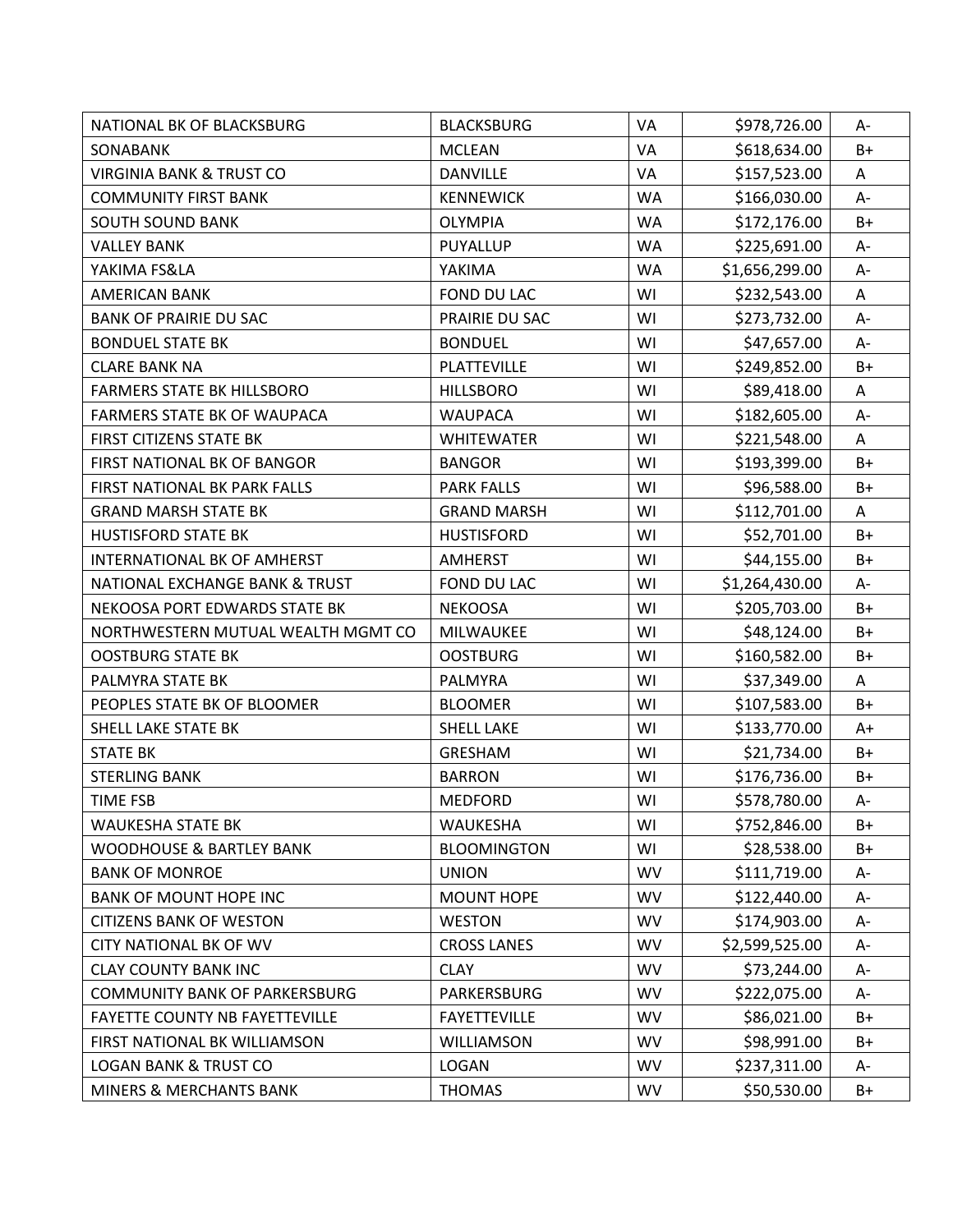| NATIONAL BK OF BLACKSBURG             | <b>BLACKSBURG</b>   | VA        | \$978,726.00   | A-    |
|---------------------------------------|---------------------|-----------|----------------|-------|
| SONABANK                              | <b>MCLEAN</b>       | VA        | \$618,634.00   | $B+$  |
| <b>VIRGINIA BANK &amp; TRUST CO</b>   | <b>DANVILLE</b>     | VA        | \$157,523.00   | A     |
| <b>COMMUNITY FIRST BANK</b>           | <b>KENNEWICK</b>    | <b>WA</b> | \$166,030.00   | $A -$ |
| <b>SOUTH SOUND BANK</b>               | <b>OLYMPIA</b>      | <b>WA</b> | \$172,176.00   | $B+$  |
| <b>VALLEY BANK</b>                    | PUYALLUP            | WA        | \$225,691.00   | А-    |
| YAKIMA FS&LA                          | YAKIMA              | <b>WA</b> | \$1,656,299.00 | A-    |
| <b>AMERICAN BANK</b>                  | FOND DU LAC         | WI        | \$232,543.00   | A     |
| <b>BANK OF PRAIRIE DU SAC</b>         | PRAIRIE DU SAC      | WI        | \$273,732.00   | A-    |
| <b>BONDUEL STATE BK</b>               | <b>BONDUEL</b>      | WI        | \$47,657.00    | A-    |
| <b>CLARE BANK NA</b>                  | PLATTEVILLE         | WI        | \$249,852.00   | $B+$  |
| <b>FARMERS STATE BK HILLSBORO</b>     | <b>HILLSBORO</b>    | WI        | \$89,418.00    | A     |
| FARMERS STATE BK OF WAUPACA           | <b>WAUPACA</b>      | WI        | \$182,605.00   | A-    |
| FIRST CITIZENS STATE BK               | <b>WHITEWATER</b>   | WI        | \$221,548.00   | A     |
| FIRST NATIONAL BK OF BANGOR           | <b>BANGOR</b>       | WI        | \$193,399.00   | B+    |
| FIRST NATIONAL BK PARK FALLS          | <b>PARK FALLS</b>   | WI        | \$96,588.00    | B+    |
| <b>GRAND MARSH STATE BK</b>           | <b>GRAND MARSH</b>  | WI        | \$112,701.00   | A     |
| <b>HUSTISFORD STATE BK</b>            | <b>HUSTISFORD</b>   | WI        | \$52,701.00    | $B+$  |
| INTERNATIONAL BK OF AMHERST           | <b>AMHERST</b>      | WI        | \$44,155.00    | $B+$  |
| NATIONAL EXCHANGE BANK & TRUST        | FOND DU LAC         | WI        | \$1,264,430.00 | A-    |
| NEKOOSA PORT EDWARDS STATE BK         | <b>NEKOOSA</b>      | WI        | \$205,703.00   | B+    |
| NORTHWESTERN MUTUAL WEALTH MGMT CO    | <b>MILWAUKEE</b>    | WI        | \$48,124.00    | $B+$  |
| <b>OOSTBURG STATE BK</b>              | <b>OOSTBURG</b>     | WI        | \$160,582.00   | $B+$  |
| PALMYRA STATE BK                      | PALMYRA             | WI        | \$37,349.00    | A     |
| PEOPLES STATE BK OF BLOOMER           | <b>BLOOMER</b>      | WI        | \$107,583.00   | $B+$  |
| SHELL LAKE STATE BK                   | <b>SHELL LAKE</b>   | WI        | \$133,770.00   | A+    |
| <b>STATE BK</b>                       | <b>GRESHAM</b>      | WI        | \$21,734.00    | B+    |
| <b>STERLING BANK</b>                  | <b>BARRON</b>       | WI        | \$176,736.00   | B+    |
| <b>TIME FSB</b>                       | <b>MEDFORD</b>      | WI        | \$578,780.00   | A-    |
| <b>WAUKESHA STATE BK</b>              | WAUKESHA            | WI        | \$752,846.00   | B+    |
| <b>WOODHOUSE &amp; BARTLEY BANK</b>   | <b>BLOOMINGTON</b>  | WI        | \$28,538.00    | $B+$  |
| <b>BANK OF MONROE</b>                 | <b>UNION</b>        | <b>WV</b> | \$111,719.00   | A-    |
| <b>BANK OF MOUNT HOPE INC</b>         | <b>MOUNT HOPE</b>   | <b>WV</b> | \$122,440.00   | А-    |
| <b>CITIZENS BANK OF WESTON</b>        | <b>WESTON</b>       | <b>WV</b> | \$174,903.00   | А-    |
| <b>CITY NATIONAL BK OF WV</b>         | <b>CROSS LANES</b>  | <b>WV</b> | \$2,599,525.00 | A-    |
| <b>CLAY COUNTY BANK INC</b>           | <b>CLAY</b>         | <b>WV</b> | \$73,244.00    | A-    |
| <b>COMMUNITY BANK OF PARKERSBURG</b>  | PARKERSBURG         | <b>WV</b> | \$222,075.00   | А-    |
| <b>FAYETTE COUNTY NB FAYETTEVILLE</b> | <b>FAYETTEVILLE</b> | <b>WV</b> | \$86,021.00    | B+    |
| FIRST NATIONAL BK WILLIAMSON          | WILLIAMSON          | <b>WV</b> | \$98,991.00    | $B+$  |
| <b>LOGAN BANK &amp; TRUST CO</b>      | LOGAN               | <b>WV</b> | \$237,311.00   | A-    |
| MINERS & MERCHANTS BANK               | <b>THOMAS</b>       | <b>WV</b> | \$50,530.00    | $B+$  |